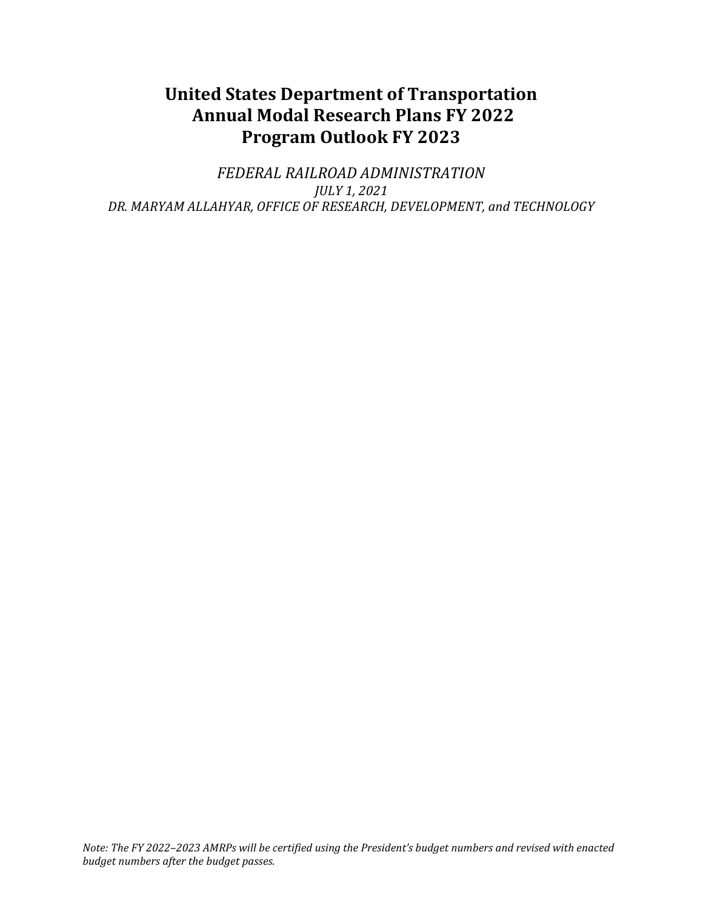# **United States Department of Transportation Annual Modal Research Plans FY 2022 Program Outlook FY 2023**

*FEDERAL RAILROAD ADMINISTRATION JULY 1, 2021 DR. MARYAM ALLAHYAR, OFFICE OF RESEARCH, DEVELOPMENT, and TECHNOLOGY*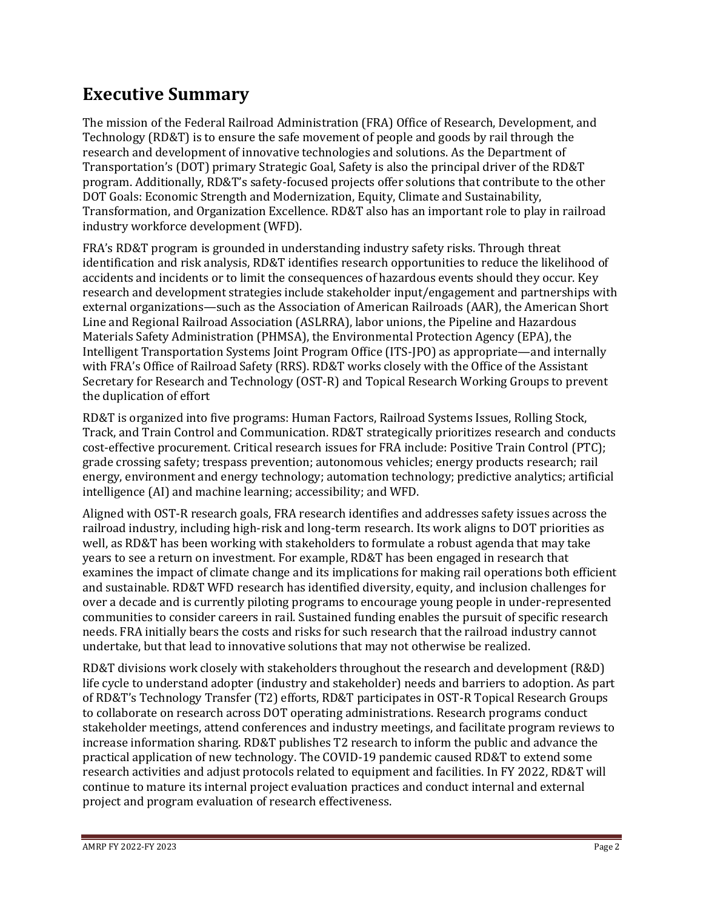# **Executive Summary**

The mission of the Federal Railroad Administration (FRA) Office of Research, Development, and Technology (RD&T) is to ensure the safe movement of people and goods by rail through the research and development of innovative technologies and solutions. As the Department of Transportation's (DOT) primary Strategic Goal, Safety is also the principal driver of the RD&T program. Additionally, RD&T's safety-focused projects offer solutions that contribute to the other DOT Goals: Economic Strength and Modernization, Equity, Climate and Sustainability, Transformation, and Organization Excellence. RD&T also has an important role to play in railroad industry workforce development (WFD).

FRA's RD&T program is grounded in understanding industry safety risks. Through threat identification and risk analysis, RD&T identifies research opportunities to reduce the likelihood of accidents and incidents or to limit the consequences of hazardous events should they occur. Key research and development strategies include stakeholder input/engagement and partnerships with external organizations—such as the Association of American Railroads (AAR), the American Short Line and Regional Railroad Association (ASLRRA), labor unions, the Pipeline and Hazardous Materials Safety Administration (PHMSA), the Environmental Protection Agency (EPA), the Intelligent Transportation Systems Joint Program Office (ITS-JPO) as appropriate—and internally with FRA's Office of Railroad Safety (RRS). RD&T works closely with the Office of the Assistant Secretary for Research and Technology (OST-R) and Topical Research Working Groups to prevent the duplication of effort

RD&T is organized into five programs: Human Factors, Railroad Systems Issues, Rolling Stock, Track, and Train Control and Communication. RD&T strategically prioritizes research and conducts cost-effective procurement. Critical research issues for FRA include: Positive Train Control (PTC); grade crossing safety; trespass prevention; autonomous vehicles; energy products research; rail energy, environment and energy technology; automation technology; predictive analytics; artificial intelligence (AI) and machine learning; accessibility; and WFD.

Aligned with OST-R research goals, FRA research identifies and addresses safety issues across the railroad industry, including high-risk and long-term research. Its work aligns to DOT priorities as well, as RD&T has been working with stakeholders to formulate a robust agenda that may take years to see a return on investment. For example, RD&T has been engaged in research that examines the impact of climate change and its implications for making rail operations both efficient and sustainable. RD&T WFD research has identified diversity, equity, and inclusion challenges for over a decade and is currently piloting programs to encourage young people in under-represented communities to consider careers in rail. Sustained funding enables the pursuit of specific research needs. FRA initially bears the costs and risks for such research that the railroad industry cannot undertake, but that lead to innovative solutions that may not otherwise be realized.

RD&T divisions work closely with stakeholders throughout the research and development (R&D) life cycle to understand adopter (industry and stakeholder) needs and barriers to adoption. As part of RD&T's Technology Transfer (T2) efforts, RD&T participates in OST-R Topical Research Groups to collaborate on research across DOT operating administrations. Research programs conduct stakeholder meetings, attend conferences and industry meetings, and facilitate program reviews to increase information sharing. RD&T publishes T2 research to inform the public and advance the practical application of new technology. The COVID-19 pandemic caused RD&T to extend some research activities and adjust protocols related to equipment and facilities. In FY 2022, RD&T will continue to mature its internal project evaluation practices and conduct internal and external project and program evaluation of research effectiveness.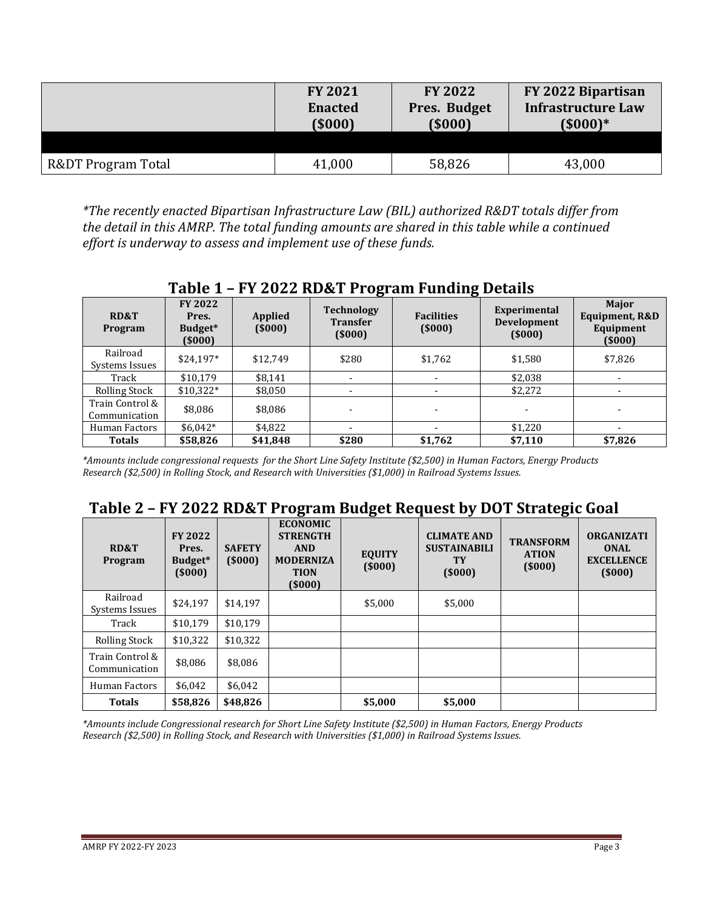|                    | <b>FY 2021</b> | <b>FY 2022</b> | FY 2022 Bipartisan        |
|--------------------|----------------|----------------|---------------------------|
|                    | <b>Enacted</b> | Pres. Budget   | <b>Infrastructure Law</b> |
|                    | (5000)         | (5000)         | $(5000)*$                 |
| R&DT Program Total | 41,000         | 58,826         | 43,000                    |

*\*The recently enacted Bipartisan Infrastructure Law (BIL) authorized R&DT totals differ from the detail in this AMRP. The total funding amounts are shared in this table while a continued effort is underway to assess and implement use of these funds.*

|                                  | Table I – FT 2022 KD&T FT0gram Funding Details |                   |                                                |                             |                                              |                                                |  |
|----------------------------------|------------------------------------------------|-------------------|------------------------------------------------|-----------------------------|----------------------------------------------|------------------------------------------------|--|
| <b>RD&amp;T</b><br>Program       | <b>FY 2022</b><br>Pres.<br>Budget*<br>(5000)   | Applied<br>(5000) | <b>Technology</b><br><b>Transfer</b><br>(5000) | <b>Facilities</b><br>(5000) | Experimental<br><b>Development</b><br>(5000) | Major<br>Equipment, R&D<br>Equipment<br>(5000) |  |
| Railroad<br>Systems Issues       | $$24,197*$                                     | \$12,749          | \$280                                          | \$1,762                     | \$1,580                                      | \$7,826                                        |  |
| Track                            | \$10.179                                       | \$8,141           | $\overline{\phantom{a}}$                       |                             | \$2,038                                      |                                                |  |
| <b>Rolling Stock</b>             | $$10,322*$                                     | \$8,050           | $\overline{\phantom{a}}$                       | $\overline{\phantom{0}}$    | \$2,272                                      |                                                |  |
| Train Control &<br>Communication | \$8,086                                        | \$8,086           | $\overline{\phantom{a}}$                       | $\overline{\phantom{0}}$    |                                              |                                                |  |
| Human Factors                    | $$6,042*$                                      | \$4,822           | $\overline{\phantom{0}}$                       |                             | \$1,220                                      |                                                |  |
| <b>Totals</b>                    | \$58,826                                       | \$41,848          | \$280                                          | \$1,762                     | \$7,110                                      | \$7,826                                        |  |

**Table 1 – FY 2022 RD&T Program Funding Details** 

*\*Amounts include congressional requests for the Short Line Safety Institute (\$2,500) in Human Factors, Energy Products Research (\$2,500) in Rolling Stock, and Research with Universities (\$1,000) in Railroad Systems Issues.* 

## **Table 2 – FY 2022 RD&T Program Budget Request by DOT Strategic Goal**

| RD&T<br>Program                  | <b>FY 2022</b><br>Pres.<br>Budget*<br>(5000) | <b>SAFETY</b><br>(5000) | <b>ECONOMIC</b><br><b>STRENGTH</b><br><b>AND</b><br><b>MODERNIZA</b><br><b>TION</b><br>(5000) | 〜<br><b>EQUITY</b><br>(5000) | <b>CLIMATE AND</b><br><b>SUSTAINABILI</b><br>TY<br>(5000) | <b>TRANSFORM</b><br><b>ATION</b><br>(5000) | <b>ORGANIZATI</b><br><b>ONAL</b><br><b>EXCELLENCE</b><br>(5000) |
|----------------------------------|----------------------------------------------|-------------------------|-----------------------------------------------------------------------------------------------|------------------------------|-----------------------------------------------------------|--------------------------------------------|-----------------------------------------------------------------|
| Railroad<br>Systems Issues       | \$24,197                                     | \$14.197                |                                                                                               | \$5,000                      | \$5,000                                                   |                                            |                                                                 |
| Track                            | \$10.179                                     | \$10.179                |                                                                                               |                              |                                                           |                                            |                                                                 |
| <b>Rolling Stock</b>             | \$10,322                                     | \$10,322                |                                                                                               |                              |                                                           |                                            |                                                                 |
| Train Control &<br>Communication | \$8,086                                      | \$8,086                 |                                                                                               |                              |                                                           |                                            |                                                                 |
| Human Factors                    | \$6.042                                      | \$6,042                 |                                                                                               |                              |                                                           |                                            |                                                                 |
| <b>Totals</b>                    | \$58,826                                     | \$48,826                |                                                                                               | \$5,000                      | \$5,000                                                   |                                            |                                                                 |

*\*Amounts include Congressional research for Short Line Safety Institute (\$2,500) in Human Factors, Energy Products Research (\$2,500) in Rolling Stock, and Research with Universities (\$1,000) in Railroad Systems Issues.*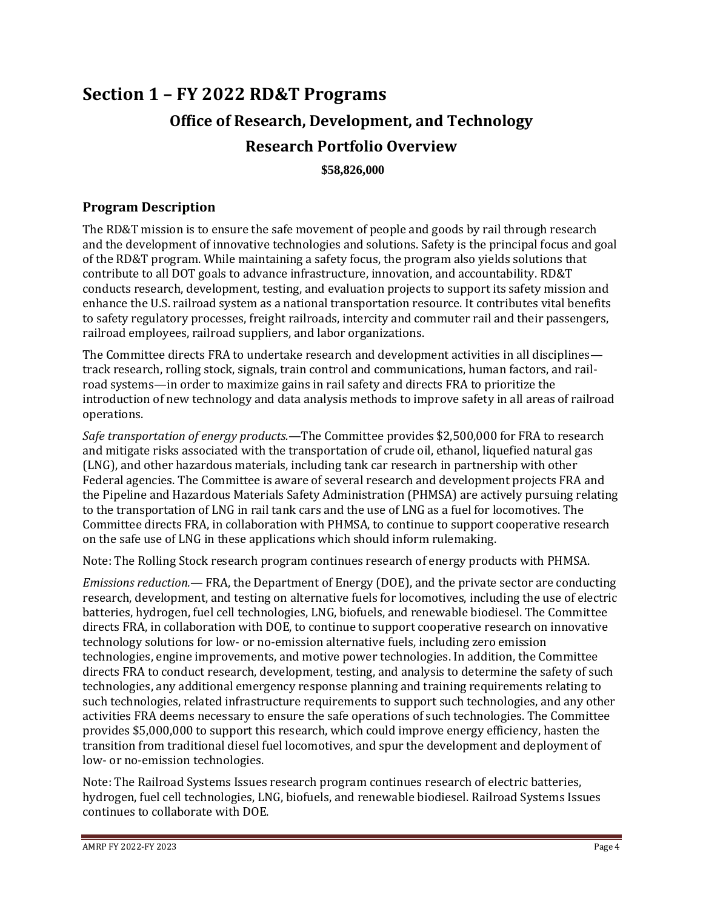# **Section 1 – FY 2022 RD&T Programs Office of Research, Development, and Technology Research Portfolio Overview**

**\$58,826,000**

## **Program Description**

The RD&T mission is to ensure the safe movement of people and goods by rail through research and the development of innovative technologies and solutions. Safety is the principal focus and goal of the RD&T program. While maintaining a safety focus, the program also yields solutions that contribute to all DOT goals to advance infrastructure, innovation, and accountability. RD&T conducts research, development, testing, and evaluation projects to support its safety mission and enhance the U.S. railroad system as a national transportation resource. It contributes vital benefits to safety regulatory processes, freight railroads, intercity and commuter rail and their passengers, railroad employees, railroad suppliers, and labor organizations.

The Committee directs FRA to undertake research and development activities in all disciplines track research, rolling stock, signals, train control and communications, human factors, and railroad systems—in order to maximize gains in rail safety and directs FRA to prioritize the introduction of new technology and data analysis methods to improve safety in all areas of railroad operations.

*Safe transportation of energy products.*—The Committee provides \$2,500,000 for FRA to research and mitigate risks associated with the transportation of crude oil, ethanol, liquefied natural gas (LNG), and other hazardous materials, including tank car research in partnership with other Federal agencies. The Committee is aware of several research and development projects FRA and the Pipeline and Hazardous Materials Safety Administration (PHMSA) are actively pursuing relating to the transportation of LNG in rail tank cars and the use of LNG as a fuel for locomotives. The Committee directs FRA, in collaboration with PHMSA, to continue to support cooperative research on the safe use of LNG in these applications which should inform rulemaking.

Note: The Rolling Stock research program continues research of energy products with PHMSA.

*Emissions reduction.*— FRA, the Department of Energy (DOE), and the private sector are conducting research, development, and testing on alternative fuels for locomotives, including the use of electric batteries, hydrogen, fuel cell technologies, LNG, biofuels, and renewable biodiesel. The Committee directs FRA, in collaboration with DOE, to continue to support cooperative research on innovative technology solutions for low- or no-emission alternative fuels, including zero emission technologies, engine improvements, and motive power technologies. In addition, the Committee directs FRA to conduct research, development, testing, and analysis to determine the safety of such technologies, any additional emergency response planning and training requirements relating to such technologies, related infrastructure requirements to support such technologies, and any other activities FRA deems necessary to ensure the safe operations of such technologies. The Committee provides \$5,000,000 to support this research, which could improve energy efficiency, hasten the transition from traditional diesel fuel locomotives, and spur the development and deployment of low- or no-emission technologies.

Note: The Railroad Systems Issues research program continues research of electric batteries, hydrogen, fuel cell technologies, LNG, biofuels, and renewable biodiesel. Railroad Systems Issues continues to collaborate with DOE.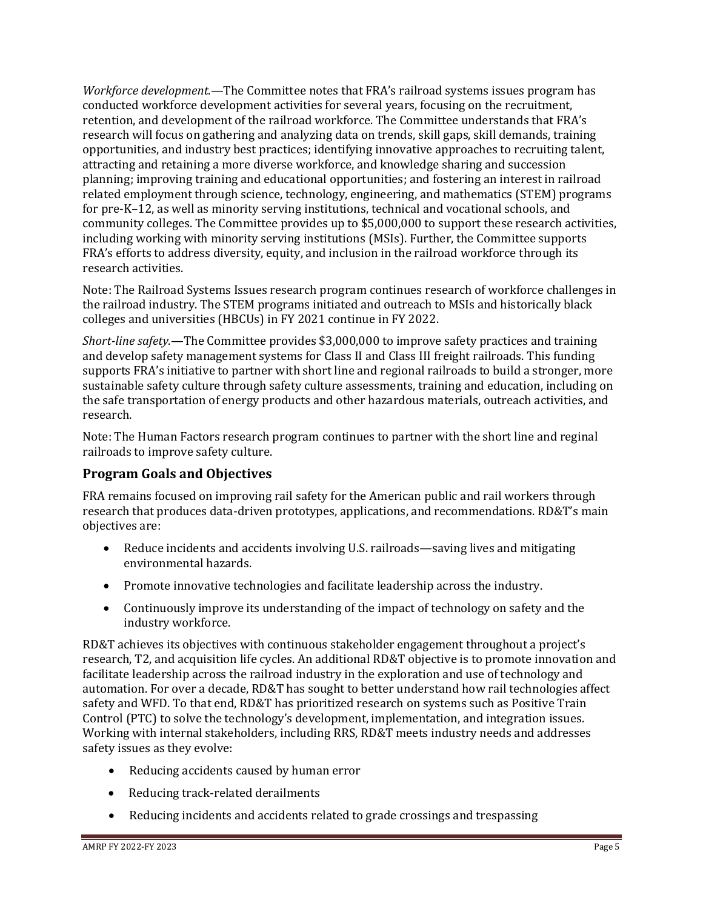*Workforce development.*—The Committee notes that FRA's railroad systems issues program has conducted workforce development activities for several years, focusing on the recruitment, retention, and development of the railroad workforce. The Committee understands that FRA's research will focus on gathering and analyzing data on trends, skill gaps, skill demands, training opportunities, and industry best practices; identifying innovative approaches to recruiting talent, attracting and retaining a more diverse workforce, and knowledge sharing and succession planning; improving training and educational opportunities; and fostering an interest in railroad related employment through science, technology, engineering, and mathematics (STEM) programs for pre-K–12, as well as minority serving institutions, technical and vocational schools, and community colleges. The Committee provides up to \$5,000,000 to support these research activities, including working with minority serving institutions (MSIs). Further, the Committee supports FRA's efforts to address diversity, equity, and inclusion in the railroad workforce through its research activities.

Note: The Railroad Systems Issues research program continues research of workforce challenges in the railroad industry. The STEM programs initiated and outreach to MSIs and historically black colleges and universities (HBCUs) in FY 2021 continue in FY 2022.

*Short-line safety.*—The Committee provides \$3,000,000 to improve safety practices and training and develop safety management systems for Class II and Class III freight railroads. This funding supports FRA's initiative to partner with short line and regional railroads to build a stronger, more sustainable safety culture through safety culture assessments, training and education, including on the safe transportation of energy products and other hazardous materials, outreach activities, and research.

Note: The Human Factors research program continues to partner with the short line and reginal railroads to improve safety culture.

## **Program Goals and Objectives**

FRA remains focused on improving rail safety for the American public and rail workers through research that produces data-driven prototypes, applications, and recommendations. RD&T's main objectives are:

- Reduce incidents and accidents involving U.S. railroads—saving lives and mitigating environmental hazards.
- Promote innovative technologies and facilitate leadership across the industry.
- Continuously improve its understanding of the impact of technology on safety and the industry workforce.

RD&T achieves its objectives with continuous stakeholder engagement throughout a project's research, T2, and acquisition life cycles. An additional RD&T objective is to promote innovation and facilitate leadership across the railroad industry in the exploration and use of technology and automation. For over a decade, RD&T has sought to better understand how rail technologies affect safety and WFD. To that end, RD&T has prioritized research on systems such as Positive Train Control (PTC) to solve the technology's development, implementation, and integration issues. Working with internal stakeholders, including RRS, RD&T meets industry needs and addresses safety issues as they evolve:

- Reducing accidents caused by human error
- Reducing track-related derailments
- Reducing incidents and accidents related to grade crossings and trespassing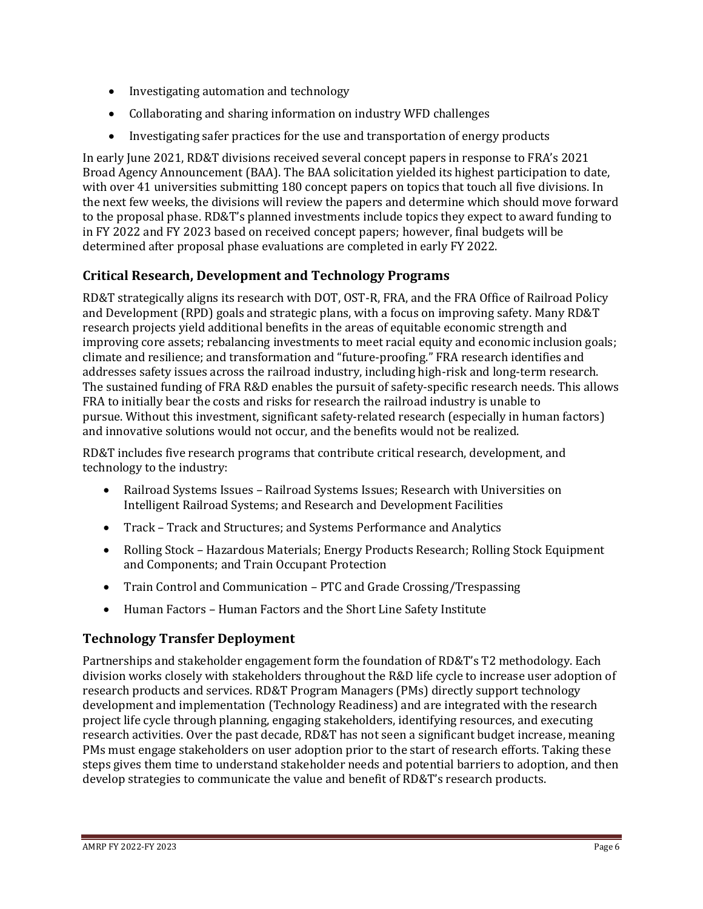- Investigating automation and technology
- Collaborating and sharing information on industry WFD challenges
- Investigating safer practices for the use and transportation of energy products

In early June 2021, RD&T divisions received several concept papers in response to FRA's 2021 Broad Agency Announcement (BAA). The BAA solicitation yielded its highest participation to date, with over 41 universities submitting 180 concept papers on topics that touch all five divisions. In the next few weeks, the divisions will review the papers and determine which should move forward to the proposal phase. RD&T's planned investments include topics they expect to award funding to in FY 2022 and FY 2023 based on received concept papers; however, final budgets will be determined after proposal phase evaluations are completed in early FY 2022.

## **Critical Research, Development and Technology Programs**

RD&T strategically aligns its research with DOT, OST-R, FRA, and the FRA Office of Railroad Policy and Development (RPD) goals and strategic plans, with a focus on improving safety. Many RD&T research projects yield additional benefits in the areas of equitable economic strength and improving core assets; rebalancing investments to meet racial equity and economic inclusion goals; climate and resilience; and transformation and "future-proofing." FRA research identifies and addresses safety issues across the railroad industry, including high-risk and long-term research. The sustained funding of FRA R&D enables the pursuit of safety-specific research needs. This allows FRA to initially bear the costs and risks for research the railroad industry is unable to pursue. Without this investment, significant safety-related research (especially in human factors) and innovative solutions would not occur, and the benefits would not be realized.

RD&T includes five research programs that contribute critical research, development, and technology to the industry:

- Railroad Systems Issues Railroad Systems Issues; Research with Universities on Intelligent Railroad Systems; and Research and Development Facilities
- Track Track and Structures; and Systems Performance and Analytics
- Rolling Stock Hazardous Materials; Energy Products Research; Rolling Stock Equipment and Components; and Train Occupant Protection
- Train Control and Communication PTC and Grade Crossing/Trespassing
- Human Factors Human Factors and the Short Line Safety Institute

## **Technology Transfer Deployment**

Partnerships and stakeholder engagement form the foundation of RD&T's T2 methodology. Each division works closely with stakeholders throughout the R&D life cycle to increase user adoption of research products and services. RD&T Program Managers (PMs) directly support technology development and implementation (Technology Readiness) and are integrated with the research project life cycle through planning, engaging stakeholders, identifying resources, and executing research activities. Over the past decade, RD&T has not seen a significant budget increase, meaning PMs must engage stakeholders on user adoption prior to the start of research efforts. Taking these steps gives them time to understand stakeholder needs and potential barriers to adoption, and then develop strategies to communicate the value and benefit of RD&T's research products.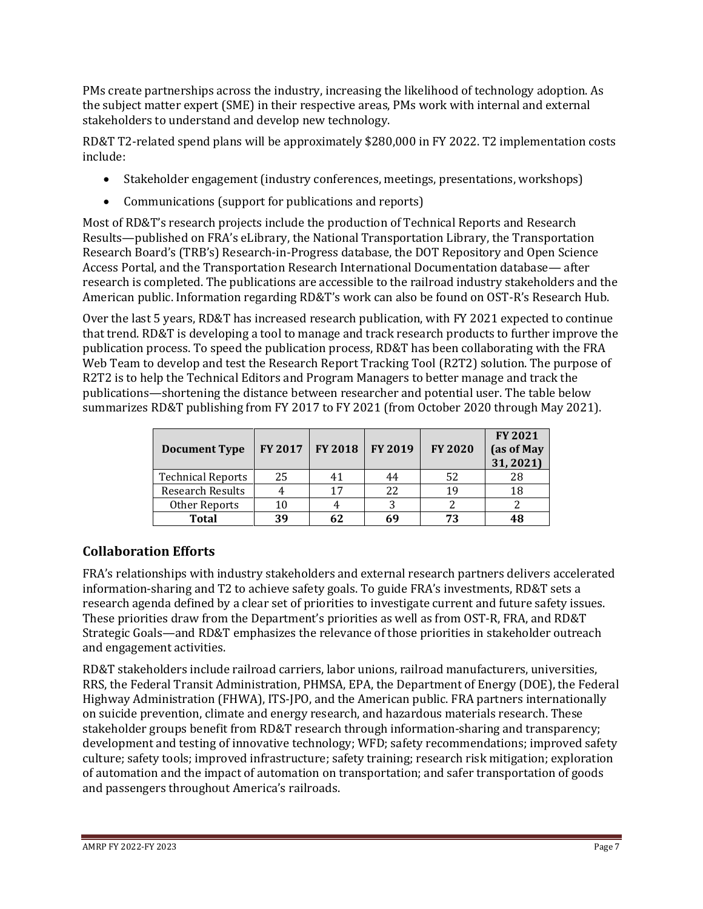PMs create partnerships across the industry, increasing the likelihood of technology adoption. As the subject matter expert (SME) in their respective areas, PMs work with internal and external stakeholders to understand and develop new technology.

RD&T T2-related spend plans will be approximately \$280,000 in FY 2022. T2 implementation costs include:

- Stakeholder engagement (industry conferences, meetings, presentations, workshops)
- Communications (support for publications and reports)

Most of RD&T's research projects include the production of Technical Reports and Research Results—published on FRA's eLibrary, the National Transportation Library, the Transportation Research Board's (TRB's) Research-in-Progress database, the DOT Repository and Open Science Access Portal, and the Transportation Research International Documentation database— after research is completed. The publications are accessible to the railroad industry stakeholders and the American public. Information regarding RD&T's work can also be found on OST-R's Research Hub.

Over the last 5 years, RD&T has increased research publication, with FY 2021 expected to continue that trend. RD&T is developing a tool to manage and track research products to further improve the publication process. To speed the publication process, RD&T has been collaborating with the FRA Web Team to develop and test the Research Report Tracking Tool (R2T2) solution. The purpose of R2T2 is to help the Technical Editors and Program Managers to better manage and track the publications—shortening the distance between researcher and potential user. The table below summarizes RD&T publishing from FY 2017 to FY 2021 (from October 2020 through May 2021).

| <b>Document Type</b>     | <b>FY 2017</b> | <b>FY 2018</b> | <b>FY 2019</b> | <b>FY 2020</b> | <b>FY 2021</b><br>(as of May<br>31, 2021) |
|--------------------------|----------------|----------------|----------------|----------------|-------------------------------------------|
| <b>Technical Reports</b> | 25             | 41             | 44             | 52             | 28                                        |
| <b>Research Results</b>  |                | 17             | 22             | 19             | 18                                        |
| Other Reports            | 10             |                |                |                |                                           |
| <b>Total</b>             | 39             | 62             |                | 73             | 48                                        |

## **Collaboration Efforts**

FRA's relationships with industry stakeholders and external research partners delivers accelerated information-sharing and T2 to achieve safety goals. To guide FRA's investments, RD&T sets a research agenda defined by a clear set of priorities to investigate current and future safety issues. These priorities draw from the Department's priorities as well as from OST-R, FRA, and RD&T Strategic Goals—and RD&T emphasizes the relevance of those priorities in stakeholder outreach and engagement activities.

RD&T stakeholders include railroad carriers, labor unions, railroad manufacturers, universities, RRS, the Federal Transit Administration, PHMSA, EPA, the Department of Energy (DOE), the Federal Highway Administration (FHWA), ITS-JPO, and the American public. FRA partners internationally on suicide prevention, climate and energy research, and hazardous materials research. These stakeholder groups benefit from RD&T research through information-sharing and transparency; development and testing of innovative technology; WFD; safety recommendations; improved safety culture; safety tools; improved infrastructure; safety training; research risk mitigation; exploration of automation and the impact of automation on transportation; and safer transportation of goods and passengers throughout America's railroads.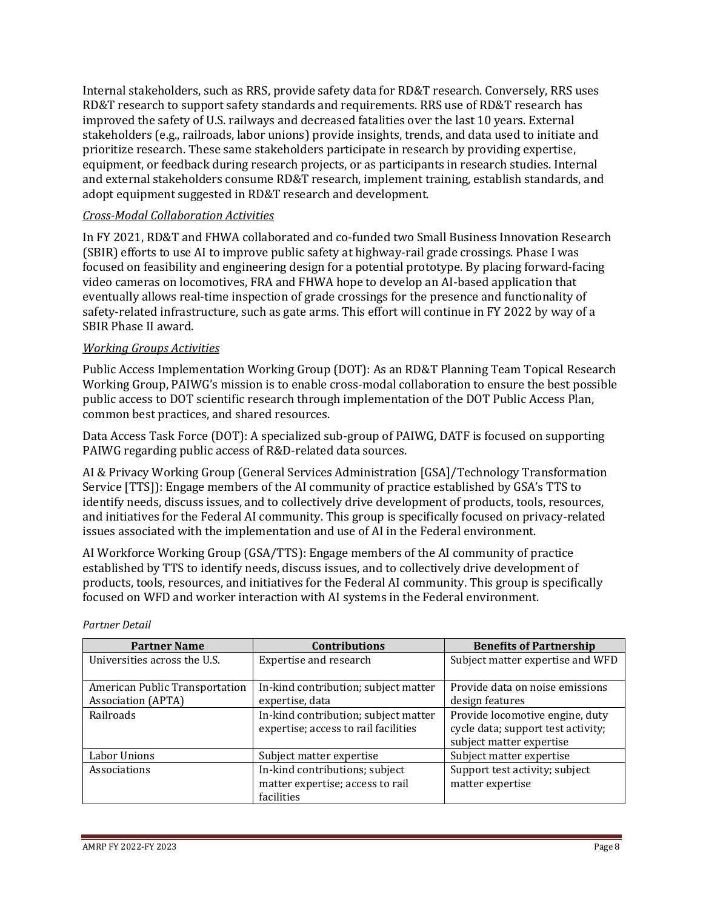Internal stakeholders, such as RRS, provide safety data for RD&T research. Conversely, RRS uses RD&T research to support safety standards and requirements. RRS use of RD&T research has improved the safety of U.S. railways and decreased fatalities over the last 10 years. External stakeholders (e.g., railroads, labor unions) provide insights, trends, and data used to initiate and prioritize research. These same stakeholders participate in research by providing expertise, equipment, or feedback during research projects, or as participants in research studies. Internal and external stakeholders consume RD&T research, implement training, establish standards, and adopt equipment suggested in RD&T research and development.

## *Cross-Modal Collaboration Activities*

In FY 2021, RD&T and FHWA collaborated and co-funded two Small Business Innovation Research (SBIR) efforts to use AI to improve public safety at highway-rail grade crossings. Phase I was focused on feasibility and engineering design for a potential prototype. By placing forward-facing video cameras on locomotives, FRA and FHWA hope to develop an AI-based application that eventually allows real-time inspection of grade crossings for the presence and functionality of safety-related infrastructure, such as gate arms. This effort will continue in FY 2022 by way of a SBIR Phase II award.

#### *Working Groups Activities*

Public Access Implementation Working Group (DOT): As an RD&T Planning Team Topical Research Working Group, PAIWG's mission is to enable cross-modal collaboration to ensure the best possible public access to DOT scientific research through implementation of the DOT Public Access Plan, common best practices, and shared resources.

Data Access Task Force (DOT): A specialized sub-group of PAIWG, DATF is focused on supporting PAIWG regarding public access of R&D-related data sources.

AI & Privacy Working Group (General Services Administration [GSA]/Technology Transformation Service [TTS]): Engage members of the AI community of practice established by GSA's TTS to identify needs, discuss issues, and to collectively drive development of products, tools, resources, and initiatives for the Federal AI community. This group is specifically focused on privacy-related issues associated with the implementation and use of AI in the Federal environment.

AI Workforce Working Group (GSA/TTS): Engage members of the AI community of practice established by TTS to identify needs, discuss issues, and to collectively drive development of products, tools, resources, and initiatives for the Federal AI community. This group is specifically focused on WFD and worker interaction with AI systems in the Federal environment.

| <b>Partner Name</b>                                         | <b>Contributions</b>                                                             | <b>Benefits of Partnership</b>                                                                    |
|-------------------------------------------------------------|----------------------------------------------------------------------------------|---------------------------------------------------------------------------------------------------|
| Universities across the U.S.                                | Expertise and research                                                           | Subject matter expertise and WFD                                                                  |
| American Public Transportation<br><b>Association (APTA)</b> | In-kind contribution; subject matter<br>expertise, data                          | Provide data on noise emissions<br>design features                                                |
| Railroads                                                   | In-kind contribution; subject matter<br>expertise; access to rail facilities     | Provide locomotive engine, duty<br>cycle data; support test activity;<br>subject matter expertise |
| Labor Unions                                                | Subject matter expertise                                                         | Subject matter expertise                                                                          |
| Associations                                                | In-kind contributions; subject<br>matter expertise; access to rail<br>facilities | Support test activity; subject<br>matter expertise                                                |

#### *Partner Detail*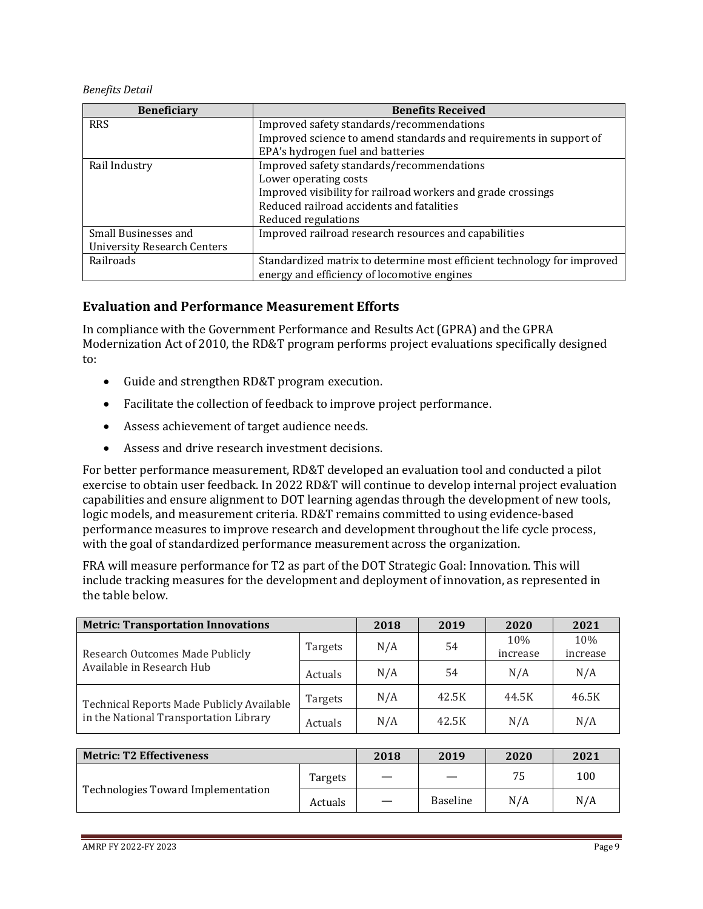*Benefits Detail*

| <b>Beneficiary</b>                 | <b>Benefits Received</b>                                                |
|------------------------------------|-------------------------------------------------------------------------|
| <b>RRS</b>                         | Improved safety standards/recommendations                               |
|                                    | Improved science to amend standards and requirements in support of      |
|                                    | EPA's hydrogen fuel and batteries                                       |
| Rail Industry                      | Improved safety standards/recommendations                               |
|                                    | Lower operating costs                                                   |
|                                    | Improved visibility for railroad workers and grade crossings            |
|                                    | Reduced railroad accidents and fatalities                               |
|                                    | Reduced regulations                                                     |
| Small Businesses and               | Improved railroad research resources and capabilities                   |
| <b>University Research Centers</b> |                                                                         |
| Railroads                          | Standardized matrix to determine most efficient technology for improved |
|                                    | energy and efficiency of locomotive engines                             |

## **Evaluation and Performance Measurement Efforts**

In compliance with the Government Performance and Results Act (GPRA) and the GPRA Modernization Act of 2010, the RD&T program performs project evaluations specifically designed to:

- Guide and strengthen RD&T program execution.
- Facilitate the collection of feedback to improve project performance.
- Assess achievement of target audience needs.
- Assess and drive research investment decisions.

For better performance measurement, RD&T developed an evaluation tool and conducted a pilot exercise to obtain user feedback. In 2022 RD&T will continue to develop internal project evaluation capabilities and ensure alignment to DOT learning agendas through the development of new tools, logic models, and measurement criteria. RD&T remains committed to using evidence-based performance measures to improve research and development throughout the life cycle process, with the goal of standardized performance measurement across the organization.

FRA will measure performance for T2 as part of the DOT Strategic Goal: Innovation. This will include tracking measures for the development and deployment of innovation, as represented in the table below.

| <b>Metric: Transportation Innovations</b> | 2018    | 2019 | 2020  | 2021            |                 |
|-------------------------------------------|---------|------|-------|-----------------|-----------------|
| Research Outcomes Made Publicly           | Targets | N/A  | 54    | 10%<br>increase | 10%<br>increase |
| Available in Research Hub                 | Actuals | N/A  | 54    | N/A             | N/A             |
| Technical Reports Made Publicly Available | Targets | N/A  | 42.5K | 44.5K           | 46.5K           |
| in the National Transportation Library    | Actuals | N/A  | 42.5K | N/A             | N/A             |

| <b>Metric: T2 Effectiveness</b>    |         | 2018 | 2019            | 2020 | 2021 |
|------------------------------------|---------|------|-----------------|------|------|
|                                    | Targets |      |                 | 75   | 100  |
| Technologies Toward Implementation | Actuals |      | <b>Baseline</b> | N/A  | N/A  |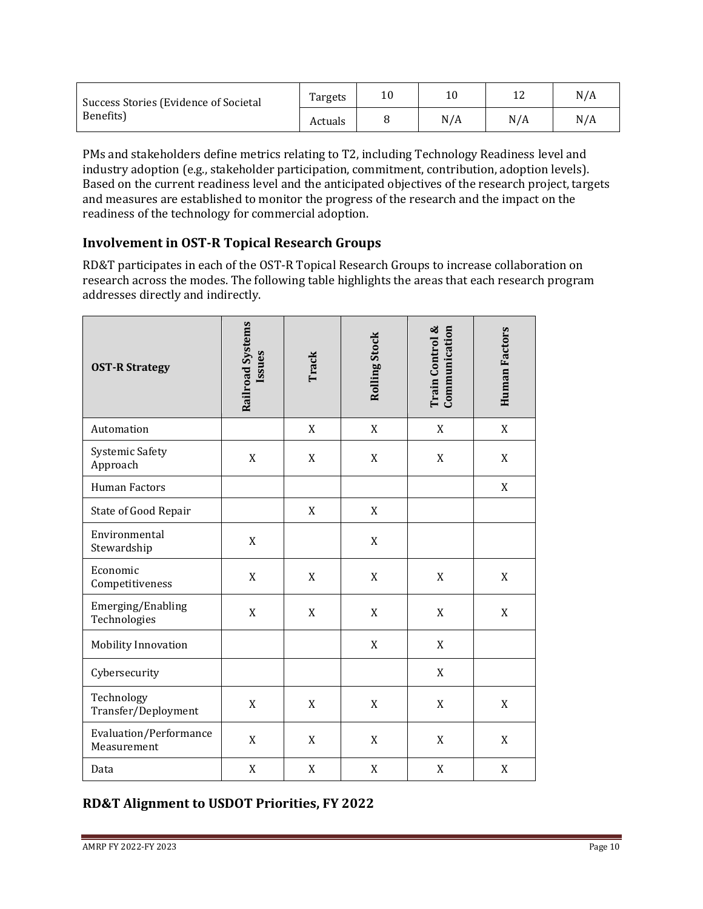| Success Stories (Evidence of Societal<br>Benefits) | Targets | 10  |     | N/A |
|----------------------------------------------------|---------|-----|-----|-----|
|                                                    | Actuals | N/A | N/A | N/A |

PMs and stakeholders define metrics relating to T2, including Technology Readiness level and industry adoption (e.g., stakeholder participation, commitment, contribution, adoption levels). Based on the current readiness level and the anticipated objectives of the research project, targets and measures are established to monitor the progress of the research and the impact on the readiness of the technology for commercial adoption.

## **Involvement in OST-R Topical Research Groups**

RD&T participates in each of the OST-R Topical Research Groups to increase collaboration on research across the modes. The following table highlights the areas that each research program addresses directly and indirectly.

| <b>OST-R Strategy</b>                 | <b>Railroad Systems</b><br>Issues | Track       | Rolling Stock             | Train Control &<br>Communication | Human Factors |
|---------------------------------------|-----------------------------------|-------------|---------------------------|----------------------------------|---------------|
| Automation                            |                                   | X           | $\mathbf X$               | X                                | X             |
| <b>Systemic Safety</b><br>Approach    | $\mathbf X$                       | X           | $\boldsymbol{\mathrm{X}}$ | X                                | X             |
| <b>Human Factors</b>                  |                                   |             |                           |                                  | X             |
| State of Good Repair                  |                                   | $\mathbf X$ | $\mathbf X$               |                                  |               |
| Environmental<br>Stewardship          | X                                 |             | $\mathbf X$               |                                  |               |
| Economic<br>Competitiveness           | $\mathbf X$                       | X           | $\mathbf X$               | X                                | X             |
| Emerging/Enabling<br>Technologies     | X                                 | $\mathbf X$ | $\boldsymbol{\mathrm{X}}$ | X                                | X             |
| Mobility Innovation                   |                                   |             | X                         | X                                |               |
| Cybersecurity                         |                                   |             |                           | X                                |               |
| Technology<br>Transfer/Deployment     | X                                 | X           | X                         | X                                | X             |
| Evaluation/Performance<br>Measurement | X                                 | X           | $\mathbf X$               | X                                | X             |
| Data                                  | X                                 | X           | X                         | X                                | X             |

## **RD&T Alignment to USDOT Priorities, FY 2022**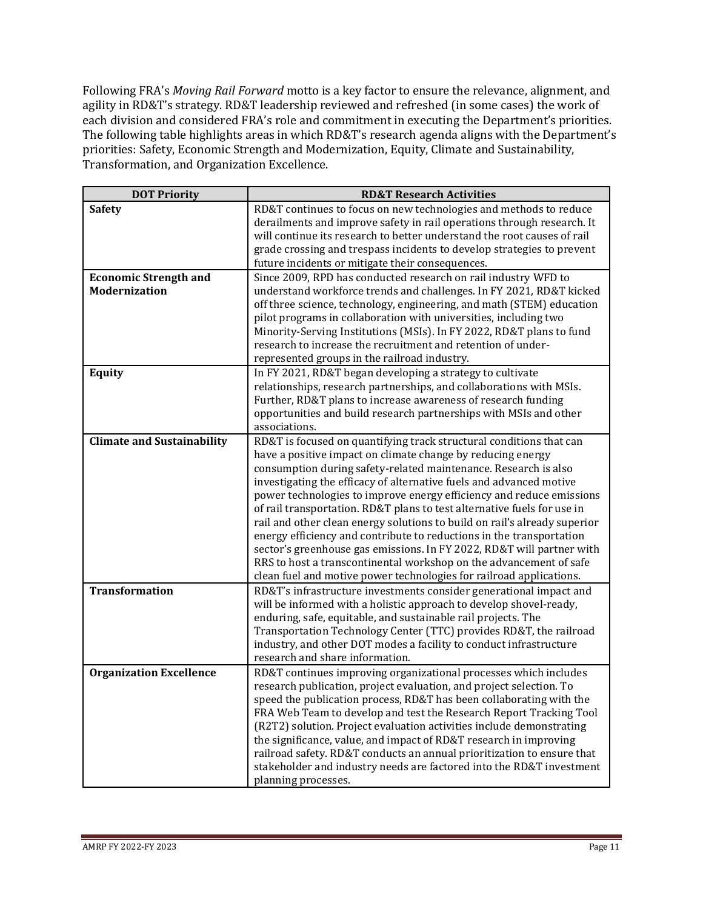Following FRA's *Moving Rail Forward* motto is a key factor to ensure the relevance, alignment, and agility in RD&T's strategy. RD&T leadership reviewed and refreshed (in some cases) the work of each division and considered FRA's role and commitment in executing the Department's priorities. The following table highlights areas in which RD&T's research agenda aligns with the Department's priorities: Safety, Economic Strength and Modernization, Equity, Climate and Sustainability, Transformation, and Organization Excellence.

| <b>RD&amp;T Research Activities</b>                                                                                                 |
|-------------------------------------------------------------------------------------------------------------------------------------|
| RD&T continues to focus on new technologies and methods to reduce                                                                   |
| derailments and improve safety in rail operations through research. It                                                              |
| will continue its research to better understand the root causes of rail                                                             |
| grade crossing and trespass incidents to develop strategies to prevent                                                              |
| future incidents or mitigate their consequences.                                                                                    |
| Since 2009, RPD has conducted research on rail industry WFD to                                                                      |
| understand workforce trends and challenges. In FY 2021, RD&T kicked                                                                 |
| off three science, technology, engineering, and math (STEM) education                                                               |
| pilot programs in collaboration with universities, including two                                                                    |
| Minority-Serving Institutions (MSIs). In FY 2022, RD&T plans to fund                                                                |
| research to increase the recruitment and retention of under-                                                                        |
| represented groups in the railroad industry.                                                                                        |
| In FY 2021, RD&T began developing a strategy to cultivate                                                                           |
| relationships, research partnerships, and collaborations with MSIs.                                                                 |
| Further, RD&T plans to increase awareness of research funding                                                                       |
| opportunities and build research partnerships with MSIs and other                                                                   |
| associations.                                                                                                                       |
| RD&T is focused on quantifying track structural conditions that can                                                                 |
| have a positive impact on climate change by reducing energy                                                                         |
| consumption during safety-related maintenance. Research is also                                                                     |
| investigating the efficacy of alternative fuels and advanced motive                                                                 |
| power technologies to improve energy efficiency and reduce emissions                                                                |
| of rail transportation. RD&T plans to test alternative fuels for use in                                                             |
| rail and other clean energy solutions to build on rail's already superior                                                           |
| energy efficiency and contribute to reductions in the transportation                                                                |
| sector's greenhouse gas emissions. In FY 2022, RD&T will partner with                                                               |
| RRS to host a transcontinental workshop on the advancement of safe                                                                  |
| clean fuel and motive power technologies for railroad applications.                                                                 |
| RD&T's infrastructure investments consider generational impact and                                                                  |
| will be informed with a holistic approach to develop shovel-ready,<br>enduring, safe, equitable, and sustainable rail projects. The |
| Transportation Technology Center (TTC) provides RD&T, the railroad                                                                  |
| industry, and other DOT modes a facility to conduct infrastructure                                                                  |
| research and share information.                                                                                                     |
| RD&T continues improving organizational processes which includes                                                                    |
| research publication, project evaluation, and project selection. To                                                                 |
| speed the publication process, RD&T has been collaborating with the                                                                 |
| FRA Web Team to develop and test the Research Report Tracking Tool                                                                  |
| (R2T2) solution. Project evaluation activities include demonstrating                                                                |
| the significance, value, and impact of RD&T research in improving                                                                   |
| railroad safety. RD&T conducts an annual prioritization to ensure that                                                              |
| stakeholder and industry needs are factored into the RD&T investment                                                                |
| planning processes.                                                                                                                 |
|                                                                                                                                     |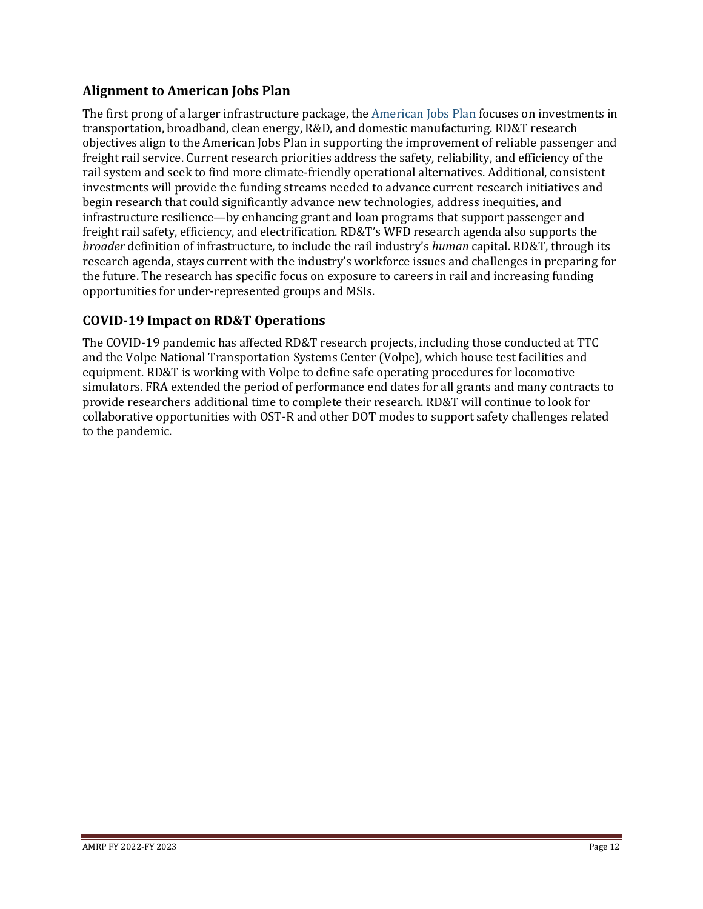## **Alignment to American Jobs Plan**

The first prong of a larger infrastructure package, the [American Jobs Plan](https://www.whitehouse.gov/briefing-room/statements-releases/2021/03/31/fact-sheet-the-american-jobs-plan/) focuses on investments in transportation, broadband, clean energy, R&D, and domestic manufacturing. RD&T research objectives align to the American Jobs Plan in supporting the improvement of reliable passenger and freight rail service. Current research priorities address the safety, reliability, and efficiency of the rail system and seek to find more climate-friendly operational alternatives. Additional, consistent investments will provide the funding streams needed to advance current research initiatives and begin research that could significantly advance new technologies, address inequities, and infrastructure resilience—by enhancing grant and loan programs that support passenger and freight rail safety, efficiency, and electrification. RD&T's WFD research agenda also supports the *broader* definition of infrastructure, to include the rail industry's *human* capital. RD&T, through its research agenda, stays current with the industry's workforce issues and challenges in preparing for the future. The research has specific focus on exposure to careers in rail and increasing funding opportunities for under-represented groups and MSIs.

## **COVID-19 Impact on RD&T Operations**

The COVID-19 pandemic has affected RD&T research projects, including those conducted at TTC and the Volpe National Transportation Systems Center (Volpe), which house test facilities and equipment. RD&T is working with Volpe to define safe operating procedures for locomotive simulators. FRA extended the period of performance end dates for all grants and many contracts to provide researchers additional time to complete their research. RD&T will continue to look for collaborative opportunities with OST-R and other DOT modes to support safety challenges related to the pandemic.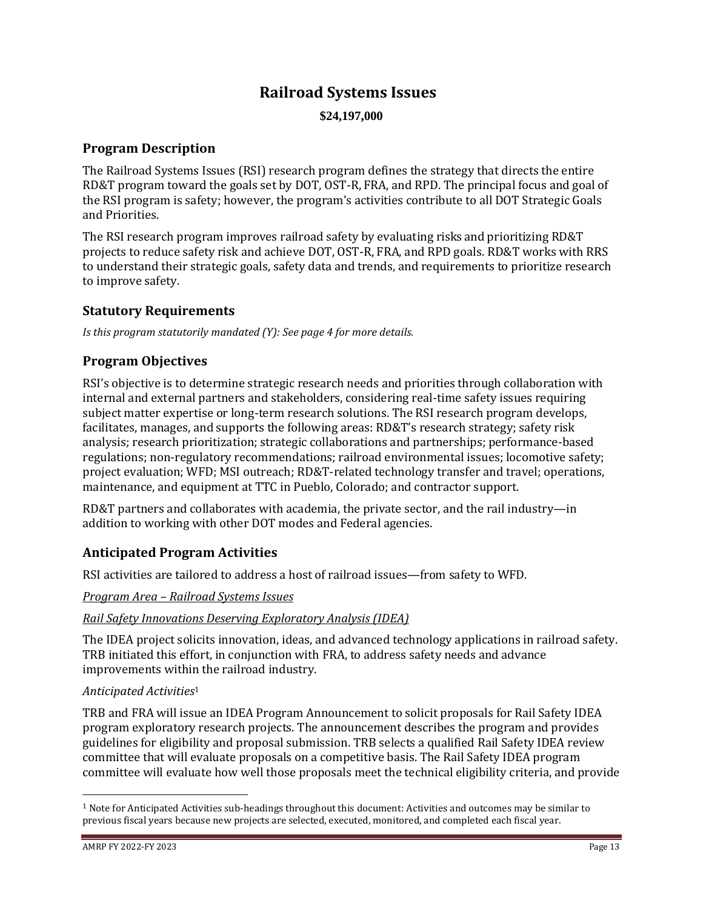# **Railroad Systems Issues \$24,197,000**

## **Program Description**

The Railroad Systems Issues (RSI) research program defines the strategy that directs the entire RD&T program toward the goals set by DOT, OST-R, FRA, and RPD. The principal focus and goal of the RSI program is safety; however, the program's activities contribute to all DOT Strategic Goals and Priorities.

The RSI research program improves railroad safety by evaluating risks and prioritizing RD&T projects to reduce safety risk and achieve DOT, OST-R, FRA, and RPD goals. RD&T works with RRS to understand their strategic goals, safety data and trends, and requirements to prioritize research to improve safety.

## **Statutory Requirements**

*Is this program statutorily mandated (Y): See page 4 for more details.*

## **Program Objectives**

RSI's objective is to determine strategic research needs and priorities through collaboration with internal and external partners and stakeholders, considering real-time safety issues requiring subject matter expertise or long-term research solutions. The RSI research program develops, facilitates, manages, and supports the following areas: RD&T's research strategy; safety risk analysis; research prioritization; strategic collaborations and partnerships; performance-based regulations; non-regulatory recommendations; railroad environmental issues; locomotive safety; project evaluation; WFD; MSI outreach; RD&T-related technology transfer and travel; operations, maintenance, and equipment at TTC in Pueblo, Colorado; and contractor support.

RD&T partners and collaborates with academia, the private sector, and the rail industry—in addition to working with other DOT modes and Federal agencies.

## **Anticipated Program Activities**

RSI activities are tailored to address a host of railroad issues—from safety to WFD.

## *Program Area – Railroad Systems Issues*

## *Rail Safety Innovations Deserving Exploratory Analysis (IDEA)*

The IDEA project solicits innovation, ideas, and advanced technology applications in railroad safety. TRB initiated this effort, in conjunction with FRA, to address safety needs and advance improvements within the railroad industry.

## *Anticipated Activities*<sup>1</sup>

TRB and FRA will issue an IDEA Program Announcement to solicit proposals for Rail Safety IDEA program exploratory research projects. The announcement describes the program and provides guidelines for eligibility and proposal submission. TRB selects a qualified Rail Safety IDEA review committee that will evaluate proposals on a competitive basis. The Rail Safety IDEA program committee will evaluate how well those proposals meet the technical eligibility criteria, and provide

 $1$  Note for Anticipated Activities sub-headings throughout this document: Activities and outcomes may be similar to previous fiscal years because new projects are selected, executed, monitored, and completed each fiscal year.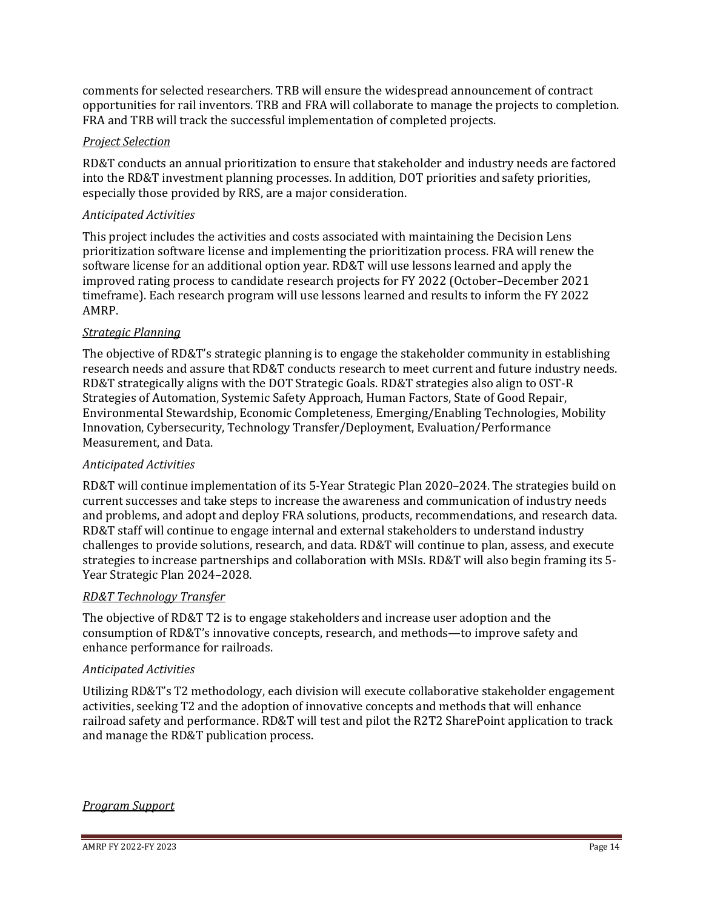comments for selected researchers. TRB will ensure the widespread announcement of contract opportunities for rail inventors. TRB and FRA will collaborate to manage the projects to completion. FRA and TRB will track the successful implementation of completed projects.

## *Project Selection*

RD&T conducts an annual prioritization to ensure that stakeholder and industry needs are factored into the RD&T investment planning processes. In addition, DOT priorities and safety priorities, especially those provided by RRS, are a major consideration.

#### *Anticipated Activities*

This project includes the activities and costs associated with maintaining the Decision Lens prioritization software license and implementing the prioritization process. FRA will renew the software license for an additional option year. RD&T will use lessons learned and apply the improved rating process to candidate research projects for FY 2022 (October–December 2021 timeframe). Each research program will use lessons learned and results to inform the FY 2022 AMRP.

#### *Strategic Planning*

The objective of RD&T's strategic planning is to engage the stakeholder community in establishing research needs and assure that RD&T conducts research to meet current and future industry needs. RD&T strategically aligns with the DOT Strategic Goals. RD&T strategies also align to OST-R Strategies of Automation, Systemic Safety Approach, Human Factors, State of Good Repair, Environmental Stewardship, Economic Completeness, Emerging/Enabling Technologies, Mobility Innovation, Cybersecurity, Technology Transfer/Deployment, Evaluation/Performance Measurement, and Data.

#### *Anticipated Activities*

RD&T will continue implementation of its 5-Year Strategic Plan 2020–2024. The strategies build on current successes and take steps to increase the awareness and communication of industry needs and problems, and adopt and deploy FRA solutions, products, recommendations, and research data. RD&T staff will continue to engage internal and external stakeholders to understand industry challenges to provide solutions, research, and data. RD&T will continue to plan, assess, and execute strategies to increase partnerships and collaboration with MSIs. RD&T will also begin framing its 5- Year Strategic Plan 2024–2028.

#### *RD&T Technology Transfer*

The objective of RD&T T2 is to engage stakeholders and increase user adoption and the consumption of RD&T's innovative concepts, research, and methods—to improve safety and enhance performance for railroads.

#### *Anticipated Activities*

Utilizing RD&T's T2 methodology, each division will execute collaborative stakeholder engagement activities, seeking T2 and the adoption of innovative concepts and methods that will enhance railroad safety and performance. RD&T will test and pilot the R2T2 SharePoint application to track and manage the RD&T publication process.

#### *Program Support*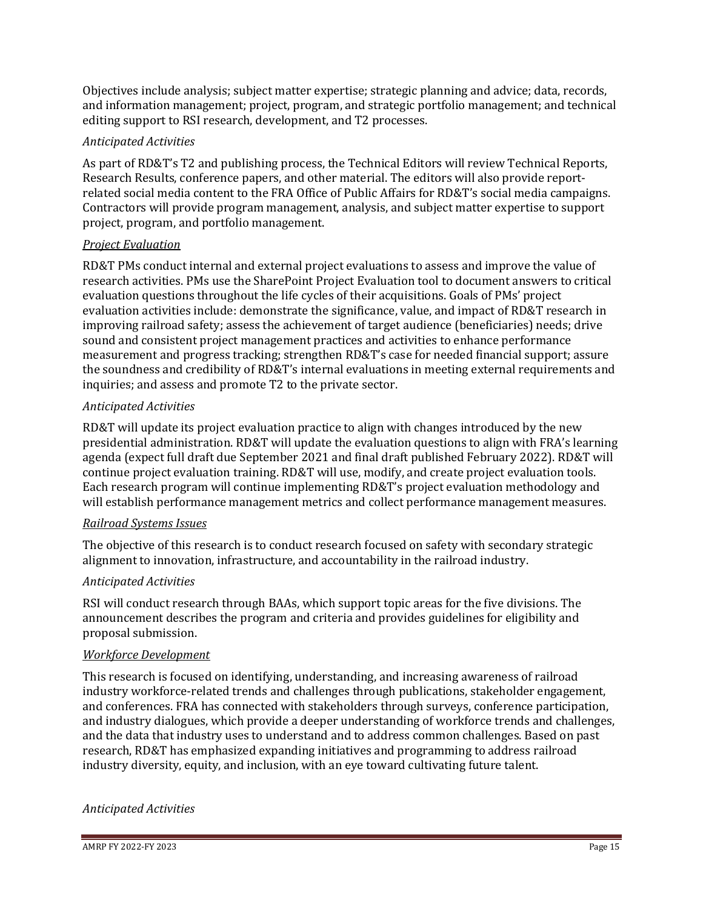Objectives include analysis; subject matter expertise; strategic planning and advice; data, records, and information management; project, program, and strategic portfolio management; and technical editing support to RSI research, development, and T2 processes.

## *Anticipated Activities*

As part of RD&T's T2 and publishing process, the Technical Editors will review Technical Reports, Research Results, conference papers, and other material. The editors will also provide reportrelated social media content to the FRA Office of Public Affairs for RD&T's social media campaigns. Contractors will provide program management, analysis, and subject matter expertise to support project, program, and portfolio management.

#### *Project Evaluation*

RD&T PMs conduct internal and external project evaluations to assess and improve the value of research activities. PMs use the SharePoint Project Evaluation tool to document answers to critical evaluation questions throughout the life cycles of their acquisitions. Goals of PMs' project evaluation activities include: demonstrate the significance, value, and impact of RD&T research in improving railroad safety; assess the achievement of target audience (beneficiaries) needs; drive sound and consistent project management practices and activities to enhance performance measurement and progress tracking; strengthen RD&T's case for needed financial support; assure the soundness and credibility of RD&T's internal evaluations in meeting external requirements and inquiries; and assess and promote T2 to the private sector.

## *Anticipated Activities*

RD&T will update its project evaluation practice to align with changes introduced by the new presidential administration. RD&T will update the evaluation questions to align with FRA's learning agenda (expect full draft due September 2021 and final draft published February 2022). RD&T will continue project evaluation training. RD&T will use, modify, and create project evaluation tools. Each research program will continue implementing RD&T's project evaluation methodology and will establish performance management metrics and collect performance management measures.

## *Railroad Systems Issues*

The objective of this research is to conduct research focused on safety with secondary strategic alignment to innovation, infrastructure, and accountability in the railroad industry.

## *Anticipated Activities*

RSI will conduct research through BAAs, which support topic areas for the five divisions. The announcement describes the program and criteria and provides guidelines for eligibility and proposal submission.

#### *Workforce Development*

This research is focused on identifying, understanding, and increasing awareness of railroad industry workforce-related trends and challenges through publications, stakeholder engagement, and conferences. FRA has connected with stakeholders through surveys, conference participation, and industry dialogues, which provide a deeper understanding of workforce trends and challenges, and the data that industry uses to understand and to address common challenges. Based on past research, RD&T has emphasized expanding initiatives and programming to address railroad industry diversity, equity, and inclusion, with an eye toward cultivating future talent.

## *Anticipated Activities*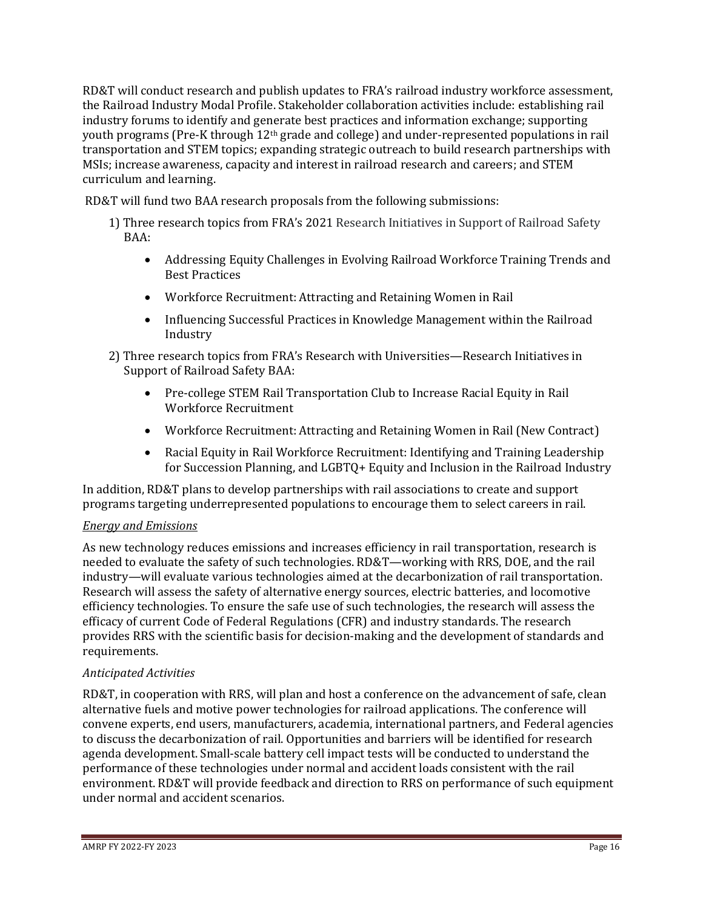RD&T will conduct research and publish updates to FRA's railroad industry workforce assessment, the Railroad Industry Modal Profile. Stakeholder collaboration activities include: establishing rail industry forums to identify and generate best practices and information exchange; supporting youth programs (Pre-K through 12th grade and college) and under-represented populations in rail transportation and STEM topics; expanding strategic outreach to build research partnerships with MSIs; increase awareness, capacity and interest in railroad research and careers; and STEM curriculum and learning.

RD&T will fund two BAA research proposals from the following submissions:

- 1) Three research topics from FRA's 2021 Research Initiatives in Support of Railroad Safety BAA:
	- Addressing Equity Challenges in Evolving Railroad Workforce Training Trends and Best Practices
	- Workforce Recruitment: Attracting and Retaining Women in Rail
	- Influencing Successful Practices in Knowledge Management within the Railroad Industry
- 2) Three research topics from FRA's Research with Universities—Research Initiatives in Support of Railroad Safety BAA:
	- Pre-college STEM Rail Transportation Club to Increase Racial Equity in Rail Workforce Recruitment
	- Workforce Recruitment: Attracting and Retaining Women in Rail (New Contract)
	- Racial Equity in Rail Workforce Recruitment: Identifying and Training Leadership for Succession Planning, and LGBTQ+ Equity and Inclusion in the Railroad Industry

In addition, RD&T plans to develop partnerships with rail associations to create and support programs targeting underrepresented populations to encourage them to select careers in rail.

## *Energy and Emissions*

As new technology reduces emissions and increases efficiency in rail transportation, research is needed to evaluate the safety of such technologies. RD&T—working with RRS, DOE, and the rail industry—will evaluate various technologies aimed at the decarbonization of rail transportation. Research will assess the safety of alternative energy sources, electric batteries, and locomotive efficiency technologies. To ensure the safe use of such technologies, the research will assess the efficacy of current Code of Federal Regulations (CFR) and industry standards. The research provides RRS with the scientific basis for decision-making and the development of standards and requirements.

## *Anticipated Activities*

RD&T, in cooperation with RRS, will plan and host a conference on the advancement of safe, clean alternative fuels and motive power technologies for railroad applications. The conference will convene experts, end users, manufacturers, academia, international partners, and Federal agencies to discuss the decarbonization of rail. Opportunities and barriers will be identified for research agenda development. Small-scale battery cell impact tests will be conducted to understand the performance of these technologies under normal and accident loads consistent with the rail environment. RD&T will provide feedback and direction to RRS on performance of such equipment under normal and accident scenarios.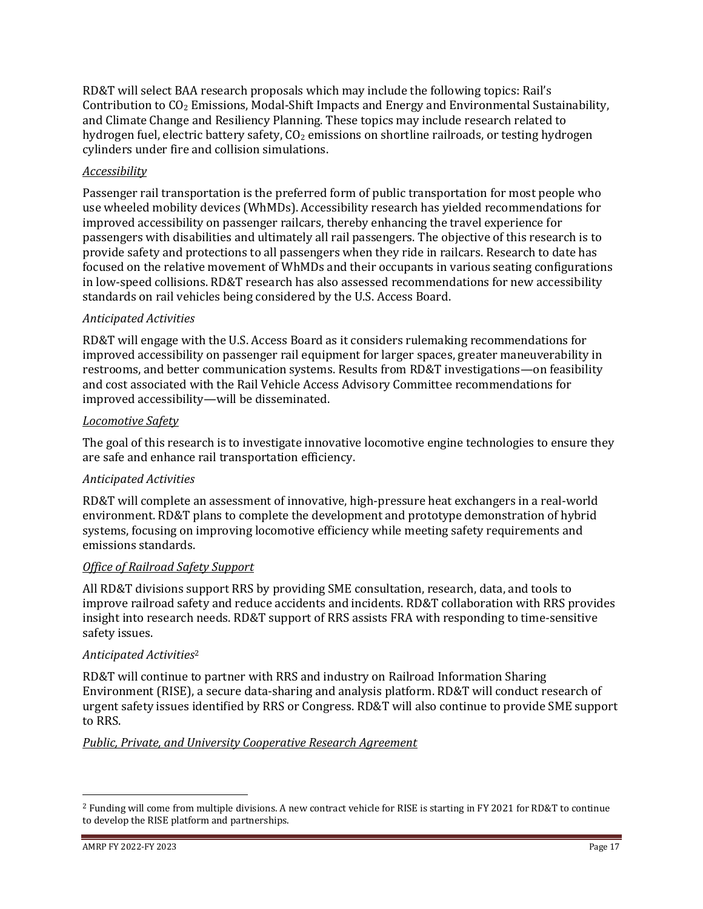RD&T will select BAA research proposals which may include the following topics: Rail's Contribution to  $CO<sub>2</sub>$  Emissions, Modal-Shift Impacts and Energy and Environmental Sustainability, and Climate Change and Resiliency Planning. These topics may include research related to hydrogen fuel, electric battery safety,  $CO<sub>2</sub>$  emissions on shortline railroads, or testing hydrogen cylinders under fire and collision simulations.

## *Accessibility*

Passenger rail transportation is the preferred form of public transportation for most people who use wheeled mobility devices (WhMDs). Accessibility research has yielded recommendations for improved accessibility on passenger railcars, thereby enhancing the travel experience for passengers with disabilities and ultimately all rail passengers. The objective of this research is to provide safety and protections to all passengers when they ride in railcars. Research to date has focused on the relative movement of WhMDs and their occupants in various seating configurations in low-speed collisions. RD&T research has also assessed recommendations for new accessibility standards on rail vehicles being considered by the U.S. Access Board.

## *Anticipated Activities*

RD&T will engage with the U.S. Access Board as it considers rulemaking recommendations for improved accessibility on passenger rail equipment for larger spaces, greater maneuverability in restrooms, and better communication systems. Results from RD&T investigations—on feasibility and cost associated with the Rail Vehicle Access Advisory Committee recommendations for improved accessibility—will be disseminated.

## *Locomotive Safety*

The goal of this research is to investigate innovative locomotive engine technologies to ensure they are safe and enhance rail transportation efficiency.

## *Anticipated Activities*

RD&T will complete an assessment of innovative, high-pressure heat exchangers in a real-world environment. RD&T plans to complete the development and prototype demonstration of hybrid systems, focusing on improving locomotive efficiency while meeting safety requirements and emissions standards.

## *Office of Railroad Safety Support*

All RD&T divisions support RRS by providing SME consultation, research, data, and tools to improve railroad safety and reduce accidents and incidents. RD&T collaboration with RRS provides insight into research needs. RD&T support of RRS assists FRA with responding to time-sensitive safety issues.

## *Anticipated Activities*<sup>2</sup>

RD&T will continue to partner with RRS and industry on Railroad Information Sharing Environment (RISE), a secure data-sharing and analysis platform. RD&T will conduct research of urgent safety issues identified by RRS or Congress. RD&T will also continue to provide SME support to RRS.

## *Public, Private, and University Cooperative Research Agreement*

<sup>2</sup> Funding will come from multiple divisions. A new contract vehicle for RISE is starting in FY 2021 for RD&T to continue to develop the RISE platform and partnerships.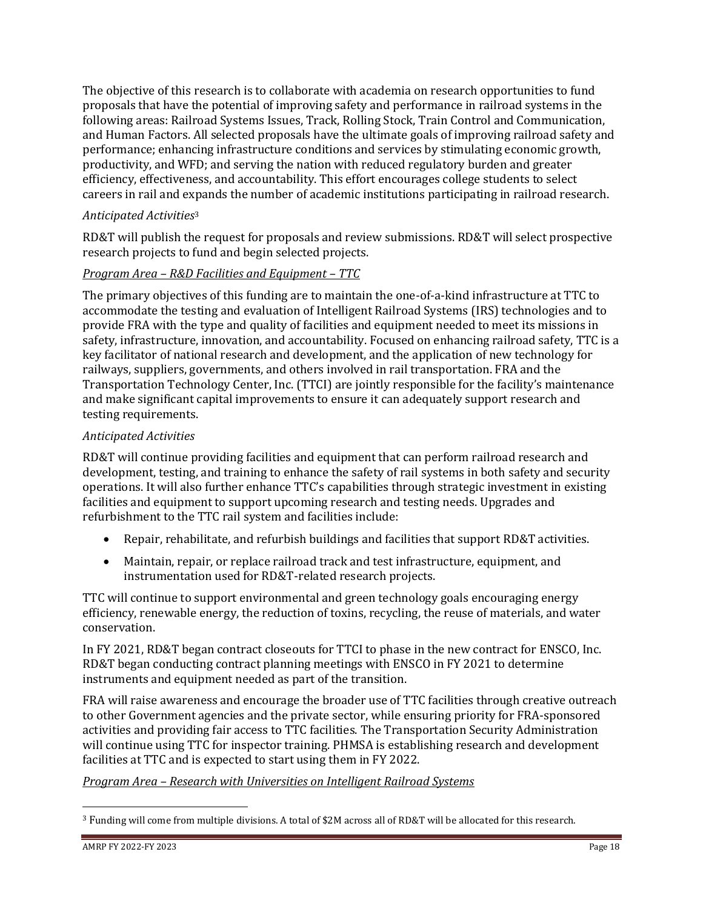The objective of this research is to collaborate with academia on research opportunities to fund proposals that have the potential of improving safety and performance in railroad systems in the following areas: Railroad Systems Issues, Track, Rolling Stock, Train Control and Communication, and Human Factors. All selected proposals have the ultimate goals of improving railroad safety and performance; enhancing infrastructure conditions and services by stimulating economic growth, productivity, and WFD; and serving the nation with reduced regulatory burden and greater efficiency, effectiveness, and accountability. This effort encourages college students to select careers in rail and expands the number of academic institutions participating in railroad research.

## *Anticipated Activities*<sup>3</sup>

RD&T will publish the request for proposals and review submissions. RD&T will select prospective research projects to fund and begin selected projects.

## *Program Area – R&D Facilities and Equipment – TTC*

The primary objectives of this funding are to maintain the one-of-a-kind infrastructure at TTC to accommodate the testing and evaluation of Intelligent Railroad Systems (IRS) technologies and to provide FRA with the type and quality of facilities and equipment needed to meet its missions in safety, infrastructure, innovation, and accountability. Focused on enhancing railroad safety, TTC is a key facilitator of national research and development, and the application of new technology for railways, suppliers, governments, and others involved in rail transportation. FRA and the Transportation Technology Center, Inc. (TTCI) are jointly responsible for the facility's maintenance and make significant capital improvements to ensure it can adequately support research and testing requirements.

## *Anticipated Activities*

RD&T will continue providing facilities and equipment that can perform railroad research and development, testing, and training to enhance the safety of rail systems in both safety and security operations. It will also further enhance TTC's capabilities through strategic investment in existing facilities and equipment to support upcoming research and testing needs. Upgrades and refurbishment to the TTC rail system and facilities include:

- Repair, rehabilitate, and refurbish buildings and facilities that support RD&T activities.
- Maintain, repair, or replace railroad track and test infrastructure, equipment, and instrumentation used for RD&T-related research projects.

TTC will continue to support environmental and green technology goals encouraging energy efficiency, renewable energy, the reduction of toxins, recycling, the reuse of materials, and water conservation.

In FY 2021, RD&T began contract closeouts for TTCI to phase in the new contract for ENSCO, Inc. RD&T began conducting contract planning meetings with ENSCO in FY 2021 to determine instruments and equipment needed as part of the transition.

FRA will raise awareness and encourage the broader use of TTC facilities through creative outreach to other Government agencies and the private sector, while ensuring priority for FRA-sponsored activities and providing fair access to TTC facilities. The Transportation Security Administration will continue using TTC for inspector training. PHMSA is establishing research and development facilities at TTC and is expected to start using them in FY 2022.

## *Program Area – Research with Universities on Intelligent Railroad Systems*

<sup>3</sup> Funding will come from multiple divisions. A total of \$2M across all of RD&T will be allocated for this research.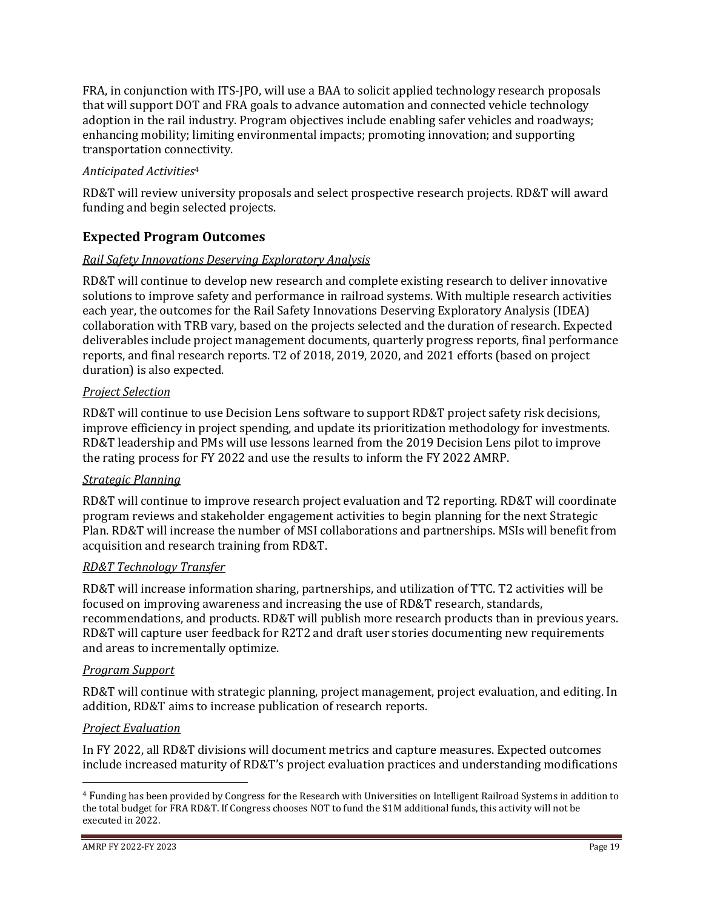FRA, in conjunction with ITS-JPO, will use a BAA to solicit applied technology research proposals that will support DOT and FRA goals to advance automation and connected vehicle technology adoption in the rail industry. Program objectives include enabling safer vehicles and roadways; enhancing mobility; limiting environmental impacts; promoting innovation; and supporting transportation connectivity.

## *Anticipated Activities*<sup>4</sup>

RD&T will review university proposals and select prospective research projects. RD&T will award funding and begin selected projects.

## **Expected Program Outcomes**

## *Rail Safety Innovations Deserving Exploratory Analysis*

RD&T will continue to develop new research and complete existing research to deliver innovative solutions to improve safety and performance in railroad systems. With multiple research activities each year, the outcomes for the Rail Safety Innovations Deserving Exploratory Analysis (IDEA) collaboration with TRB vary, based on the projects selected and the duration of research. Expected deliverables include project management documents, quarterly progress reports, final performance reports, and final research reports. T2 of 2018, 2019, 2020, and 2021 efforts (based on project duration) is also expected.

## *Project Selection*

RD&T will continue to use Decision Lens software to support RD&T project safety risk decisions, improve efficiency in project spending, and update its prioritization methodology for investments. RD&T leadership and PMs will use lessons learned from the 2019 Decision Lens pilot to improve the rating process for FY 2022 and use the results to inform the FY 2022 AMRP.

## *Strategic Planning*

RD&T will continue to improve research project evaluation and T2 reporting. RD&T will coordinate program reviews and stakeholder engagement activities to begin planning for the next Strategic Plan. RD&T will increase the number of MSI collaborations and partnerships. MSIs will benefit from acquisition and research training from RD&T.

#### *RD&T Technology Transfer*

RD&T will increase information sharing, partnerships, and utilization of TTC. T2 activities will be focused on improving awareness and increasing the use of RD&T research, standards, recommendations, and products. RD&T will publish more research products than in previous years. RD&T will capture user feedback for R2T2 and draft user stories documenting new requirements and areas to incrementally optimize.

#### *Program Support*

RD&T will continue with strategic planning, project management, project evaluation, and editing. In addition, RD&T aims to increase publication of research reports.

## *Project Evaluation*

In FY 2022, all RD&T divisions will document metrics and capture measures. Expected outcomes include increased maturity of RD&T's project evaluation practices and understanding modifications

<sup>4</sup> Funding has been provided by Congress for the Research with Universities on Intelligent Railroad Systems in addition to the total budget for FRA RD&T. If Congress chooses NOT to fund the \$1M additional funds, this activity will not be executed in 2022.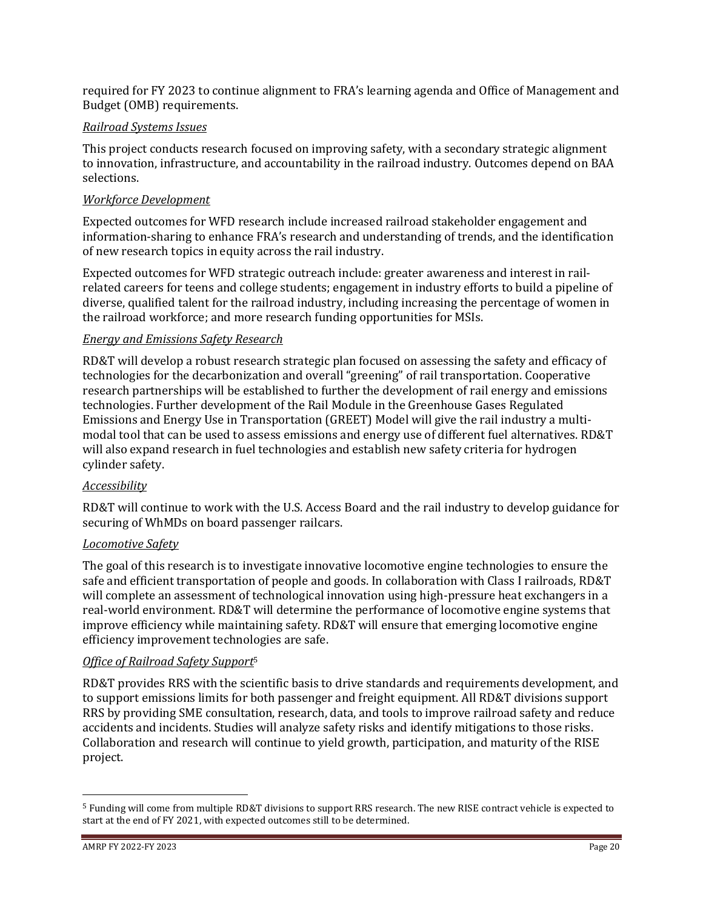required for FY 2023 to continue alignment to FRA's learning agenda and Office of Management and Budget (OMB) requirements.

## *Railroad Systems Issues*

This project conducts research focused on improving safety, with a secondary strategic alignment to innovation, infrastructure, and accountability in the railroad industry. Outcomes depend on BAA selections.

## *Workforce Development*

Expected outcomes for WFD research include increased railroad stakeholder engagement and information-sharing to enhance FRA's research and understanding of trends, and the identification of new research topics in equity across the rail industry.

Expected outcomes for WFD strategic outreach include: greater awareness and interest in railrelated careers for teens and college students; engagement in industry efforts to build a pipeline of diverse, qualified talent for the railroad industry, including increasing the percentage of women in the railroad workforce; and more research funding opportunities for MSIs.

## *Energy and Emissions Safety Research*

RD&T will develop a robust research strategic plan focused on assessing the safety and efficacy of technologies for the decarbonization and overall "greening" of rail transportation. Cooperative research partnerships will be established to further the development of rail energy and emissions technologies. Further development of the Rail Module in the Greenhouse Gases Regulated Emissions and Energy Use in Transportation (GREET) Model will give the rail industry a multimodal tool that can be used to assess emissions and energy use of different fuel alternatives. RD&T will also expand research in fuel technologies and establish new safety criteria for hydrogen cylinder safety.

## *Accessibility*

RD&T will continue to work with the U.S. Access Board and the rail industry to develop guidance for securing of WhMDs on board passenger railcars.

## *Locomotive Safety*

The goal of this research is to investigate innovative locomotive engine technologies to ensure the safe and efficient transportation of people and goods. In collaboration with Class I railroads, RD&T will complete an assessment of technological innovation using high-pressure heat exchangers in a real-world environment. RD&T will determine the performance of locomotive engine systems that improve efficiency while maintaining safety. RD&T will ensure that emerging locomotive engine efficiency improvement technologies are safe.

## *Office of Railroad Safety Support*<sup>5</sup>

RD&T provides RRS with the scientific basis to drive standards and requirements development, and to support emissions limits for both passenger and freight equipment. All RD&T divisions support RRS by providing SME consultation, research, data, and tools to improve railroad safety and reduce accidents and incidents. Studies will analyze safety risks and identify mitigations to those risks. Collaboration and research will continue to yield growth, participation, and maturity of the RISE project.

<sup>5</sup> Funding will come from multiple RD&T divisions to support RRS research. The new RISE contract vehicle is expected to start at the end of FY 2021, with expected outcomes still to be determined.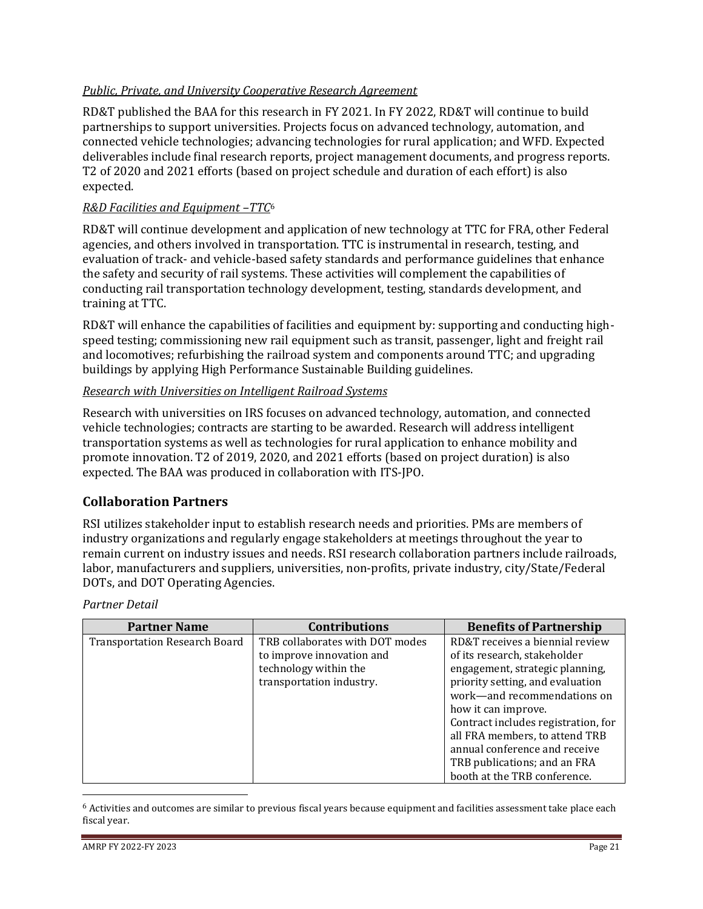## *Public, Private, and University Cooperative Research Agreement*

RD&T published the BAA for this research in FY 2021. In FY 2022, RD&T will continue to build partnerships to support universities. Projects focus on advanced technology, automation, and connected vehicle technologies; advancing technologies for rural application; and WFD. Expected deliverables include final research reports, project management documents, and progress reports. T2 of 2020 and 2021 efforts (based on project schedule and duration of each effort) is also expected.

## *R&D Facilities and Equipment –TTC*<sup>6</sup>

RD&T will continue development and application of new technology at TTC for FRA, other Federal agencies, and others involved in transportation. TTC is instrumental in research, testing, and evaluation of track- and vehicle-based safety standards and performance guidelines that enhance the safety and security of rail systems. These activities will complement the capabilities of conducting rail transportation technology development, testing, standards development, and training at TTC.

RD&T will enhance the capabilities of facilities and equipment by: supporting and conducting highspeed testing; commissioning new rail equipment such as transit, passenger, light and freight rail and locomotives; refurbishing the railroad system and components around TTC; and upgrading buildings by applying High Performance Sustainable Building guidelines.

## *Research with Universities on Intelligent Railroad Systems*

Research with universities on IRS focuses on advanced technology, automation, and connected vehicle technologies; contracts are starting to be awarded. Research will address intelligent transportation systems as well as technologies for rural application to enhance mobility and promote innovation. T2 of 2019, 2020, and 2021 efforts (based on project duration) is also expected. The BAA was produced in collaboration with ITS-JPO.

## **Collaboration Partners**

RSI utilizes stakeholder input to establish research needs and priorities. PMs are members of industry organizations and regularly engage stakeholders at meetings throughout the year to remain current on industry issues and needs. RSI research collaboration partners include railroads, labor, manufacturers and suppliers, universities, non-profits, private industry, city/State/Federal DOTs, and DOT Operating Agencies.

#### *Partner Detail*

| <b>Partner Name</b>                  | <b>Contributions</b>            | <b>Benefits of Partnership</b>      |
|--------------------------------------|---------------------------------|-------------------------------------|
| <b>Transportation Research Board</b> | TRB collaborates with DOT modes | RD&T receives a biennial review     |
|                                      | to improve innovation and       | of its research, stakeholder        |
|                                      | technology within the           | engagement, strategic planning,     |
|                                      | transportation industry.        | priority setting, and evaluation    |
|                                      |                                 | work-and recommendations on         |
|                                      |                                 | how it can improve.                 |
|                                      |                                 | Contract includes registration, for |
|                                      |                                 | all FRA members, to attend TRB      |
|                                      |                                 | annual conference and receive       |
|                                      |                                 | TRB publications; and an FRA        |
|                                      |                                 | booth at the TRB conference.        |

<sup>6</sup> Activities and outcomes are similar to previous fiscal years because equipment and facilities assessment take place each fiscal year.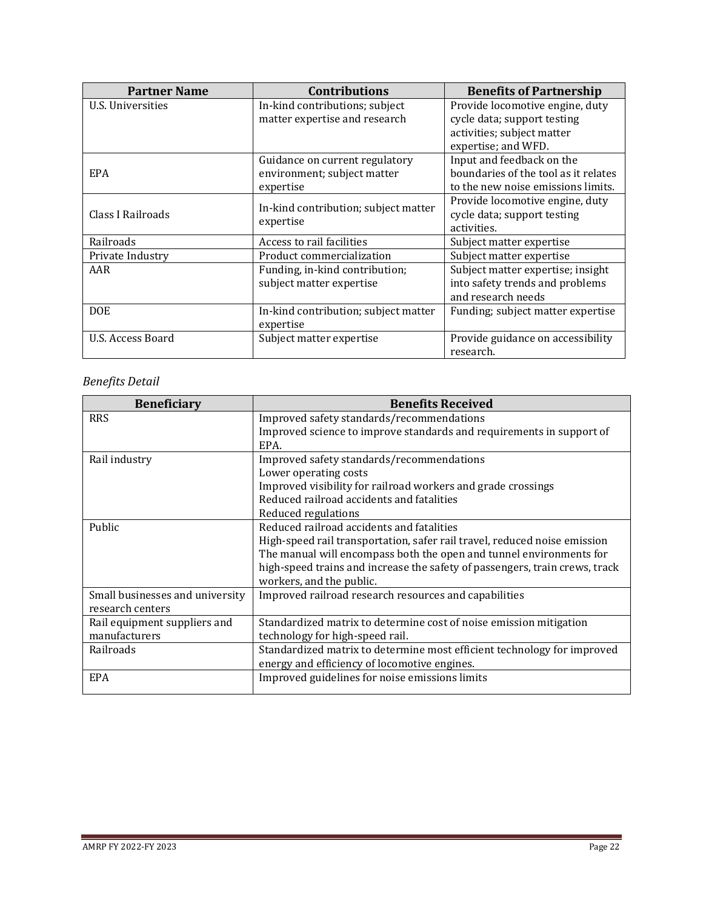| <b>Partner Name</b> | <b>Contributions</b>                 | <b>Benefits of Partnership</b>       |
|---------------------|--------------------------------------|--------------------------------------|
| U.S. Universities   | In-kind contributions; subject       | Provide locomotive engine, duty      |
|                     | matter expertise and research        | cycle data; support testing          |
|                     |                                      | activities; subject matter           |
|                     |                                      | expertise; and WFD.                  |
|                     | Guidance on current regulatory       | Input and feedback on the            |
| EPA                 | environment; subject matter          | boundaries of the tool as it relates |
|                     | expertise                            | to the new noise emissions limits.   |
|                     | In-kind contribution; subject matter | Provide locomotive engine, duty      |
| Class I Railroads   |                                      | cycle data; support testing          |
|                     | expertise                            | activities.                          |
| Railroads           | Access to rail facilities            | Subject matter expertise             |
| Private Industry    | Product commercialization            | Subject matter expertise             |
| AAR                 | Funding, in-kind contribution;       | Subject matter expertise; insight    |
|                     | subject matter expertise             | into safety trends and problems      |
|                     |                                      | and research needs                   |
| <b>DOE</b>          | In-kind contribution; subject matter | Funding; subject matter expertise    |
|                     | expertise                            |                                      |
| U.S. Access Board   | Subject matter expertise             | Provide guidance on accessibility    |
|                     |                                      | research.                            |

## *Benefits Detail*

| <b>Beneficiary</b>              | <b>Benefits Received</b>                                                    |
|---------------------------------|-----------------------------------------------------------------------------|
| <b>RRS</b>                      | Improved safety standards/recommendations                                   |
|                                 | Improved science to improve standards and requirements in support of        |
|                                 | EPA.                                                                        |
| Rail industry                   | Improved safety standards/recommendations                                   |
|                                 | Lower operating costs                                                       |
|                                 | Improved visibility for railroad workers and grade crossings                |
|                                 | Reduced railroad accidents and fatalities                                   |
|                                 | Reduced regulations                                                         |
| Public                          | Reduced railroad accidents and fatalities                                   |
|                                 | High-speed rail transportation, safer rail travel, reduced noise emission   |
|                                 | The manual will encompass both the open and tunnel environments for         |
|                                 | high-speed trains and increase the safety of passengers, train crews, track |
|                                 | workers, and the public.                                                    |
| Small businesses and university | Improved railroad research resources and capabilities                       |
| research centers                |                                                                             |
| Rail equipment suppliers and    | Standardized matrix to determine cost of noise emission mitigation          |
| manufacturers                   | technology for high-speed rail.                                             |
| Railroads                       | Standardized matrix to determine most efficient technology for improved     |
|                                 | energy and efficiency of locomotive engines.                                |
| <b>EPA</b>                      | Improved guidelines for noise emissions limits                              |
|                                 |                                                                             |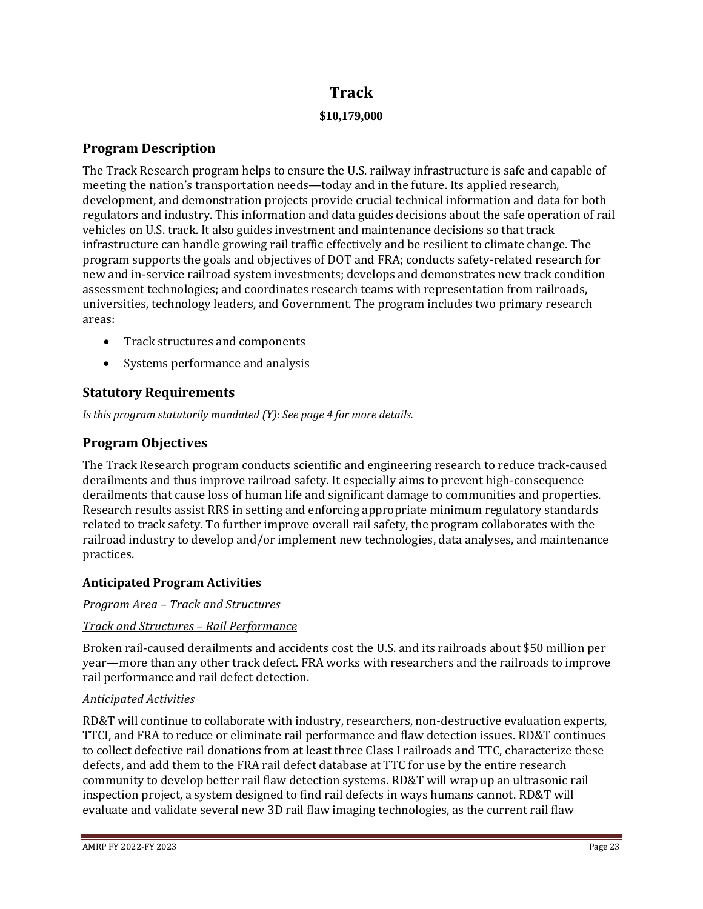# **Track \$10,179,000**

## **Program Description**

The Track Research program helps to ensure the U.S. railway infrastructure is safe and capable of meeting the nation's transportation needs—today and in the future. Its applied research, development, and demonstration projects provide crucial technical information and data for both regulators and industry. This information and data guides decisions about the safe operation of rail vehicles on U.S. track. It also guides investment and maintenance decisions so that track infrastructure can handle growing rail traffic effectively and be resilient to climate change. The program supports the goals and objectives of DOT and FRA; conducts safety-related research for new and in-service railroad system investments; develops and demonstrates new track condition assessment technologies; and coordinates research teams with representation from railroads, universities, technology leaders, and Government. The program includes two primary research areas:

- Track structures and components
- Systems performance and analysis

## **Statutory Requirements**

*Is this program statutorily mandated (Y): See page 4 for more details.*

## **Program Objectives**

The Track Research program conducts scientific and engineering research to reduce track-caused derailments and thus improve railroad safety. It especially aims to prevent high-consequence derailments that cause loss of human life and significant damage to communities and properties. Research results assist RRS in setting and enforcing appropriate minimum regulatory standards related to track safety. To further improve overall rail safety, the program collaborates with the railroad industry to develop and/or implement new technologies, data analyses, and maintenance practices.

## **Anticipated Program Activities**

#### *Program Area – Track and Structures*

## *Track and Structures – Rail Performance*

Broken rail-caused derailments and accidents cost the U.S. and its railroads about \$50 million per year—more than any other track defect. FRA works with researchers and the railroads to improve rail performance and rail defect detection.

#### *Anticipated Activities*

RD&T will continue to collaborate with industry, researchers, non-destructive evaluation experts, TTCI, and FRA to reduce or eliminate rail performance and flaw detection issues. RD&T continues to collect defective rail donations from at least three Class I railroads and TTC, characterize these defects, and add them to the FRA rail defect database at TTC for use by the entire research community to develop better rail flaw detection systems. RD&T will wrap up an ultrasonic rail inspection project, a system designed to find rail defects in ways humans cannot. RD&T will evaluate and validate several new 3D rail flaw imaging technologies, as the current rail flaw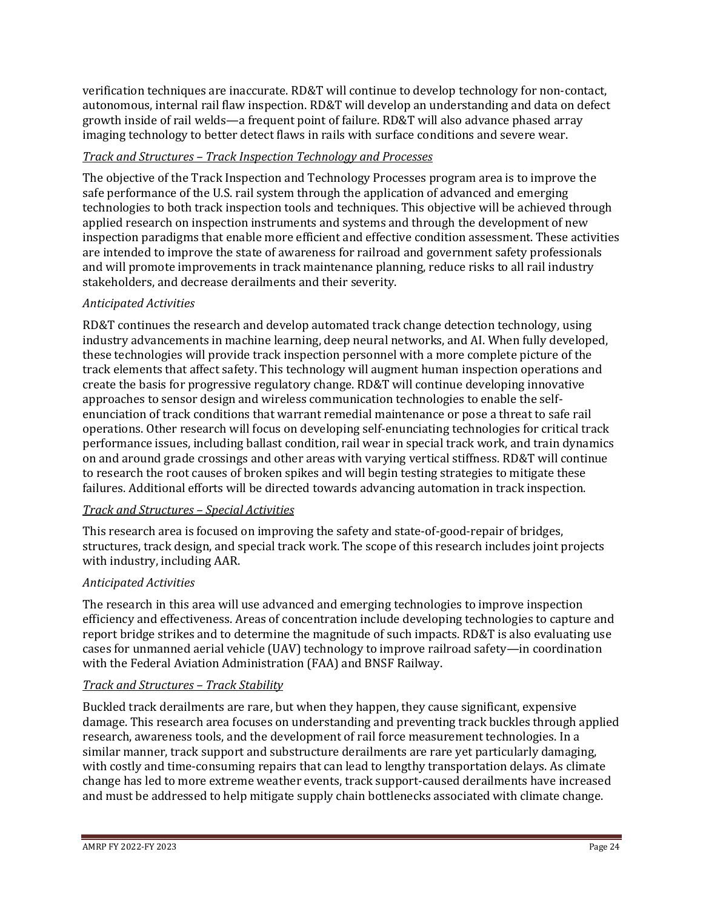verification techniques are inaccurate. RD&T will continue to develop technology for non-contact, autonomous, internal rail flaw inspection. RD&T will develop an understanding and data on defect growth inside of rail welds—a frequent point of failure. RD&T will also advance phased array imaging technology to better detect flaws in rails with surface conditions and severe wear.

## *Track and Structures – Track Inspection Technology and Processes*

The objective of the Track Inspection and Technology Processes program area is to improve the safe performance of the U.S. rail system through the application of advanced and emerging technologies to both track inspection tools and techniques. This objective will be achieved through applied research on inspection instruments and systems and through the development of new inspection paradigms that enable more efficient and effective condition assessment. These activities are intended to improve the state of awareness for railroad and government safety professionals and will promote improvements in track maintenance planning, reduce risks to all rail industry stakeholders, and decrease derailments and their severity.

## *Anticipated Activities*

RD&T continues the research and develop automated track change detection technology, using industry advancements in machine learning, deep neural networks, and AI. When fully developed, these technologies will provide track inspection personnel with a more complete picture of the track elements that affect safety. This technology will augment human inspection operations and create the basis for progressive regulatory change. RD&T will continue developing innovative approaches to sensor design and wireless communication technologies to enable the selfenunciation of track conditions that warrant remedial maintenance or pose a threat to safe rail operations. Other research will focus on developing self-enunciating technologies for critical track performance issues, including ballast condition, rail wear in special track work, and train dynamics on and around grade crossings and other areas with varying vertical stiffness. RD&T will continue to research the root causes of broken spikes and will begin testing strategies to mitigate these failures. Additional efforts will be directed towards advancing automation in track inspection.

## *Track and Structures – Special Activities*

This research area is focused on improving the safety and state-of-good-repair of bridges, structures, track design, and special track work. The scope of this research includes joint projects with industry, including AAR.

## *Anticipated Activities*

The research in this area will use advanced and emerging technologies to improve inspection efficiency and effectiveness. Areas of concentration include developing technologies to capture and report bridge strikes and to determine the magnitude of such impacts. RD&T is also evaluating use cases for unmanned aerial vehicle (UAV) technology to improve railroad safety—in coordination with the Federal Aviation Administration (FAA) and BNSF Railway.

## *Track and Structures – Track Stability*

Buckled track derailments are rare, but when they happen, they cause significant, expensive damage. This research area focuses on understanding and preventing track buckles through applied research, awareness tools, and the development of rail force measurement technologies. In a similar manner, track support and substructure derailments are rare yet particularly damaging, with costly and time-consuming repairs that can lead to lengthy transportation delays. As climate change has led to more extreme weather events, track support-caused derailments have increased and must be addressed to help mitigate supply chain bottlenecks associated with climate change.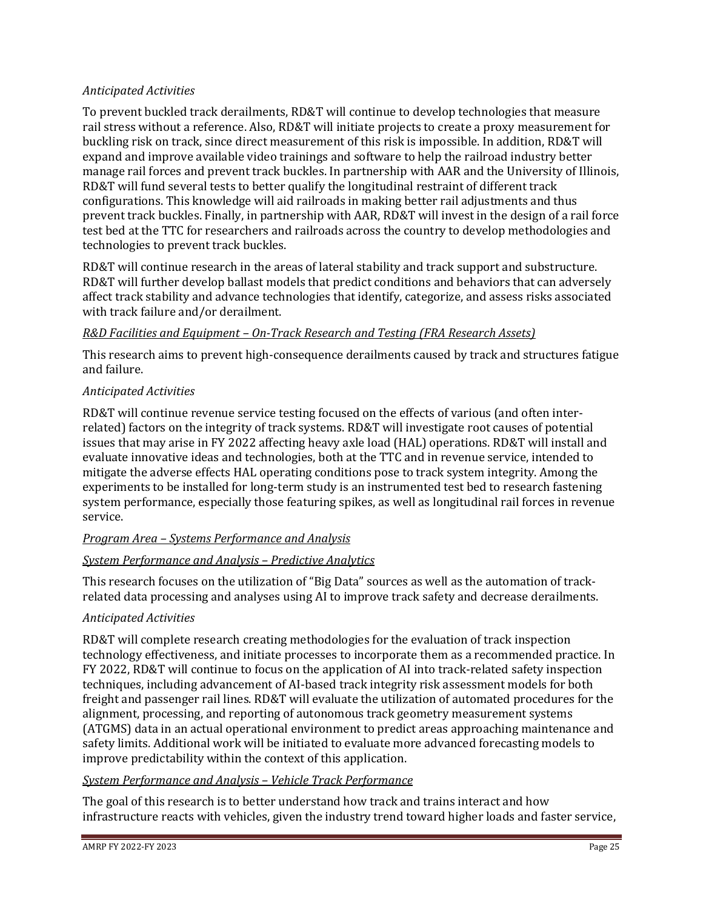## *Anticipated Activities*

To prevent buckled track derailments, RD&T will continue to develop technologies that measure rail stress without a reference. Also, RD&T will initiate projects to create a proxy measurement for buckling risk on track, since direct measurement of this risk is impossible. In addition, RD&T will expand and improve available video trainings and software to help the railroad industry better manage rail forces and prevent track buckles. In partnership with AAR and the University of Illinois, RD&T will fund several tests to better qualify the longitudinal restraint of different track configurations. This knowledge will aid railroads in making better rail adjustments and thus prevent track buckles. Finally, in partnership with AAR, RD&T will invest in the design of a rail force test bed at the TTC for researchers and railroads across the country to develop methodologies and technologies to prevent track buckles.

RD&T will continue research in the areas of lateral stability and track support and substructure. RD&T will further develop ballast models that predict conditions and behaviors that can adversely affect track stability and advance technologies that identify, categorize, and assess risks associated with track failure and/or derailment.

## *R&D Facilities and Equipment – On-Track Research and Testing (FRA Research Assets)*

This research aims to prevent high-consequence derailments caused by track and structures fatigue and failure.

## *Anticipated Activities*

RD&T will continue revenue service testing focused on the effects of various (and often interrelated) factors on the integrity of track systems. RD&T will investigate root causes of potential issues that may arise in FY 2022 affecting heavy axle load (HAL) operations. RD&T will install and evaluate innovative ideas and technologies, both at the TTC and in revenue service, intended to mitigate the adverse effects HAL operating conditions pose to track system integrity. Among the experiments to be installed for long-term study is an instrumented test bed to research fastening system performance, especially those featuring spikes, as well as longitudinal rail forces in revenue service.

## *Program Area – Systems Performance and Analysis*

## *System Performance and Analysis – Predictive Analytics*

This research focuses on the utilization of "Big Data" sources as well as the automation of trackrelated data processing and analyses using AI to improve track safety and decrease derailments.

## *Anticipated Activities*

RD&T will complete research creating methodologies for the evaluation of track inspection technology effectiveness, and initiate processes to incorporate them as a recommended practice. In FY 2022, RD&T will continue to focus on the application of AI into track-related safety inspection techniques, including advancement of AI-based track integrity risk assessment models for both freight and passenger rail lines. RD&T will evaluate the utilization of automated procedures for the alignment, processing, and reporting of autonomous track geometry measurement systems (ATGMS) data in an actual operational environment to predict areas approaching maintenance and safety limits. Additional work will be initiated to evaluate more advanced forecasting models to improve predictability within the context of this application.

#### *System Performance and Analysis – Vehicle Track Performance*

The goal of this research is to better understand how track and trains interact and how infrastructure reacts with vehicles, given the industry trend toward higher loads and faster service,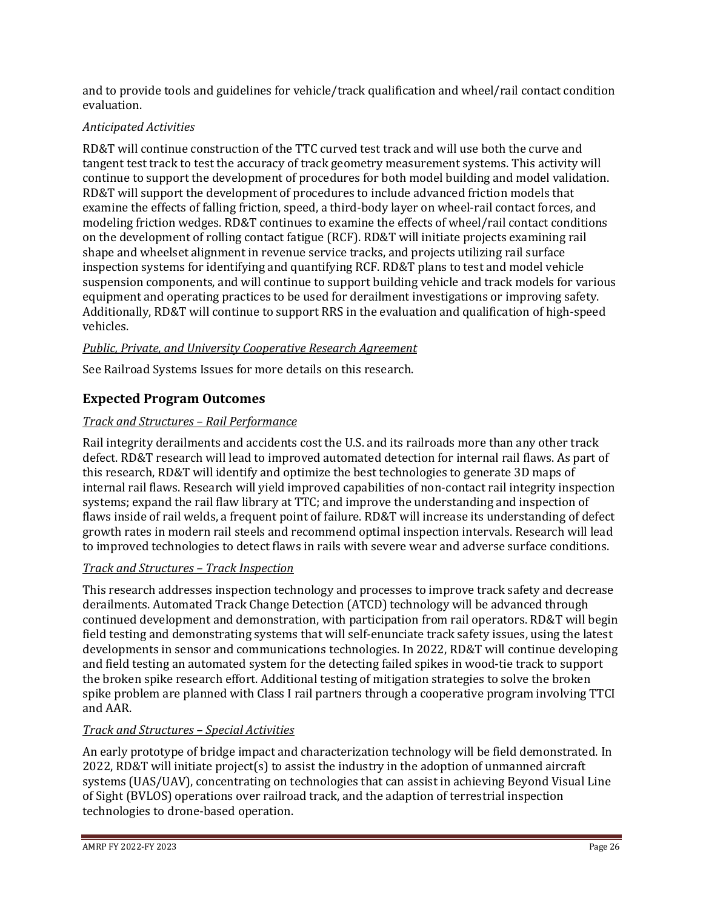and to provide tools and guidelines for vehicle/track qualification and wheel/rail contact condition evaluation.

## *Anticipated Activities*

RD&T will continue construction of the TTC curved test track and will use both the curve and tangent test track to test the accuracy of track geometry measurement systems. This activity will continue to support the development of procedures for both model building and model validation. RD&T will support the development of procedures to include advanced friction models that examine the effects of falling friction, speed, a third-body layer on wheel-rail contact forces, and modeling friction wedges. RD&T continues to examine the effects of wheel/rail contact conditions on the development of rolling contact fatigue (RCF). RD&T will initiate projects examining rail shape and wheelset alignment in revenue service tracks, and projects utilizing rail surface inspection systems for identifying and quantifying RCF. RD&T plans to test and model vehicle suspension components, and will continue to support building vehicle and track models for various equipment and operating practices to be used for derailment investigations or improving safety. Additionally, RD&T will continue to support RRS in the evaluation and qualification of high-speed vehicles.

## *Public, Private, and University Cooperative Research Agreement*

See Railroad Systems Issues for more details on this research.

## **Expected Program Outcomes**

## *Track and Structures – Rail Performance*

Rail integrity derailments and accidents cost the U.S. and its railroads more than any other track defect. RD&T research will lead to improved automated detection for internal rail flaws. As part of this research, RD&T will identify and optimize the best technologies to generate 3D maps of internal rail flaws. Research will yield improved capabilities of non-contact rail integrity inspection systems; expand the rail flaw library at TTC; and improve the understanding and inspection of flaws inside of rail welds, a frequent point of failure. RD&T will increase its understanding of defect growth rates in modern rail steels and recommend optimal inspection intervals. Research will lead to improved technologies to detect flaws in rails with severe wear and adverse surface conditions.

## *Track and Structures – Track Inspection*

This research addresses inspection technology and processes to improve track safety and decrease derailments. Automated Track Change Detection (ATCD) technology will be advanced through continued development and demonstration, with participation from rail operators. RD&T will begin field testing and demonstrating systems that will self-enunciate track safety issues, using the latest developments in sensor and communications technologies. In 2022, RD&T will continue developing and field testing an automated system for the detecting failed spikes in wood-tie track to support the broken spike research effort. Additional testing of mitigation strategies to solve the broken spike problem are planned with Class I rail partners through a cooperative program involving TTCI and AAR.

## *Track and Structures – Special Activities*

An early prototype of bridge impact and characterization technology will be field demonstrated. In 2022, RD&T will initiate project(s) to assist the industry in the adoption of unmanned aircraft systems (UAS/UAV), concentrating on technologies that can assist in achieving Beyond Visual Line of Sight (BVLOS) operations over railroad track, and the adaption of terrestrial inspection technologies to drone-based operation.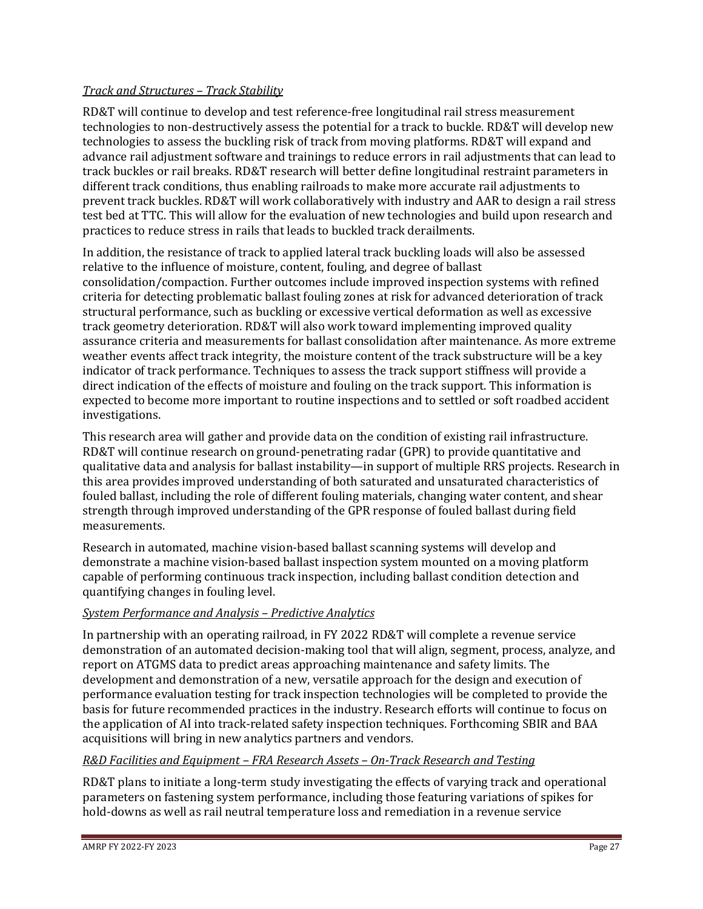## *Track and Structures – Track Stability*

RD&T will continue to develop and test reference-free longitudinal rail stress measurement technologies to non-destructively assess the potential for a track to buckle. RD&T will develop new technologies to assess the buckling risk of track from moving platforms. RD&T will expand and advance rail adjustment software and trainings to reduce errors in rail adjustments that can lead to track buckles or rail breaks. RD&T research will better define longitudinal restraint parameters in different track conditions, thus enabling railroads to make more accurate rail adjustments to prevent track buckles. RD&T will work collaboratively with industry and AAR to design a rail stress test bed at TTC. This will allow for the evaluation of new technologies and build upon research and practices to reduce stress in rails that leads to buckled track derailments.

In addition, the resistance of track to applied lateral track buckling loads will also be assessed relative to the influence of moisture, content, fouling, and degree of ballast consolidation/compaction. Further outcomes include improved inspection systems with refined criteria for detecting problematic ballast fouling zones at risk for advanced deterioration of track structural performance, such as buckling or excessive vertical deformation as well as excessive track geometry deterioration. RD&T will also work toward implementing improved quality assurance criteria and measurements for ballast consolidation after maintenance. As more extreme weather events affect track integrity, the moisture content of the track substructure will be a key indicator of track performance. Techniques to assess the track support stiffness will provide a direct indication of the effects of moisture and fouling on the track support. This information is expected to become more important to routine inspections and to settled or soft roadbed accident investigations.

This research area will gather and provide data on the condition of existing rail infrastructure. RD&T will continue research on ground-penetrating radar (GPR) to provide quantitative and qualitative data and analysis for ballast instability—in support of multiple RRS projects. Research in this area provides improved understanding of both saturated and unsaturated characteristics of fouled ballast, including the role of different fouling materials, changing water content, and shear strength through improved understanding of the GPR response of fouled ballast during field measurements.

Research in automated, machine vision-based ballast scanning systems will develop and demonstrate a machine vision-based ballast inspection system mounted on a moving platform capable of performing continuous track inspection, including ballast condition detection and quantifying changes in fouling level.

## *System Performance and Analysis – Predictive Analytics*

In partnership with an operating railroad, in FY 2022 RD&T will complete a revenue service demonstration of an automated decision-making tool that will align, segment, process, analyze, and report on ATGMS data to predict areas approaching maintenance and safety limits. The development and demonstration of a new, versatile approach for the design and execution of performance evaluation testing for track inspection technologies will be completed to provide the basis for future recommended practices in the industry. Research efforts will continue to focus on the application of AI into track-related safety inspection techniques. Forthcoming SBIR and BAA acquisitions will bring in new analytics partners and vendors.

## *R&D Facilities and Equipment – FRA Research Assets – On-Track Research and Testing*

RD&T plans to initiate a long-term study investigating the effects of varying track and operational parameters on fastening system performance, including those featuring variations of spikes for hold-downs as well as rail neutral temperature loss and remediation in a revenue service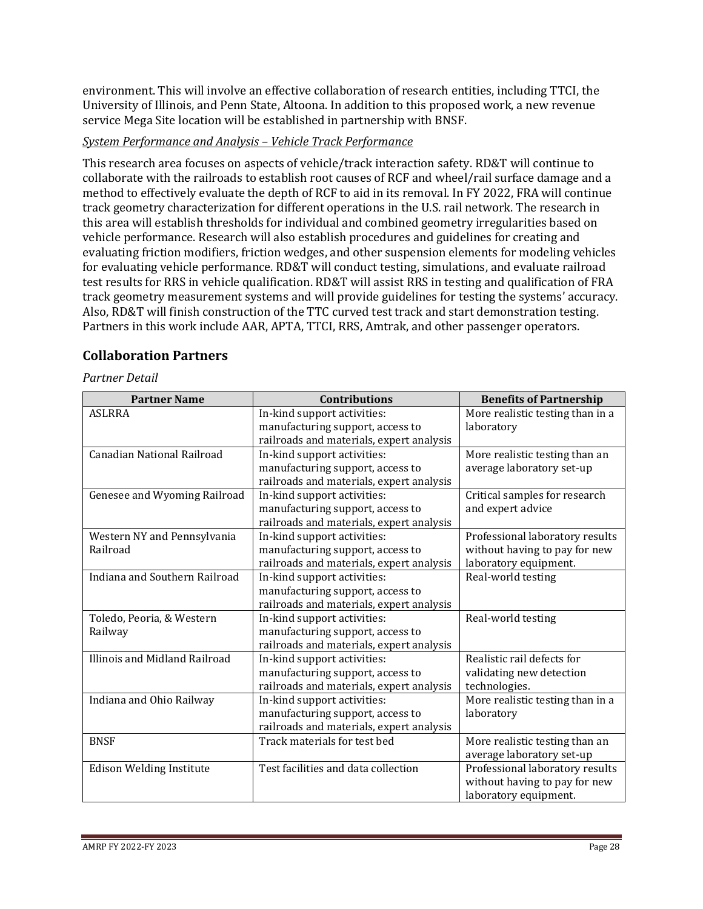environment. This will involve an effective collaboration of research entities, including TTCI, the University of Illinois, and Penn State, Altoona. In addition to this proposed work, a new revenue service Mega Site location will be established in partnership with BNSF.

## *System Performance and Analysis – Vehicle Track Performance*

This research area focuses on aspects of vehicle/track interaction safety. RD&T will continue to collaborate with the railroads to establish root causes of RCF and wheel/rail surface damage and a method to effectively evaluate the depth of RCF to aid in its removal. In FY 2022, FRA will continue track geometry characterization for different operations in the U.S. rail network. The research in this area will establish thresholds for individual and combined geometry irregularities based on vehicle performance. Research will also establish procedures and guidelines for creating and evaluating friction modifiers, friction wedges, and other suspension elements for modeling vehicles for evaluating vehicle performance. RD&T will conduct testing, simulations, and evaluate railroad test results for RRS in vehicle qualification. RD&T will assist RRS in testing and qualification of FRA track geometry measurement systems and will provide guidelines for testing the systems' accuracy. Also, RD&T will finish construction of the TTC curved test track and start demonstration testing. Partners in this work include AAR, APTA, TTCI, RRS, Amtrak, and other passenger operators.

## **Collaboration Partners**

*Partner Detail*

| <b>Partner Name</b>               | <b>Contributions</b>                     | <b>Benefits of Partnership</b>   |
|-----------------------------------|------------------------------------------|----------------------------------|
| <b>ASLRRA</b>                     | In-kind support activities:              | More realistic testing than in a |
|                                   | manufacturing support, access to         | laboratory                       |
|                                   | railroads and materials, expert analysis |                                  |
| <b>Canadian National Railroad</b> | In-kind support activities:              | More realistic testing than an   |
|                                   | manufacturing support, access to         | average laboratory set-up        |
|                                   | railroads and materials, expert analysis |                                  |
| Genesee and Wyoming Railroad      | In-kind support activities:              | Critical samples for research    |
|                                   | manufacturing support, access to         | and expert advice                |
|                                   | railroads and materials, expert analysis |                                  |
| Western NY and Pennsylvania       | In-kind support activities:              | Professional laboratory results  |
| Railroad                          | manufacturing support, access to         | without having to pay for new    |
|                                   | railroads and materials, expert analysis | laboratory equipment.            |
| Indiana and Southern Railroad     | In-kind support activities:              | Real-world testing               |
|                                   | manufacturing support, access to         |                                  |
|                                   | railroads and materials, expert analysis |                                  |
| Toledo, Peoria, & Western         | In-kind support activities:              | Real-world testing               |
| Railway                           | manufacturing support, access to         |                                  |
|                                   | railroads and materials, expert analysis |                                  |
| Illinois and Midland Railroad     | In-kind support activities:              | Realistic rail defects for       |
|                                   | manufacturing support, access to         | validating new detection         |
|                                   | railroads and materials, expert analysis | technologies.                    |
| Indiana and Ohio Railway          | In-kind support activities:              | More realistic testing than in a |
|                                   | manufacturing support, access to         | laboratory                       |
|                                   | railroads and materials, expert analysis |                                  |
| <b>BNSF</b>                       | Track materials for test bed             | More realistic testing than an   |
|                                   |                                          | average laboratory set-up        |
| Edison Welding Institute          | Test facilities and data collection      | Professional laboratory results  |
|                                   |                                          | without having to pay for new    |
|                                   |                                          | laboratory equipment.            |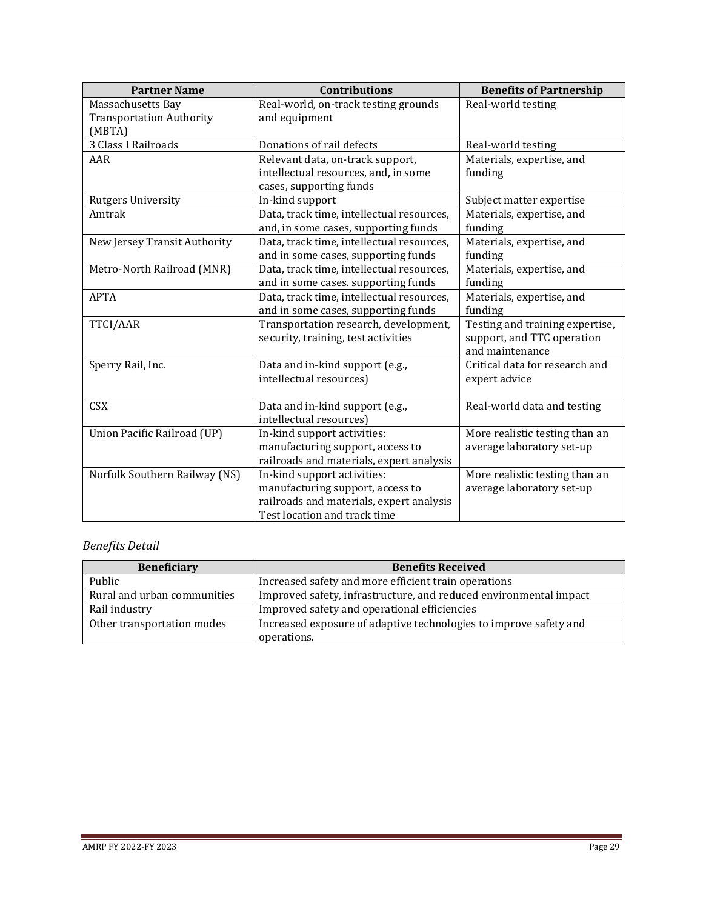| <b>Partner Name</b>             | <b>Contributions</b>                      | <b>Benefits of Partnership</b>  |
|---------------------------------|-------------------------------------------|---------------------------------|
| Massachusetts Bay               | Real-world, on-track testing grounds      | Real-world testing              |
| <b>Transportation Authority</b> | and equipment                             |                                 |
| (MBTA)                          |                                           |                                 |
| 3 Class I Railroads             | Donations of rail defects                 | Real-world testing              |
| AAR                             | Relevant data, on-track support,          | Materials, expertise, and       |
|                                 | intellectual resources, and, in some      | funding                         |
|                                 | cases, supporting funds                   |                                 |
| <b>Rutgers University</b>       | In-kind support                           | Subject matter expertise        |
| Amtrak                          | Data, track time, intellectual resources, | Materials, expertise, and       |
|                                 | and, in some cases, supporting funds      | funding                         |
| New Jersey Transit Authority    | Data, track time, intellectual resources, | Materials, expertise, and       |
|                                 | and in some cases, supporting funds       | funding                         |
| Metro-North Railroad (MNR)      | Data, track time, intellectual resources, | Materials, expertise, and       |
|                                 | and in some cases. supporting funds       | funding                         |
| <b>APTA</b>                     | Data, track time, intellectual resources, | Materials, expertise, and       |
|                                 | and in some cases, supporting funds       | funding                         |
| TTCI/AAR                        | Transportation research, development,     | Testing and training expertise, |
|                                 | security, training, test activities       | support, and TTC operation      |
|                                 |                                           | and maintenance                 |
| Sperry Rail, Inc.               | Data and in-kind support (e.g.,           | Critical data for research and  |
|                                 | intellectual resources)                   | expert advice                   |
|                                 |                                           |                                 |
| <b>CSX</b>                      | Data and in-kind support (e.g.,           | Real-world data and testing     |
|                                 | intellectual resources)                   |                                 |
| Union Pacific Railroad (UP)     | In-kind support activities:               | More realistic testing than an  |
|                                 | manufacturing support, access to          | average laboratory set-up       |
|                                 | railroads and materials, expert analysis  |                                 |
| Norfolk Southern Railway (NS)   | In-kind support activities:               | More realistic testing than an  |
|                                 | manufacturing support, access to          | average laboratory set-up       |
|                                 | railroads and materials, expert analysis  |                                 |
|                                 | Test location and track time              |                                 |

## *Benefits Detail*

| <b>Beneficiary</b>          | <b>Benefits Received</b>                                          |  |
|-----------------------------|-------------------------------------------------------------------|--|
| Public                      | Increased safety and more efficient train operations              |  |
| Rural and urban communities | Improved safety, infrastructure, and reduced environmental impact |  |
| Rail industry               | Improved safety and operational efficiencies                      |  |
| Other transportation modes  | Increased exposure of adaptive technologies to improve safety and |  |
|                             | operations.                                                       |  |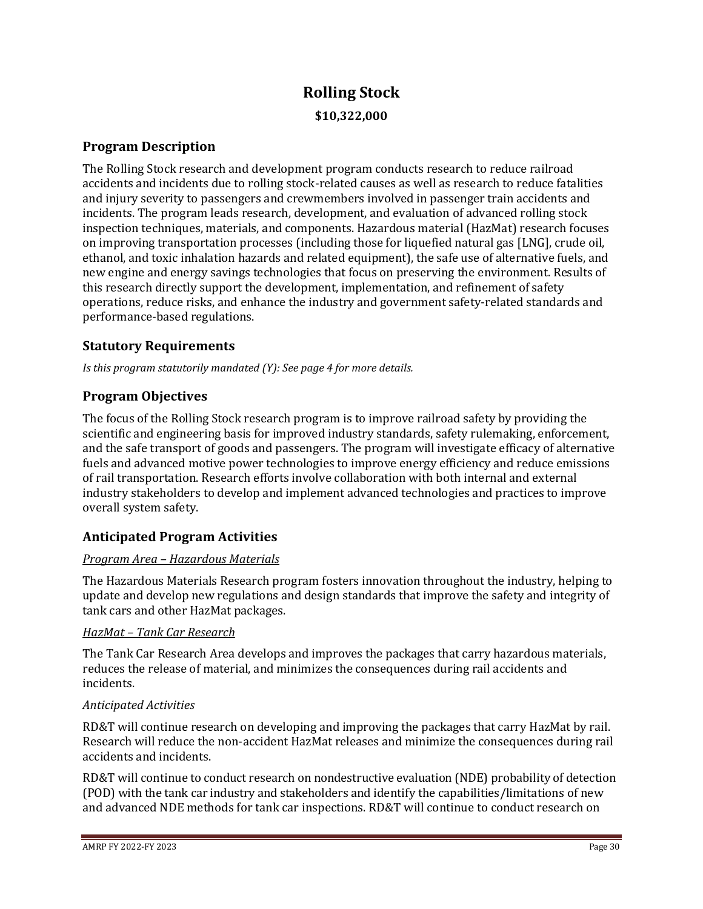# **Rolling Stock \$10,322,000**

## **Program Description**

The Rolling Stock research and development program conducts research to reduce railroad accidents and incidents due to rolling stock-related causes as well as research to reduce fatalities and injury severity to passengers and crewmembers involved in passenger train accidents and incidents. The program leads research, development, and evaluation of advanced rolling stock inspection techniques, materials, and components. Hazardous material (HazMat) research focuses on improving transportation processes (including those for liquefied natural gas [LNG], crude oil, ethanol, and toxic inhalation hazards and related equipment), the safe use of alternative fuels, and new engine and energy savings technologies that focus on preserving the environment. Results of this research directly support the development, implementation, and refinement of safety operations, reduce risks, and enhance the industry and government safety-related standards and performance-based regulations.

## **Statutory Requirements**

*Is this program statutorily mandated (Y): See page 4 for more details.*

## **Program Objectives**

The focus of the Rolling Stock research program is to improve railroad safety by providing the scientific and engineering basis for improved industry standards, safety rulemaking, enforcement, and the safe transport of goods and passengers. The program will investigate efficacy of alternative fuels and advanced motive power technologies to improve energy efficiency and reduce emissions of rail transportation. Research efforts involve collaboration with both internal and external industry stakeholders to develop and implement advanced technologies and practices to improve overall system safety.

## **Anticipated Program Activities**

## *Program Area – Hazardous Materials*

The Hazardous Materials Research program fosters innovation throughout the industry, helping to update and develop new regulations and design standards that improve the safety and integrity of tank cars and other HazMat packages.

## *HazMat – Tank Car Research*

The Tank Car Research Area develops and improves the packages that carry hazardous materials, reduces the release of material, and minimizes the consequences during rail accidents and incidents.

## *Anticipated Activities*

RD&T will continue research on developing and improving the packages that carry HazMat by rail. Research will reduce the non-accident HazMat releases and minimize the consequences during rail accidents and incidents.

RD&T will continue to conduct research on nondestructive evaluation (NDE) probability of detection (POD) with the tank car industry and stakeholders and identify the capabilities/limitations of new and advanced NDE methods for tank car inspections. RD&T will continue to conduct research on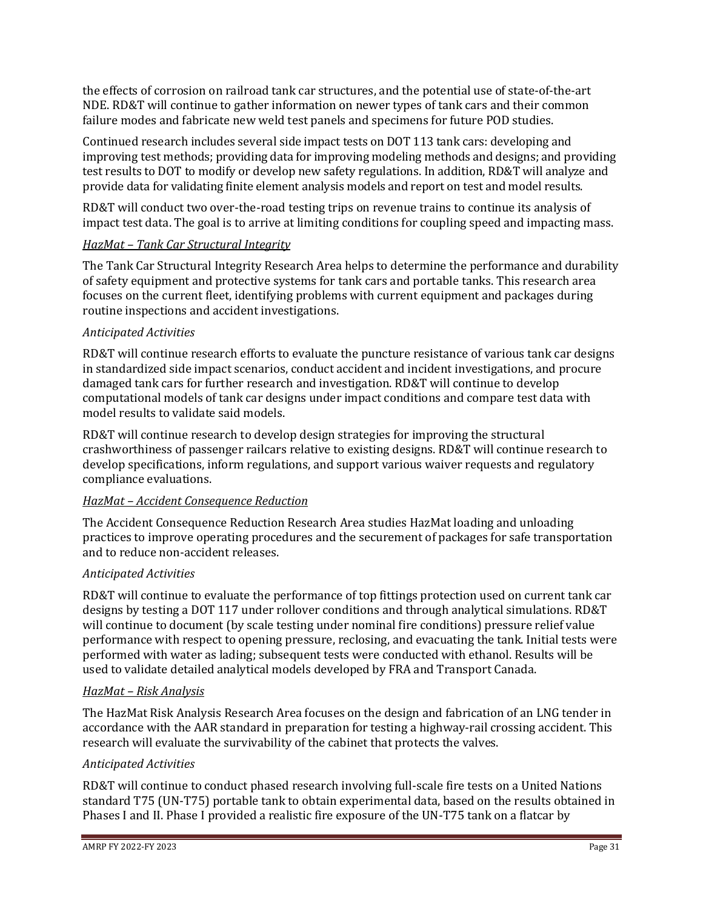the effects of corrosion on railroad tank car structures, and the potential use of state-of-the-art NDE. RD&T will continue to gather information on newer types of tank cars and their common failure modes and fabricate new weld test panels and specimens for future POD studies.

Continued research includes several side impact tests on DOT 113 tank cars: developing and improving test methods; providing data for improving modeling methods and designs; and providing test results to DOT to modify or develop new safety regulations. In addition, RD&T will analyze and provide data for validating finite element analysis models and report on test and model results.

RD&T will conduct two over-the-road testing trips on revenue trains to continue its analysis of impact test data. The goal is to arrive at limiting conditions for coupling speed and impacting mass.

#### *HazMat – Tank Car Structural Integrity*

The Tank Car Structural Integrity Research Area helps to determine the performance and durability of safety equipment and protective systems for tank cars and portable tanks. This research area focuses on the current fleet, identifying problems with current equipment and packages during routine inspections and accident investigations.

## *Anticipated Activities*

RD&T will continue research efforts to evaluate the puncture resistance of various tank car designs in standardized side impact scenarios, conduct accident and incident investigations, and procure damaged tank cars for further research and investigation. RD&T will continue to develop computational models of tank car designs under impact conditions and compare test data with model results to validate said models.

RD&T will continue research to develop design strategies for improving the structural crashworthiness of passenger railcars relative to existing designs. RD&T will continue research to develop specifications, inform regulations, and support various waiver requests and regulatory compliance evaluations.

#### *HazMat – Accident Consequence Reduction*

The Accident Consequence Reduction Research Area studies HazMat loading and unloading practices to improve operating procedures and the securement of packages for safe transportation and to reduce non-accident releases.

## *Anticipated Activities*

RD&T will continue to evaluate the performance of top fittings protection used on current tank car designs by testing a DOT 117 under rollover conditions and through analytical simulations. RD&T will continue to document (by scale testing under nominal fire conditions) pressure relief value performance with respect to opening pressure, reclosing, and evacuating the tank. Initial tests were performed with water as lading; subsequent tests were conducted with ethanol. Results will be used to validate detailed analytical models developed by FRA and Transport Canada.

#### *HazMat – Risk Analysis*

The HazMat Risk Analysis Research Area focuses on the design and fabrication of an LNG tender in accordance with the AAR standard in preparation for testing a highway-rail crossing accident. This research will evaluate the survivability of the cabinet that protects the valves.

## *Anticipated Activities*

RD&T will continue to conduct phased research involving full-scale fire tests on a United Nations standard T75 (UN-T75) portable tank to obtain experimental data, based on the results obtained in Phases I and II. Phase I provided a realistic fire exposure of the UN-T75 tank on a flatcar by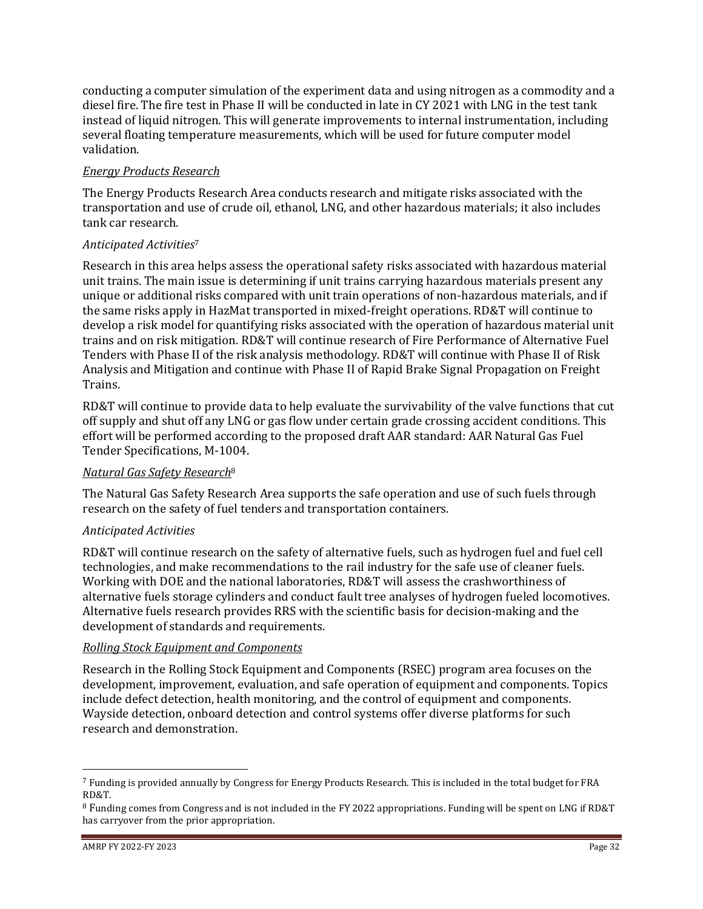conducting a computer simulation of the experiment data and using nitrogen as a commodity and a diesel fire. The fire test in Phase II will be conducted in late in CY 2021 with LNG in the test tank instead of liquid nitrogen. This will generate improvements to internal instrumentation, including several floating temperature measurements, which will be used for future computer model validation.

## *Energy Products Research*

The Energy Products Research Area conducts research and mitigate risks associated with the transportation and use of crude oil, ethanol, LNG, and other hazardous materials; it also includes tank car research.

## *Anticipated Activities*<sup>7</sup>

Research in this area helps assess the operational safety risks associated with hazardous material unit trains. The main issue is determining if unit trains carrying hazardous materials present any unique or additional risks compared with unit train operations of non-hazardous materials, and if the same risks apply in HazMat transported in mixed-freight operations. RD&T will continue to develop a risk model for quantifying risks associated with the operation of hazardous material unit trains and on risk mitigation. RD&T will continue research of Fire Performance of Alternative Fuel Tenders with Phase II of the risk analysis methodology. RD&T will continue with Phase II of Risk Analysis and Mitigation and continue with Phase II of Rapid Brake Signal Propagation on Freight Trains.

RD&T will continue to provide data to help evaluate the survivability of the valve functions that cut off supply and shut off any LNG or gas flow under certain grade crossing accident conditions. This effort will be performed according to the proposed draft AAR standard: AAR Natural Gas Fuel Tender Specifications, M-1004.

## *Natural Gas Safety Research*<sup>8</sup>

The Natural Gas Safety Research Area supports the safe operation and use of such fuels through research on the safety of fuel tenders and transportation containers.

## *Anticipated Activities*

RD&T will continue research on the safety of alternative fuels, such as hydrogen fuel and fuel cell technologies, and make recommendations to the rail industry for the safe use of cleaner fuels. Working with DOE and the national laboratories, RD&T will assess the crashworthiness of alternative fuels storage cylinders and conduct fault tree analyses of hydrogen fueled locomotives. Alternative fuels research provides RRS with the scientific basis for decision-making and the development of standards and requirements.

## *Rolling Stock Equipment and Components*

Research in the Rolling Stock Equipment and Components (RSEC) program area focuses on the development, improvement, evaluation, and safe operation of equipment and components. Topics include defect detection, health monitoring, and the control of equipment and components. Wayside detection, onboard detection and control systems offer diverse platforms for such research and demonstration.

<sup>7</sup> Funding is provided annually by Congress for Energy Products Research. This is included in the total budget for FRA RD&T.

<sup>8</sup> Funding comes from Congress and is not included in the FY 2022 appropriations. Funding will be spent on LNG if RD&T has carryover from the prior appropriation.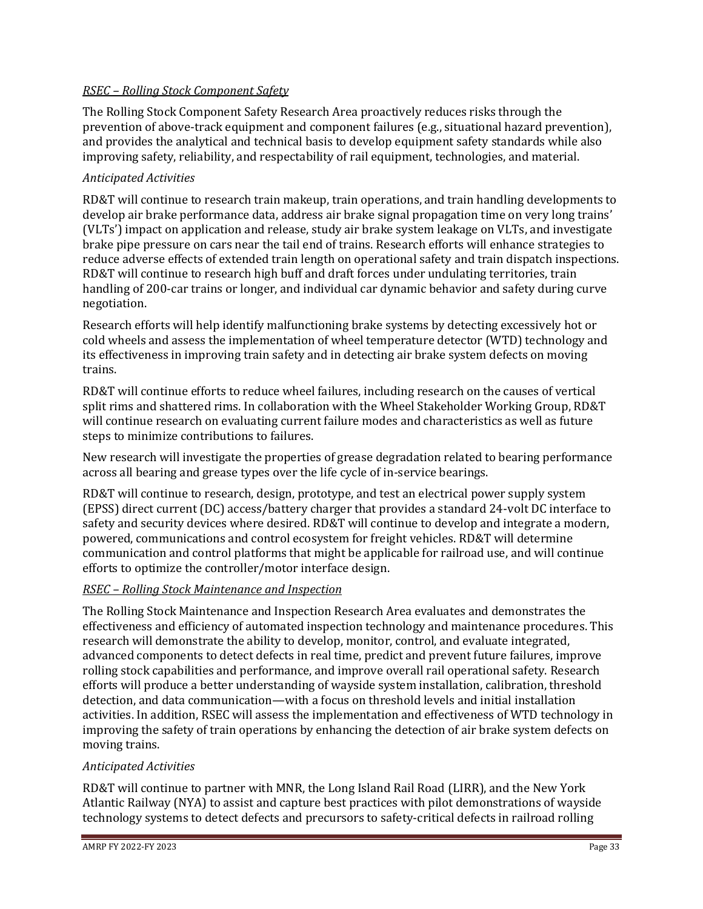## *RSEC – Rolling Stock Component Safety*

The Rolling Stock Component Safety Research Area proactively reduces risks through the prevention of above-track equipment and component failures (e.g., situational hazard prevention), and provides the analytical and technical basis to develop equipment safety standards while also improving safety, reliability, and respectability of rail equipment, technologies, and material.

## *Anticipated Activities*

RD&T will continue to research train makeup, train operations, and train handling developments to develop air brake performance data, address air brake signal propagation time on very long trains' (VLTs') impact on application and release, study air brake system leakage on VLTs, and investigate brake pipe pressure on cars near the tail end of trains. Research efforts will enhance strategies to reduce adverse effects of extended train length on operational safety and train dispatch inspections. RD&T will continue to research high buff and draft forces under undulating territories, train handling of 200-car trains or longer, and individual car dynamic behavior and safety during curve negotiation.

Research efforts will help identify malfunctioning brake systems by detecting excessively hot or cold wheels and assess the implementation of wheel temperature detector (WTD) technology and its effectiveness in improving train safety and in detecting air brake system defects on moving trains.

RD&T will continue efforts to reduce wheel failures, including research on the causes of vertical split rims and shattered rims. In collaboration with the Wheel Stakeholder Working Group, RD&T will continue research on evaluating current failure modes and characteristics as well as future steps to minimize contributions to failures.

New research will investigate the properties of grease degradation related to bearing performance across all bearing and grease types over the life cycle of in-service bearings.

RD&T will continue to research, design, prototype, and test an electrical power supply system (EPSS) direct current (DC) access/battery charger that provides a standard 24-volt DC interface to safety and security devices where desired. RD&T will continue to develop and integrate a modern, powered, communications and control ecosystem for freight vehicles. RD&T will determine communication and control platforms that might be applicable for railroad use, and will continue efforts to optimize the controller/motor interface design.

## *RSEC – Rolling Stock Maintenance and Inspection*

The Rolling Stock Maintenance and Inspection Research Area evaluates and demonstrates the effectiveness and efficiency of automated inspection technology and maintenance procedures. This research will demonstrate the ability to develop, monitor, control, and evaluate integrated, advanced components to detect defects in real time, predict and prevent future failures, improve rolling stock capabilities and performance, and improve overall rail operational safety. Research efforts will produce a better understanding of wayside system installation, calibration, threshold detection, and data communication—with a focus on threshold levels and initial installation activities. In addition, RSEC will assess the implementation and effectiveness of WTD technology in improving the safety of train operations by enhancing the detection of air brake system defects on moving trains.

## *Anticipated Activities*

RD&T will continue to partner with MNR, the Long Island Rail Road (LIRR), and the New York Atlantic Railway (NYA) to assist and capture best practices with pilot demonstrations of wayside technology systems to detect defects and precursors to safety-critical defects in railroad rolling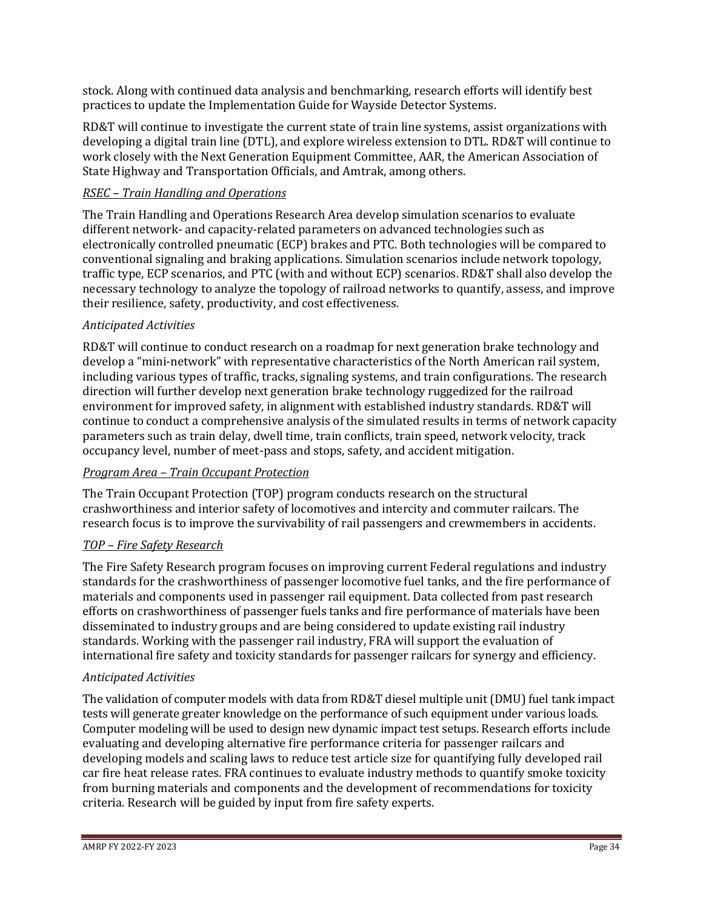stock. Along with continued data analysis and benchmarking, research efforts will identify best practices to update the Implementation Guide for Wayside Detector Systems.

RD&T will continue to investigate the current state of train line systems, assist organizations with developing a digital train line (DTL), and explore wireless extension to DTL. RD&T will continue to work closely with the Next Generation Equipment Committee, AAR, the American Association of State Highway and Transportation Officials, and Amtrak, among others.

## *RSEC – Train Handling and Operations*

The Train Handling and Operations Research Area develop simulation scenarios to evaluate different network- and capacity-related parameters on advanced technologies such as electronically controlled pneumatic (ECP) brakes and PTC. Both technologies will be compared to conventional signaling and braking applications. Simulation scenarios include network topology, traffic type, ECP scenarios, and PTC (with and without ECP) scenarios. RD&T shall also develop the necessary technology to analyze the topology of railroad networks to quantify, assess, and improve their resilience, safety, productivity, and cost effectiveness.

## *Anticipated Activities*

RD&T will continue to conduct research on a roadmap for next generation brake technology and develop a "mini-network" with representative characteristics of the North American rail system, including various types of traffic, tracks, signaling systems, and train configurations. The research direction will further develop next generation brake technology ruggedized for the railroad environment for improved safety, in alignment with established industry standards. RD&T will continue to conduct a comprehensive analysis of the simulated results in terms of network capacity parameters such as train delay, dwell time, train conflicts, train speed, network velocity, track occupancy level, number of meet-pass and stops, safety, and accident mitigation.

## *Program Area – Train Occupant Protection*

The Train Occupant Protection (TOP) program conducts research on the structural crashworthiness and interior safety of locomotives and intercity and commuter railcars. The research focus is to improve the survivability of rail passengers and crewmembers in accidents.

## *TOP – Fire Safety Research*

The Fire Safety Research program focuses on improving current Federal regulations and industry standards for the crashworthiness of passenger locomotive fuel tanks, and the fire performance of materials and components used in passenger rail equipment. Data collected from past research efforts on crashworthiness of passenger fuels tanks and fire performance of materials have been disseminated to industry groups and are being considered to update existing rail industry standards. Working with the passenger rail industry, FRA will support the evaluation of international fire safety and toxicity standards for passenger railcars for synergy and efficiency.

## *Anticipated Activities*

The validation of computer models with data from RD&T diesel multiple unit (DMU) fuel tank impact tests will generate greater knowledge on the performance of such equipment under various loads. Computer modeling will be used to design new dynamic impact test setups. Research efforts include evaluating and developing alternative fire performance criteria for passenger railcars and developing models and scaling laws to reduce test article size for quantifying fully developed rail car fire heat release rates. FRA continues to evaluate industry methods to quantify smoke toxicity from burning materials and components and the development of recommendations for toxicity criteria. Research will be guided by input from fire safety experts.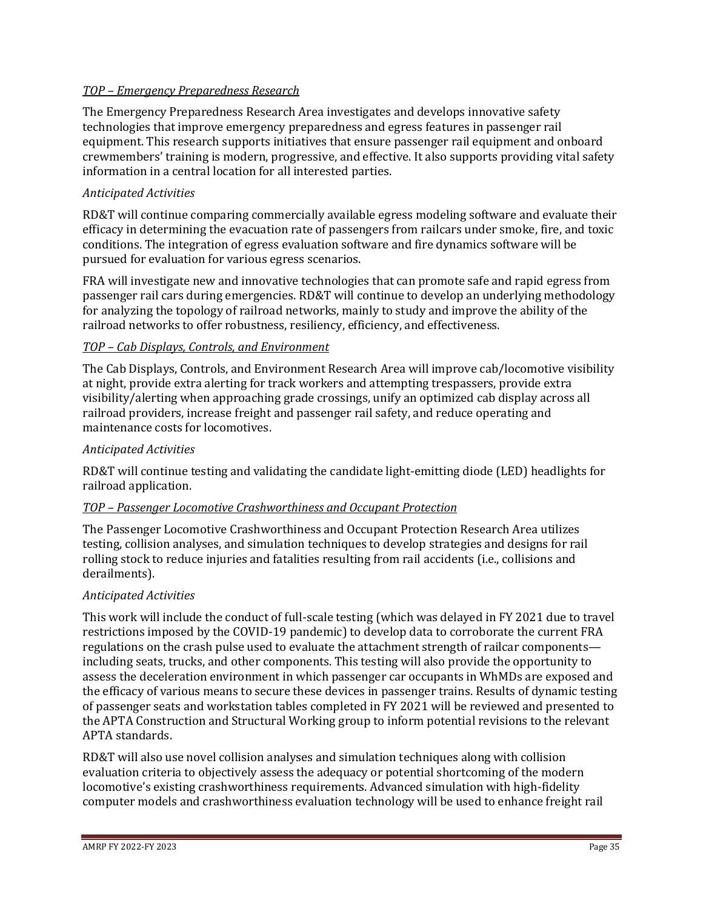## *TOP – Emergency Preparedness Research*

The Emergency Preparedness Research Area investigates and develops innovative safety technologies that improve emergency preparedness and egress features in passenger rail equipment. This research supports initiatives that ensure passenger rail equipment and onboard crewmembers' training is modern, progressive, and effective. It also supports providing vital safety information in a central location for all interested parties.

## *Anticipated Activities*

RD&T will continue comparing commercially available egress modeling software and evaluate their efficacy in determining the evacuation rate of passengers from railcars under smoke, fire, and toxic conditions. The integration of egress evaluation software and fire dynamics software will be pursued for evaluation for various egress scenarios.

FRA will investigate new and innovative technologies that can promote safe and rapid egress from passenger rail cars during emergencies. RD&T will continue to develop an underlying methodology for analyzing the topology of railroad networks, mainly to study and improve the ability of the railroad networks to offer robustness, resiliency, efficiency, and effectiveness.

#### *TOP – Cab Displays, Controls, and Environment*

The Cab Displays, Controls, and Environment Research Area will improve cab/locomotive visibility at night, provide extra alerting for track workers and attempting trespassers, provide extra visibility/alerting when approaching grade crossings, unify an optimized cab display across all railroad providers, increase freight and passenger rail safety, and reduce operating and maintenance costs for locomotives.

## *Anticipated Activities*

RD&T will continue testing and validating the candidate light-emitting diode (LED) headlights for railroad application.

### *TOP – Passenger Locomotive Crashworthiness and Occupant Protection*

The Passenger Locomotive Crashworthiness and Occupant Protection Research Area utilizes testing, collision analyses, and simulation techniques to develop strategies and designs for rail rolling stock to reduce injuries and fatalities resulting from rail accidents (i.e., collisions and derailments).

#### *Anticipated Activities*

This work will include the conduct of full-scale testing (which was delayed in FY 2021 due to travel restrictions imposed by the COVID-19 pandemic) to develop data to corroborate the current FRA regulations on the crash pulse used to evaluate the attachment strength of railcar components including seats, trucks, and other components. This testing will also provide the opportunity to assess the deceleration environment in which passenger car occupants in WhMDs are exposed and the efficacy of various means to secure these devices in passenger trains. Results of dynamic testing of passenger seats and workstation tables completed in FY 2021 will be reviewed and presented to the APTA Construction and Structural Working group to inform potential revisions to the relevant APTA standards.

RD&T will also use novel collision analyses and simulation techniques along with collision evaluation criteria to objectively assess the adequacy or potential shortcoming of the modern locomotive's existing crashworthiness requirements. Advanced simulation with high-fidelity computer models and crashworthiness evaluation technology will be used to enhance freight rail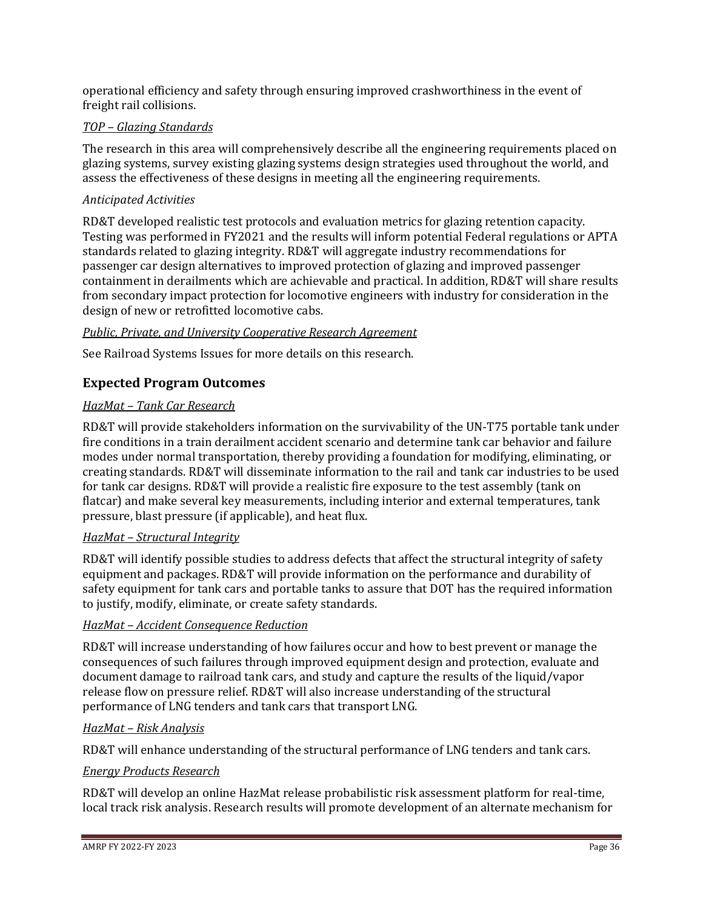operational efficiency and safety through ensuring improved crashworthiness in the event of freight rail collisions.

## *TOP – Glazing Standards*

The research in this area will comprehensively describe all the engineering requirements placed on glazing systems, survey existing glazing systems design strategies used throughout the world, and assess the effectiveness of these designs in meeting all the engineering requirements.

## *Anticipated Activities*

RD&T developed realistic test protocols and evaluation metrics for glazing retention capacity. Testing was performed in FY2021 and the results will inform potential Federal regulations or APTA standards related to glazing integrity. RD&T will aggregate industry recommendations for passenger car design alternatives to improved protection of glazing and improved passenger containment in derailments which are achievable and practical. In addition, RD&T will share results from secondary impact protection for locomotive engineers with industry for consideration in the design of new or retrofitted locomotive cabs.

## *Public, Private, and University Cooperative Research Agreement*

See Railroad Systems Issues for more details on this research.

## **Expected Program Outcomes**

## *HazMat – Tank Car Research*

RD&T will provide stakeholders information on the survivability of the UN-T75 portable tank under fire conditions in a train derailment accident scenario and determine tank car behavior and failure modes under normal transportation, thereby providing a foundation for modifying, eliminating, or creating standards. RD&T will disseminate information to the rail and tank car industries to be used for tank car designs. RD&T will provide a realistic fire exposure to the test assembly (tank on flatcar) and make several key measurements, including interior and external temperatures, tank pressure, blast pressure (if applicable), and heat flux.

## *HazMat – Structural Integrity*

RD&T will identify possible studies to address defects that affect the structural integrity of safety equipment and packages. RD&T will provide information on the performance and durability of safety equipment for tank cars and portable tanks to assure that DOT has the required information to justify, modify, eliminate, or create safety standards.

## *HazMat – Accident Consequence Reduction*

RD&T will increase understanding of how failures occur and how to best prevent or manage the consequences of such failures through improved equipment design and protection, evaluate and document damage to railroad tank cars, and study and capture the results of the liquid/vapor release flow on pressure relief. RD&T will also increase understanding of the structural performance of LNG tenders and tank cars that transport LNG.

## *HazMat – Risk Analysis*

RD&T will enhance understanding of the structural performance of LNG tenders and tank cars.

#### *Energy Products Research*

RD&T will develop an online HazMat release probabilistic risk assessment platform for real-time, local track risk analysis. Research results will promote development of an alternate mechanism for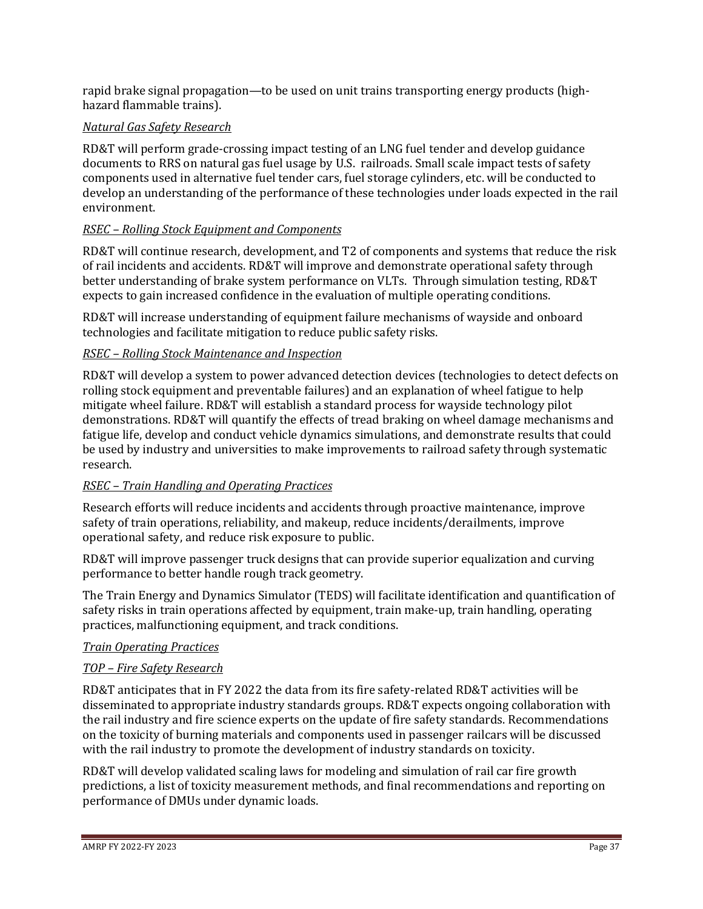rapid brake signal propagation—to be used on unit trains transporting energy products (highhazard flammable trains).

## *Natural Gas Safety Research*

RD&T will perform grade-crossing impact testing of an LNG fuel tender and develop guidance documents to RRS on natural gas fuel usage by U.S. railroads. Small scale impact tests of safety components used in alternative fuel tender cars, fuel storage cylinders, etc. will be conducted to develop an understanding of the performance of these technologies under loads expected in the rail environment.

## *RSEC – Rolling Stock Equipment and Components*

RD&T will continue research, development, and T2 of components and systems that reduce the risk of rail incidents and accidents. RD&T will improve and demonstrate operational safety through better understanding of brake system performance on VLTs. Through simulation testing, RD&T expects to gain increased confidence in the evaluation of multiple operating conditions.

RD&T will increase understanding of equipment failure mechanisms of wayside and onboard technologies and facilitate mitigation to reduce public safety risks.

## *RSEC – Rolling Stock Maintenance and Inspection*

RD&T will develop a system to power advanced detection devices (technologies to detect defects on rolling stock equipment and preventable failures) and an explanation of wheel fatigue to help mitigate wheel failure. RD&T will establish a standard process for wayside technology pilot demonstrations. RD&T will quantify the effects of tread braking on wheel damage mechanisms and fatigue life, develop and conduct vehicle dynamics simulations, and demonstrate results that could be used by industry and universities to make improvements to railroad safety through systematic research.

## *RSEC – Train Handling and Operating Practices*

Research efforts will reduce incidents and accidents through proactive maintenance, improve safety of train operations, reliability, and makeup, reduce incidents/derailments, improve operational safety, and reduce risk exposure to public.

RD&T will improve passenger truck designs that can provide superior equalization and curving performance to better handle rough track geometry.

The Train Energy and Dynamics Simulator (TEDS) will facilitate identification and quantification of safety risks in train operations affected by equipment, train make-up, train handling, operating practices, malfunctioning equipment, and track conditions.

## *Train Operating Practices*

## *TOP – Fire Safety Research*

RD&T anticipates that in FY 2022 the data from its fire safety-related RD&T activities will be disseminated to appropriate industry standards groups. RD&T expects ongoing collaboration with the rail industry and fire science experts on the update of fire safety standards. Recommendations on the toxicity of burning materials and components used in passenger railcars will be discussed with the rail industry to promote the development of industry standards on toxicity.

RD&T will develop validated scaling laws for modeling and simulation of rail car fire growth predictions, a list of toxicity measurement methods, and final recommendations and reporting on performance of DMUs under dynamic loads.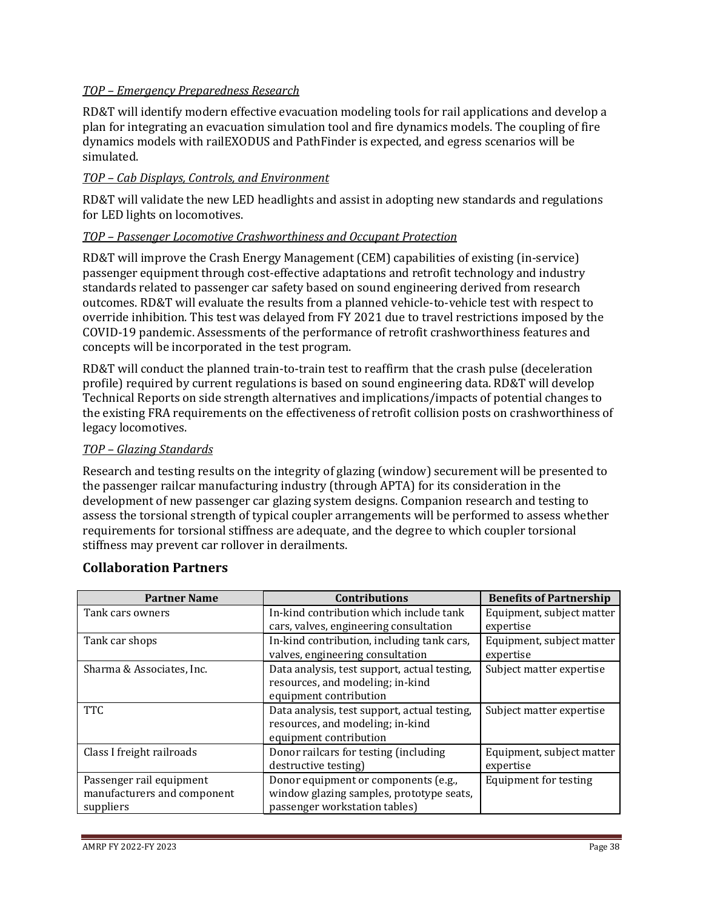### *TOP – Emergency Preparedness Research*

RD&T will identify modern effective evacuation modeling tools for rail applications and develop a plan for integrating an evacuation simulation tool and fire dynamics models. The coupling of fire dynamics models with railEXODUS and PathFinder is expected, and egress scenarios will be simulated.

#### *TOP – Cab Displays, Controls, and Environment*

RD&T will validate the new LED headlights and assist in adopting new standards and regulations for LED lights on locomotives.

#### *TOP – Passenger Locomotive Crashworthiness and Occupant Protection*

RD&T will improve the Crash Energy Management (CEM) capabilities of existing (in-service) passenger equipment through cost-effective adaptations and retrofit technology and industry standards related to passenger car safety based on sound engineering derived from research outcomes. RD&T will evaluate the results from a planned vehicle-to-vehicle test with respect to override inhibition. This test was delayed from FY 2021 due to travel restrictions imposed by the COVID-19 pandemic. Assessments of the performance of retrofit crashworthiness features and concepts will be incorporated in the test program.

RD&T will conduct the planned train-to-train test to reaffirm that the crash pulse (deceleration profile) required by current regulations is based on sound engineering data. RD&T will develop Technical Reports on side strength alternatives and implications/impacts of potential changes to the existing FRA requirements on the effectiveness of retrofit collision posts on crashworthiness of legacy locomotives.

#### *TOP – Glazing Standards*

Research and testing results on the integrity of glazing (window) securement will be presented to the passenger railcar manufacturing industry (through APTA) for its consideration in the development of new passenger car glazing system designs. Companion research and testing to assess the torsional strength of typical coupler arrangements will be performed to assess whether requirements for torsional stiffness are adequate, and the degree to which coupler torsional stiffness may prevent car rollover in derailments.

| <b>Partner Name</b>                                                  | <b>Contributions</b>                                                                                              | <b>Benefits of Partnership</b>         |
|----------------------------------------------------------------------|-------------------------------------------------------------------------------------------------------------------|----------------------------------------|
| Tank cars owners                                                     | In-kind contribution which include tank<br>cars, valves, engineering consultation                                 | Equipment, subject matter<br>expertise |
| Tank car shops                                                       | In-kind contribution, including tank cars,<br>valves, engineering consultation                                    | Equipment, subject matter<br>expertise |
| Sharma & Associates, Inc.                                            | Data analysis, test support, actual testing,<br>resources, and modeling; in-kind<br>equipment contribution        | Subject matter expertise               |
| <b>TTC</b>                                                           | Data analysis, test support, actual testing,<br>resources, and modeling; in-kind<br>equipment contribution        | Subject matter expertise               |
| Class I freight railroads                                            | Donor railcars for testing (including<br>destructive testing)                                                     | Equipment, subject matter<br>expertise |
| Passenger rail equipment<br>manufacturers and component<br>suppliers | Donor equipment or components (e.g.,<br>window glazing samples, prototype seats,<br>passenger workstation tables) | <b>Equipment for testing</b>           |

## **Collaboration Partners**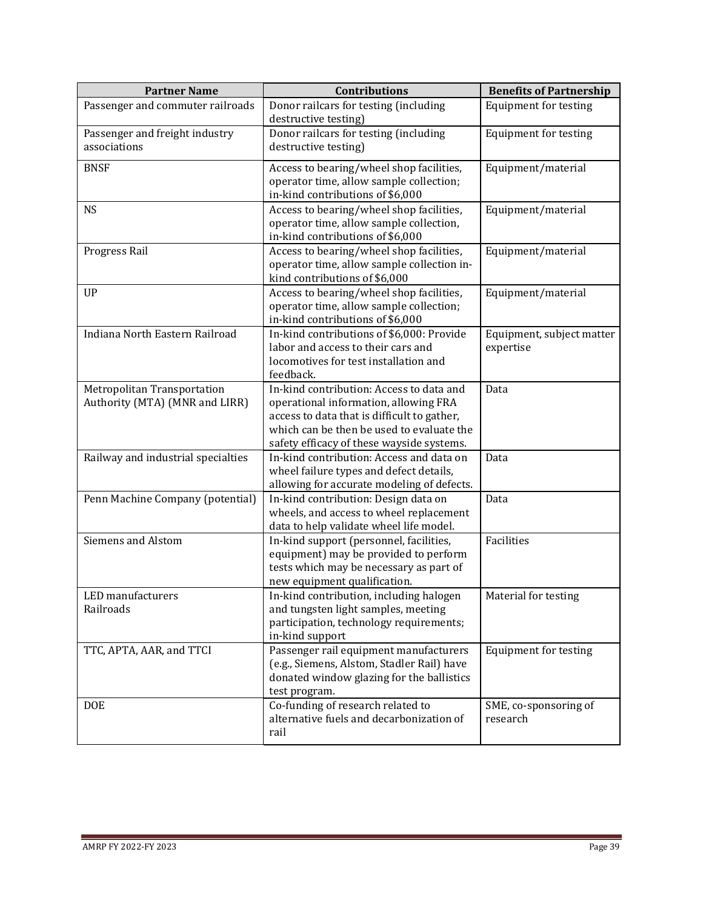| <b>Partner Name</b>                                           | <b>Contributions</b>                                                                                                                                                                                                       | <b>Benefits of Partnership</b>         |
|---------------------------------------------------------------|----------------------------------------------------------------------------------------------------------------------------------------------------------------------------------------------------------------------------|----------------------------------------|
| Passenger and commuter railroads                              | Donor railcars for testing (including<br>destructive testing)                                                                                                                                                              | <b>Equipment for testing</b>           |
| Passenger and freight industry<br>associations                | Donor railcars for testing (including<br>destructive testing)                                                                                                                                                              | <b>Equipment for testing</b>           |
| <b>BNSF</b>                                                   | Access to bearing/wheel shop facilities,<br>operator time, allow sample collection;<br>in-kind contributions of \$6,000                                                                                                    | Equipment/material                     |
| <b>NS</b>                                                     | Access to bearing/wheel shop facilities,<br>operator time, allow sample collection,<br>in-kind contributions of \$6,000                                                                                                    | Equipment/material                     |
| Progress Rail                                                 | Access to bearing/wheel shop facilities,<br>operator time, allow sample collection in-<br>kind contributions of \$6,000                                                                                                    | Equipment/material                     |
| <b>UP</b>                                                     | Access to bearing/wheel shop facilities,<br>operator time, allow sample collection;<br>in-kind contributions of \$6,000                                                                                                    | Equipment/material                     |
| Indiana North Eastern Railroad                                | In-kind contributions of \$6,000: Provide<br>labor and access to their cars and<br>locomotives for test installation and<br>feedback.                                                                                      | Equipment, subject matter<br>expertise |
| Metropolitan Transportation<br>Authority (MTA) (MNR and LIRR) | In-kind contribution: Access to data and<br>operational information, allowing FRA<br>access to data that is difficult to gather,<br>which can be then be used to evaluate the<br>safety efficacy of these wayside systems. | Data                                   |
| Railway and industrial specialties                            | In-kind contribution: Access and data on<br>wheel failure types and defect details,<br>allowing for accurate modeling of defects.                                                                                          | Data                                   |
| Penn Machine Company (potential)                              | In-kind contribution: Design data on<br>wheels, and access to wheel replacement<br>data to help validate wheel life model.                                                                                                 | Data                                   |
| <b>Siemens and Alstom</b>                                     | In-kind support (personnel, facilities,<br>equipment) may be provided to perform<br>tests which may be necessary as part of<br>new equipment qualification.                                                                | Facilities                             |
| LED manufacturers<br>Railroads                                | In-kind contribution, including halogen<br>and tungsten light samples, meeting<br>participation, technology requirements;<br>in-kind support                                                                               | Material for testing                   |
| TTC, APTA, AAR, and TTCI                                      | Passenger rail equipment manufacturers<br>(e.g., Siemens, Alstom, Stadler Rail) have<br>donated window glazing for the ballistics<br>test program.                                                                         | <b>Equipment for testing</b>           |
| <b>DOE</b>                                                    | Co-funding of research related to<br>alternative fuels and decarbonization of<br>rail                                                                                                                                      | SME, co-sponsoring of<br>research      |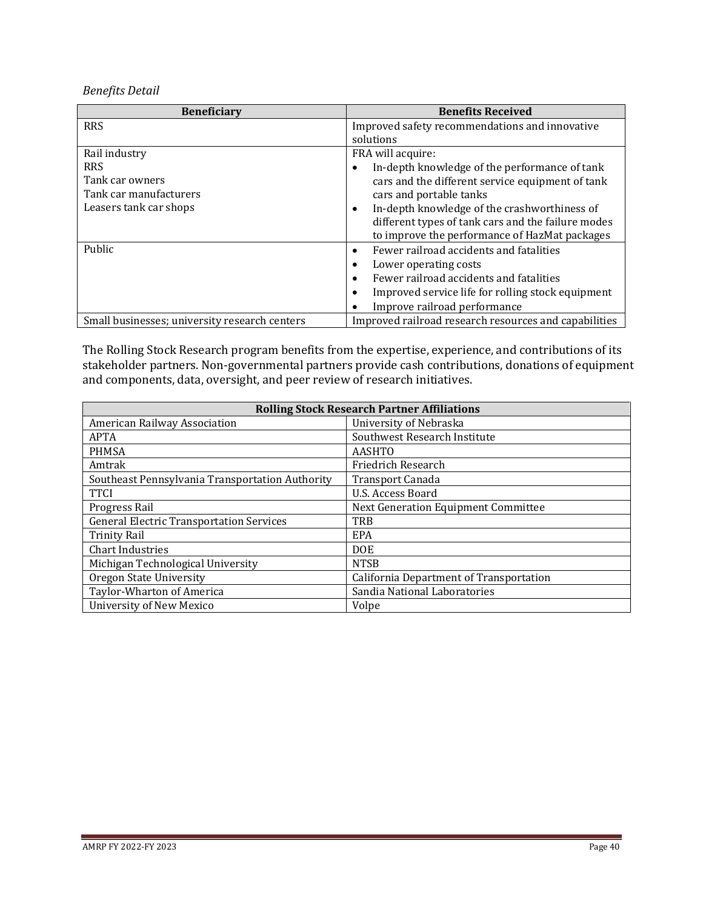*Benefits Detail*

| <b>Beneficiary</b>                            | <b>Benefits Received</b>                                       |
|-----------------------------------------------|----------------------------------------------------------------|
| <b>RRS</b>                                    | Improved safety recommendations and innovative                 |
|                                               | solutions                                                      |
| Rail industry                                 | FRA will acquire:                                              |
| <b>RRS</b>                                    | In-depth knowledge of the performance of tank<br>٠             |
| Tank car owners                               | cars and the different service equipment of tank               |
| Tank car manufacturers                        | cars and portable tanks                                        |
| Leasers tank car shops                        | In-depth knowledge of the crashworthiness of<br>٠              |
|                                               | different types of tank cars and the failure modes             |
|                                               | to improve the performance of HazMat packages                  |
| Public                                        | Fewer railroad accidents and fatalities<br>$\bullet$           |
|                                               | Lower operating costs<br>٠                                     |
|                                               | Fewer railroad accidents and fatalities<br>$\bullet$           |
|                                               | Improved service life for rolling stock equipment<br>$\bullet$ |
|                                               | Improve railroad performance                                   |
| Small businesses; university research centers | Improved railroad research resources and capabilities          |

The Rolling Stock Research program benefits from the expertise, experience, and contributions of its stakeholder partners. Non-governmental partners provide cash contributions, donations of equipment and components, data, oversight, and peer review of research initiatives.

| <b>Rolling Stock Research Partner Affiliations</b>     |                                         |  |
|--------------------------------------------------------|-----------------------------------------|--|
| University of Nebraska<br>American Railway Association |                                         |  |
| <b>APTA</b>                                            | Southwest Research Institute            |  |
| <b>PHMSA</b>                                           | <b>AASHTO</b>                           |  |
| Amtrak                                                 | Friedrich Research                      |  |
| Southeast Pennsylvania Transportation Authority        | Transport Canada                        |  |
| <b>TTCI</b>                                            | U.S. Access Board                       |  |
| Progress Rail                                          | Next Generation Equipment Committee     |  |
| <b>General Electric Transportation Services</b>        | <b>TRB</b>                              |  |
| <b>Trinity Rail</b>                                    | EPA                                     |  |
| <b>Chart Industries</b>                                | D <sub>OE</sub>                         |  |
| Michigan Technological University                      | <b>NTSB</b>                             |  |
| <b>Oregon State University</b>                         | California Department of Transportation |  |
| Taylor-Wharton of America                              | Sandia National Laboratories            |  |
| University of New Mexico                               | Volpe                                   |  |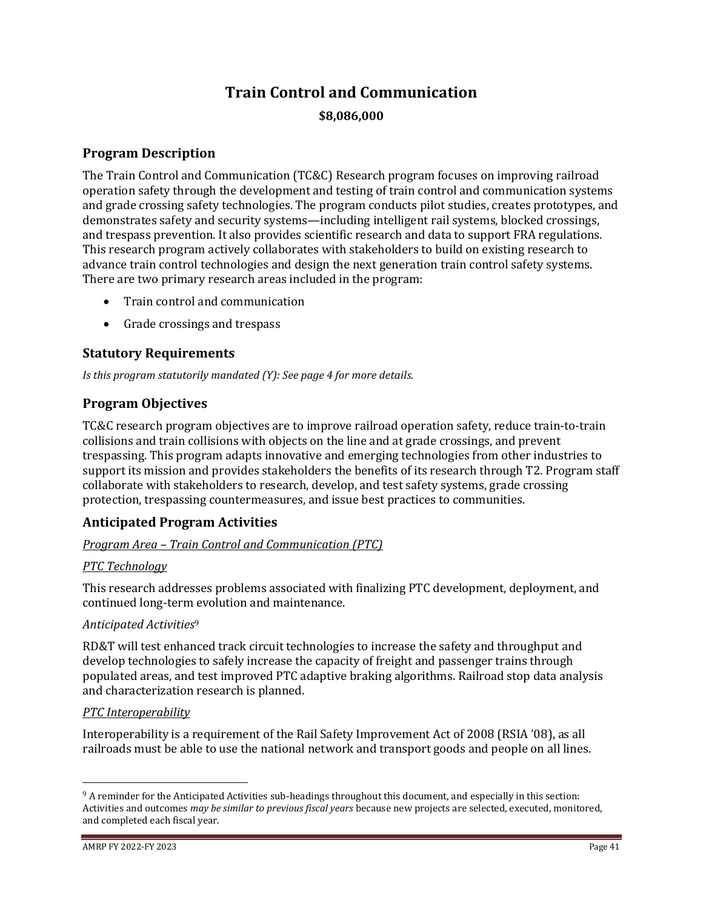# **Train Control and Communication \$8,086,000**

## **Program Description**

The Train Control and Communication (TC&C) Research program focuses on improving railroad operation safety through the development and testing of train control and communication systems and grade crossing safety technologies. The program conducts pilot studies, creates prototypes, and demonstrates safety and security systems—including intelligent rail systems, blocked crossings, and trespass prevention. It also provides scientific research and data to support FRA regulations. This research program actively collaborates with stakeholders to build on existing research to advance train control technologies and design the next generation train control safety systems. There are two primary research areas included in the program:

- Train control and communication
- Grade crossings and trespass

## **Statutory Requirements**

*Is this program statutorily mandated (Y): See page 4 for more details.*

## **Program Objectives**

TC&C research program objectives are to improve railroad operation safety, reduce train-to-train collisions and train collisions with objects on the line and at grade crossings, and prevent trespassing. This program adapts innovative and emerging technologies from other industries to support its mission and provides stakeholders the benefits of its research through T2. Program staff collaborate with stakeholders to research, develop, and test safety systems, grade crossing protection, trespassing countermeasures, and issue best practices to communities.

## **Anticipated Program Activities**

## *Program Area – Train Control and Communication (PTC)*

## *PTC Technology*

This research addresses problems associated with finalizing PTC development, deployment, and continued long-term evolution and maintenance.

## *Anticipated Activities*<sup>9</sup>

RD&T will test enhanced track circuit technologies to increase the safety and throughput and develop technologies to safely increase the capacity of freight and passenger trains through populated areas, and test improved PTC adaptive braking algorithms. Railroad stop data analysis and characterization research is planned.

## *PTC Interoperability*

Interoperability is a requirement of the Rail Safety Improvement Act of 2008 (RSIA '08), as all railroads must be able to use the national network and transport goods and people on all lines.

<sup>9</sup> A reminder for the Anticipated Activities sub-headings throughout this document, and especially in this section: Activities and outcomes *may be similar to previous fiscal years* because new projects are selected, executed, monitored, and completed each fiscal year.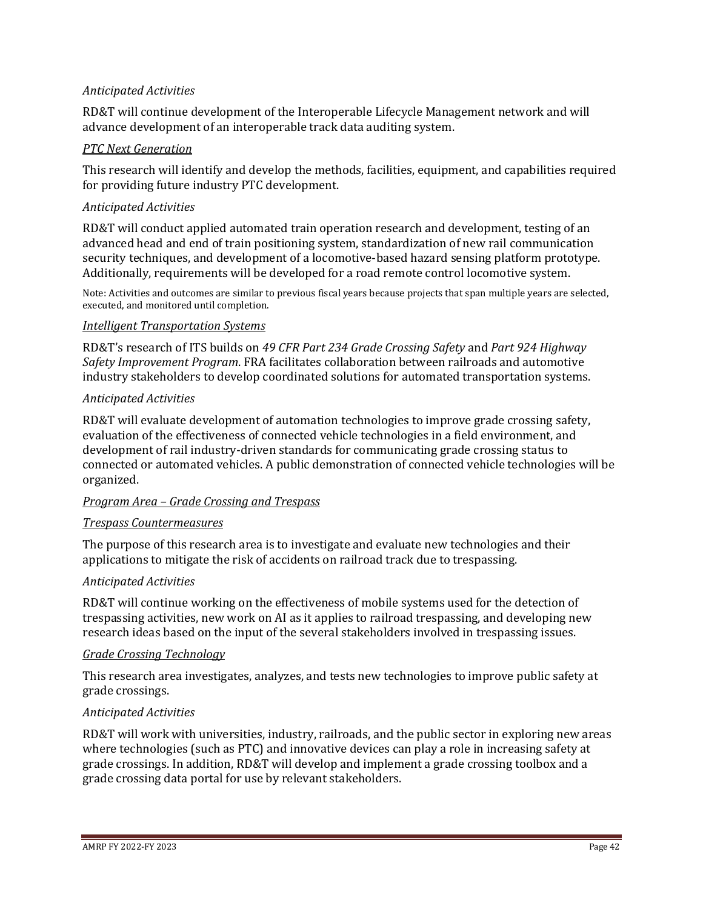### *Anticipated Activities*

RD&T will continue development of the Interoperable Lifecycle Management network and will advance development of an interoperable track data auditing system.

#### *PTC Next Generation*

This research will identify and develop the methods, facilities, equipment, and capabilities required for providing future industry PTC development.

#### *Anticipated Activities*

RD&T will conduct applied automated train operation research and development, testing of an advanced head and end of train positioning system, standardization of new rail communication security techniques, and development of a locomotive-based hazard sensing platform prototype. Additionally, requirements will be developed for a road remote control locomotive system.

Note: Activities and outcomes are similar to previous fiscal years because projects that span multiple years are selected, executed, and monitored until completion.

#### *Intelligent Transportation Systems*

RD&T's research of ITS builds on *49 CFR Part 234 Grade Crossing Safety* and *Part 924 Highway Safety Improvement Program*. FRA facilitates collaboration between railroads and automotive industry stakeholders to develop coordinated solutions for automated transportation systems.

#### *Anticipated Activities*

RD&T will evaluate development of automation technologies to improve grade crossing safety, evaluation of the effectiveness of connected vehicle technologies in a field environment, and development of rail industry-driven standards for communicating grade crossing status to connected or automated vehicles. A public demonstration of connected vehicle technologies will be organized.

#### *Program Area – Grade Crossing and Trespass*

#### *Trespass Countermeasures*

The purpose of this research area is to investigate and evaluate new technologies and their applications to mitigate the risk of accidents on railroad track due to trespassing.

## *Anticipated Activities*

RD&T will continue working on the effectiveness of mobile systems used for the detection of trespassing activities, new work on AI as it applies to railroad trespassing, and developing new research ideas based on the input of the several stakeholders involved in trespassing issues.

#### *Grade Crossing Technology*

This research area investigates, analyzes, and tests new technologies to improve public safety at grade crossings.

#### *Anticipated Activities*

RD&T will work with universities, industry, railroads, and the public sector in exploring new areas where technologies (such as PTC) and innovative devices can play a role in increasing safety at grade crossings. In addition, RD&T will develop and implement a grade crossing toolbox and a grade crossing data portal for use by relevant stakeholders.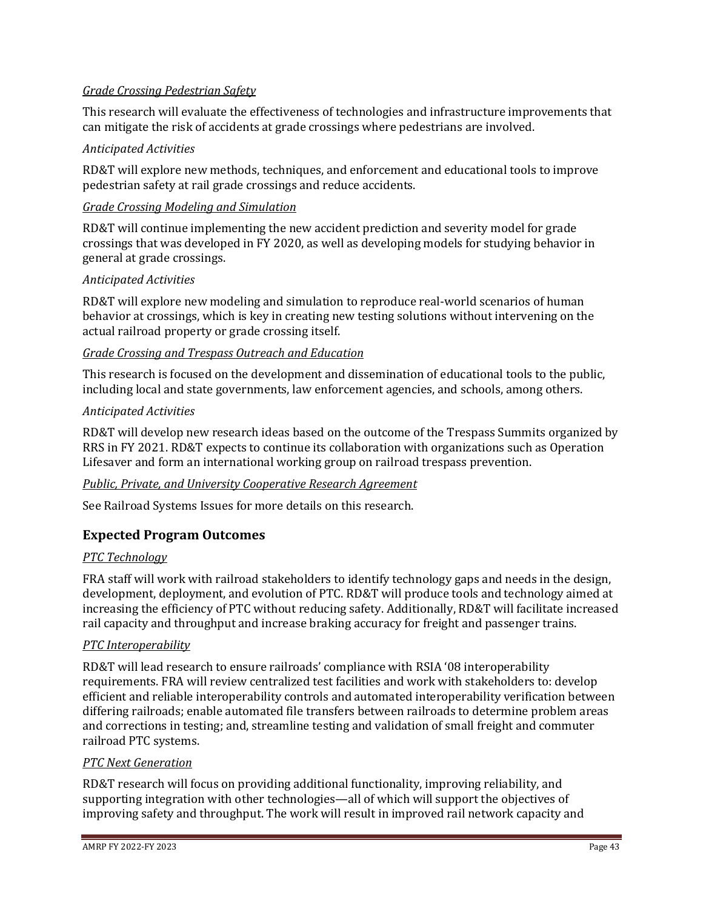## *Grade Crossing Pedestrian Safety*

This research will evaluate the effectiveness of technologies and infrastructure improvements that can mitigate the risk of accidents at grade crossings where pedestrians are involved.

## *Anticipated Activities*

RD&T will explore new methods, techniques, and enforcement and educational tools to improve pedestrian safety at rail grade crossings and reduce accidents.

## *Grade Crossing Modeling and Simulation*

RD&T will continue implementing the new accident prediction and severity model for grade crossings that was developed in FY 2020, as well as developing models for studying behavior in general at grade crossings.

#### *Anticipated Activities*

RD&T will explore new modeling and simulation to reproduce real-world scenarios of human behavior at crossings, which is key in creating new testing solutions without intervening on the actual railroad property or grade crossing itself.

#### *Grade Crossing and Trespass Outreach and Education*

This research is focused on the development and dissemination of educational tools to the public, including local and state governments, law enforcement agencies, and schools, among others.

#### *Anticipated Activities*

RD&T will develop new research ideas based on the outcome of the Trespass Summits organized by RRS in FY 2021. RD&T expects to continue its collaboration with organizations such as Operation Lifesaver and form an international working group on railroad trespass prevention.

#### *Public, Private, and University Cooperative Research Agreement*

See Railroad Systems Issues for more details on this research.

## **Expected Program Outcomes**

#### *PTC Technology*

FRA staff will work with railroad stakeholders to identify technology gaps and needs in the design, development, deployment, and evolution of PTC. RD&T will produce tools and technology aimed at increasing the efficiency of PTC without reducing safety. Additionally, RD&T will facilitate increased rail capacity and throughput and increase braking accuracy for freight and passenger trains.

#### *PTC Interoperability*

RD&T will lead research to ensure railroads' compliance with RSIA '08 interoperability requirements. FRA will review centralized test facilities and work with stakeholders to: develop efficient and reliable interoperability controls and automated interoperability verification between differing railroads; enable automated file transfers between railroads to determine problem areas and corrections in testing; and, streamline testing and validation of small freight and commuter railroad PTC systems.

#### *PTC Next Generation*

RD&T research will focus on providing additional functionality, improving reliability, and supporting integration with other technologies—all of which will support the objectives of improving safety and throughput. The work will result in improved rail network capacity and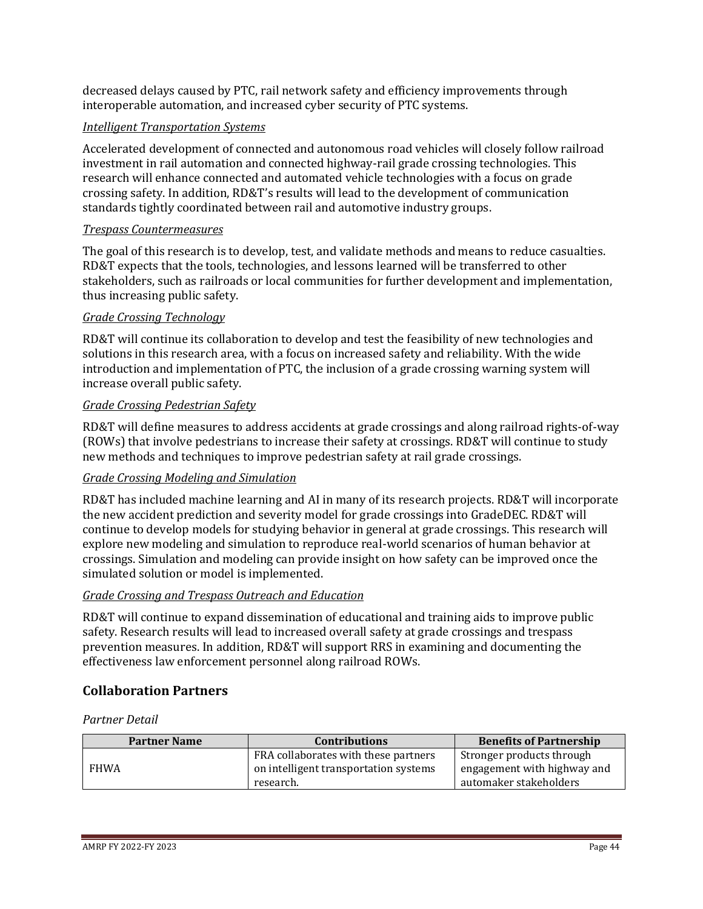decreased delays caused by PTC, rail network safety and efficiency improvements through interoperable automation, and increased cyber security of PTC systems.

## *Intelligent Transportation Systems*

Accelerated development of connected and autonomous road vehicles will closely follow railroad investment in rail automation and connected highway-rail grade crossing technologies. This research will enhance connected and automated vehicle technologies with a focus on grade crossing safety. In addition, RD&T's results will lead to the development of communication standards tightly coordinated between rail and automotive industry groups.

## *Trespass Countermeasures*

The goal of this research is to develop, test, and validate methods and means to reduce casualties. RD&T expects that the tools, technologies, and lessons learned will be transferred to other stakeholders, such as railroads or local communities for further development and implementation, thus increasing public safety.

## *Grade Crossing Technology*

RD&T will continue its collaboration to develop and test the feasibility of new technologies and solutions in this research area, with a focus on increased safety and reliability. With the wide introduction and implementation of PTC, the inclusion of a grade crossing warning system will increase overall public safety.

## *Grade Crossing Pedestrian Safety*

RD&T will define measures to address accidents at grade crossings and along railroad rights-of-way (ROWs) that involve pedestrians to increase their safety at crossings. RD&T will continue to study new methods and techniques to improve pedestrian safety at rail grade crossings.

## *Grade Crossing Modeling and Simulation*

RD&T has included machine learning and AI in many of its research projects. RD&T will incorporate the new accident prediction and severity model for grade crossings into GradeDEC. RD&T will continue to develop models for studying behavior in general at grade crossings. This research will explore new modeling and simulation to reproduce real-world scenarios of human behavior at crossings. Simulation and modeling can provide insight on how safety can be improved once the simulated solution or model is implemented.

## *Grade Crossing and Trespass Outreach and Education*

RD&T will continue to expand dissemination of educational and training aids to improve public safety. Research results will lead to increased overall safety at grade crossings and trespass prevention measures. In addition, RD&T will support RRS in examining and documenting the effectiveness law enforcement personnel along railroad ROWs.

## **Collaboration Partners**

#### *Partner Detail*

| <b>Partner Name</b> | <b>Contributions</b>                                                                       | <b>Benefits of Partnership</b>                                                     |
|---------------------|--------------------------------------------------------------------------------------------|------------------------------------------------------------------------------------|
| <b>FHWA</b>         | FRA collaborates with these partners<br>on intelligent transportation systems<br>research. | Stronger products through<br>engagement with highway and<br>automaker stakeholders |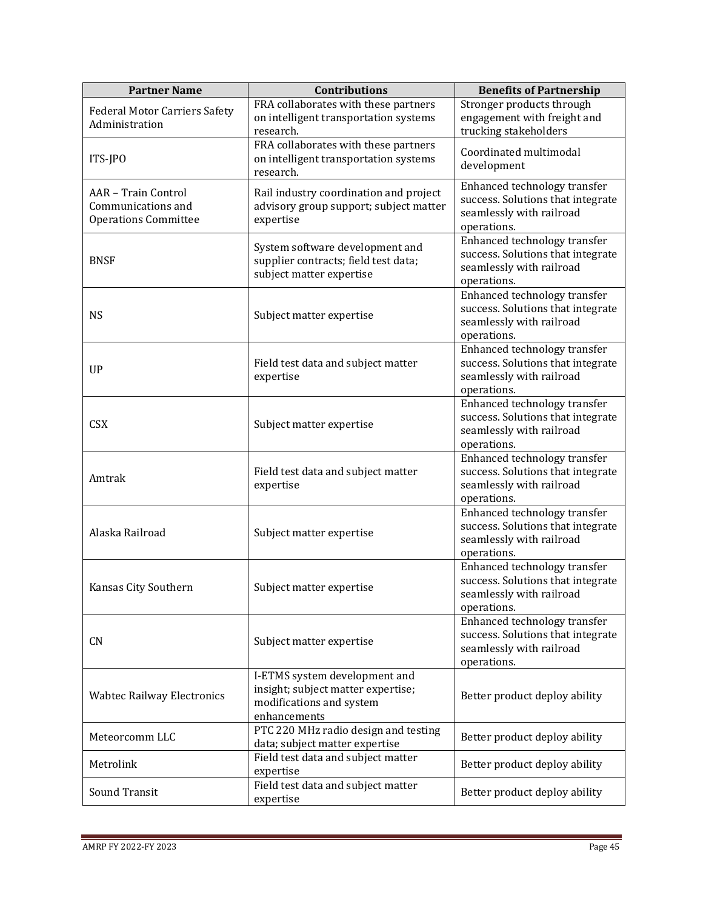| <b>Partner Name</b>                                                      | <b>Contributions</b>                                                                                            | <b>Benefits of Partnership</b>                                                                               |
|--------------------------------------------------------------------------|-----------------------------------------------------------------------------------------------------------------|--------------------------------------------------------------------------------------------------------------|
| <b>Federal Motor Carriers Safety</b><br>Administration                   | FRA collaborates with these partners<br>on intelligent transportation systems<br>research.                      | Stronger products through<br>engagement with freight and<br>trucking stakeholders                            |
| ITS-JPO                                                                  | FRA collaborates with these partners<br>on intelligent transportation systems<br>research.                      | Coordinated multimodal<br>development                                                                        |
| AAR - Train Control<br>Communications and<br><b>Operations Committee</b> | Rail industry coordination and project<br>advisory group support; subject matter<br>expertise                   | Enhanced technology transfer<br>success. Solutions that integrate<br>seamlessly with railroad<br>operations. |
| <b>BNSF</b>                                                              | System software development and<br>supplier contracts; field test data;<br>subject matter expertise             | Enhanced technology transfer<br>success. Solutions that integrate<br>seamlessly with railroad<br>operations. |
| <b>NS</b>                                                                | Subject matter expertise                                                                                        | Enhanced technology transfer<br>success. Solutions that integrate<br>seamlessly with railroad<br>operations. |
| <b>UP</b>                                                                | Field test data and subject matter<br>expertise                                                                 | Enhanced technology transfer<br>success. Solutions that integrate<br>seamlessly with railroad<br>operations. |
| <b>CSX</b>                                                               | Subject matter expertise                                                                                        | Enhanced technology transfer<br>success. Solutions that integrate<br>seamlessly with railroad<br>operations. |
| Amtrak                                                                   | Field test data and subject matter<br>expertise                                                                 | Enhanced technology transfer<br>success. Solutions that integrate<br>seamlessly with railroad<br>operations. |
| Alaska Railroad                                                          | Subject matter expertise                                                                                        | Enhanced technology transfer<br>success. Solutions that integrate<br>seamlessly with railroad<br>operations. |
| Kansas City Southern                                                     | Subject matter expertise                                                                                        | Enhanced technology transfer<br>success. Solutions that integrate<br>seamlessly with railroad<br>operations. |
| CN                                                                       | Subject matter expertise                                                                                        | Enhanced technology transfer<br>success. Solutions that integrate<br>seamlessly with railroad<br>operations. |
| <b>Wabtec Railway Electronics</b>                                        | I-ETMS system development and<br>insight; subject matter expertise;<br>modifications and system<br>enhancements | Better product deploy ability                                                                                |
| Meteorcomm LLC                                                           | PTC 220 MHz radio design and testing<br>data; subject matter expertise                                          | Better product deploy ability                                                                                |
| Metrolink                                                                | Field test data and subject matter<br>expertise                                                                 | Better product deploy ability                                                                                |
| Sound Transit                                                            | Field test data and subject matter<br>expertise                                                                 | Better product deploy ability                                                                                |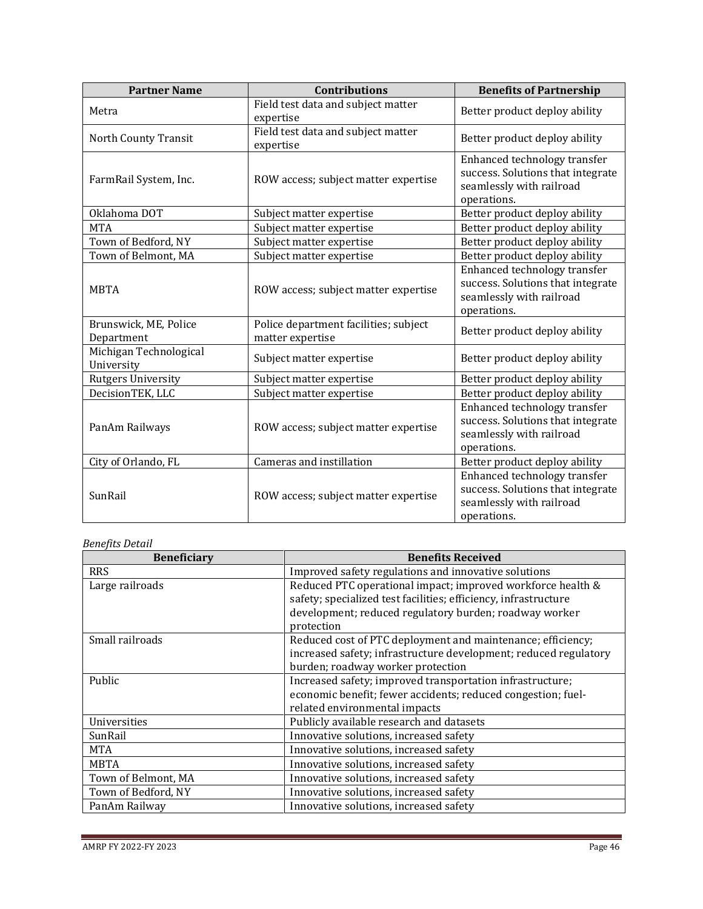| <b>Partner Name</b>                  | <b>Contributions</b>                                      | <b>Benefits of Partnership</b>                                                                               |
|--------------------------------------|-----------------------------------------------------------|--------------------------------------------------------------------------------------------------------------|
| Metra                                | Field test data and subject matter<br>expertise           | Better product deploy ability                                                                                |
| North County Transit                 | Field test data and subject matter<br>expertise           | Better product deploy ability                                                                                |
| FarmRail System, Inc.                | ROW access; subject matter expertise                      | Enhanced technology transfer<br>success. Solutions that integrate<br>seamlessly with railroad<br>operations. |
| Oklahoma DOT                         | Subject matter expertise                                  | Better product deploy ability                                                                                |
| <b>MTA</b>                           | Subject matter expertise                                  | Better product deploy ability                                                                                |
| Town of Bedford, NY                  | Subject matter expertise                                  | Better product deploy ability                                                                                |
| Town of Belmont, MA                  | Subject matter expertise                                  | Better product deploy ability                                                                                |
| <b>MBTA</b>                          | ROW access; subject matter expertise                      | Enhanced technology transfer<br>success. Solutions that integrate<br>seamlessly with railroad<br>operations. |
| Brunswick, ME, Police<br>Department  | Police department facilities; subject<br>matter expertise | Better product deploy ability                                                                                |
| Michigan Technological<br>University | Subject matter expertise                                  | Better product deploy ability                                                                                |
| <b>Rutgers University</b>            | Subject matter expertise                                  | Better product deploy ability                                                                                |
| DecisionTEK, LLC                     | Subject matter expertise                                  | Better product deploy ability                                                                                |
| PanAm Railways                       | ROW access; subject matter expertise                      | Enhanced technology transfer<br>success. Solutions that integrate<br>seamlessly with railroad<br>operations. |
| City of Orlando, FL                  | Cameras and instillation                                  | Better product deploy ability                                                                                |
| SunRail                              | ROW access; subject matter expertise                      | Enhanced technology transfer<br>success. Solutions that integrate<br>seamlessly with railroad<br>operations. |

## *Benefits Detail*

| <b>Beneficiary</b>  | <b>Benefits Received</b>                                         |
|---------------------|------------------------------------------------------------------|
| <b>RRS</b>          | Improved safety regulations and innovative solutions             |
| Large railroads     | Reduced PTC operational impact; improved workforce health &      |
|                     | safety; specialized test facilities; efficiency, infrastructure  |
|                     | development; reduced regulatory burden; roadway worker           |
|                     | protection                                                       |
| Small railroads     | Reduced cost of PTC deployment and maintenance; efficiency;      |
|                     | increased safety; infrastructure development; reduced regulatory |
|                     | burden; roadway worker protection                                |
| <b>Public</b>       | Increased safety; improved transportation infrastructure;        |
|                     | economic benefit; fewer accidents; reduced congestion; fuel-     |
|                     | related environmental impacts                                    |
| Universities        | Publicly available research and datasets                         |
| SunRail             | Innovative solutions, increased safety                           |
| <b>MTA</b>          | Innovative solutions, increased safety                           |
| <b>MBTA</b>         | Innovative solutions, increased safety                           |
| Town of Belmont, MA | Innovative solutions, increased safety                           |
| Town of Bedford, NY | Innovative solutions, increased safety                           |
| PanAm Railway       | Innovative solutions, increased safety                           |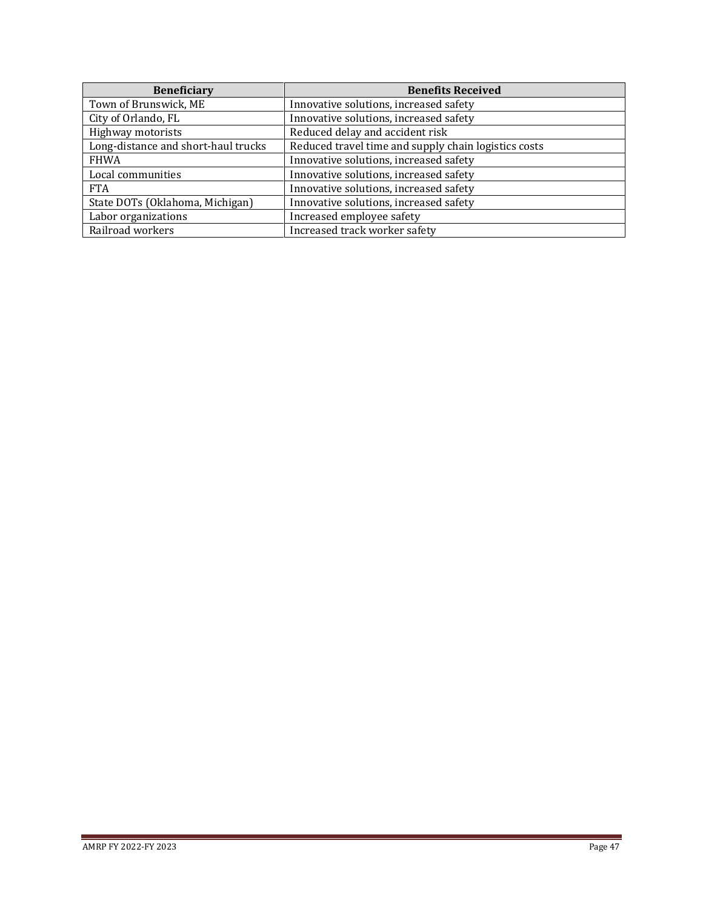| <b>Beneficiary</b>                  | <b>Benefits Received</b>                             |
|-------------------------------------|------------------------------------------------------|
| Town of Brunswick, ME               | Innovative solutions, increased safety               |
| City of Orlando, FL                 | Innovative solutions, increased safety               |
| Highway motorists                   | Reduced delay and accident risk                      |
| Long-distance and short-haul trucks | Reduced travel time and supply chain logistics costs |
| <b>FHWA</b>                         | Innovative solutions, increased safety               |
| Local communities                   | Innovative solutions, increased safety               |
| <b>FTA</b>                          | Innovative solutions, increased safety               |
| State DOTs (Oklahoma, Michigan)     | Innovative solutions, increased safety               |
| Labor organizations                 | Increased employee safety                            |
| Railroad workers                    | Increased track worker safety                        |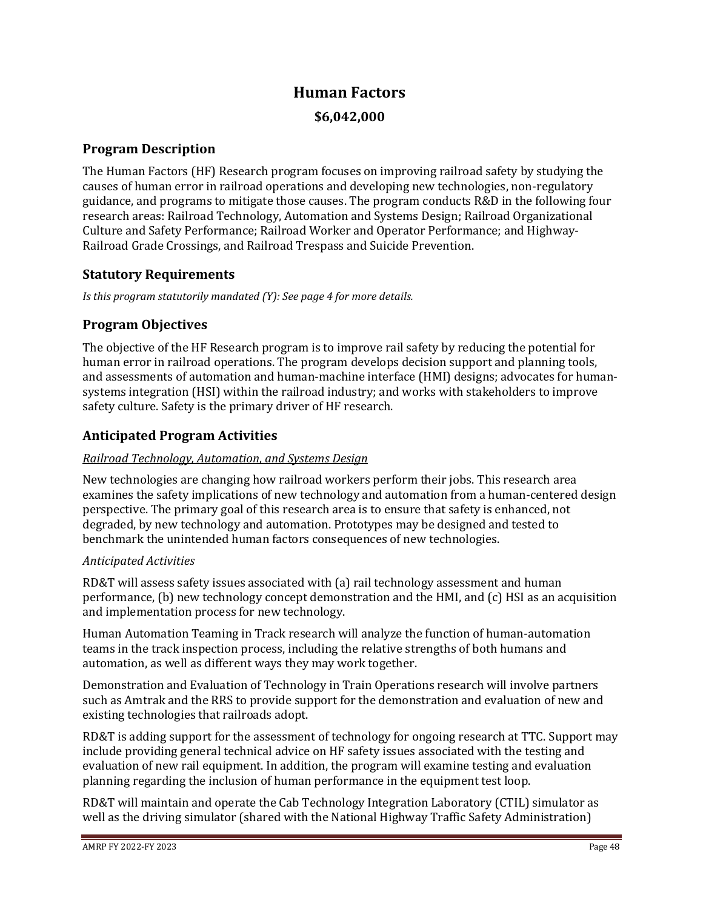# **Human Factors**

## **\$6,042,000**

## **Program Description**

The Human Factors (HF) Research program focuses on improving railroad safety by studying the causes of human error in railroad operations and developing new technologies, non-regulatory guidance, and programs to mitigate those causes. The program conducts R&D in the following four research areas: Railroad Technology, Automation and Systems Design; Railroad Organizational Culture and Safety Performance; Railroad Worker and Operator Performance; and Highway-Railroad Grade Crossings, and Railroad Trespass and Suicide Prevention.

## **Statutory Requirements**

*Is this program statutorily mandated (Y): See page 4 for more details.*

## **Program Objectives**

The objective of the HF Research program is to improve rail safety by reducing the potential for human error in railroad operations. The program develops decision support and planning tools, and assessments of automation and human-machine interface (HMI) designs; advocates for humansystems integration (HSI) within the railroad industry; and works with stakeholders to improve safety culture. Safety is the primary driver of HF research.

## **Anticipated Program Activities**

## *Railroad Technology, Automation, and Systems Design*

New technologies are changing how railroad workers perform their jobs. This research area examines the safety implications of new technology and automation from a human-centered design perspective. The primary goal of this research area is to ensure that safety is enhanced, not degraded, by new technology and automation. Prototypes may be designed and tested to benchmark the unintended human factors consequences of new technologies.

## *Anticipated Activities*

RD&T will assess safety issues associated with (a) rail technology assessment and human performance, (b) new technology concept demonstration and the HMI, and (c) HSI as an acquisition and implementation process for new technology.

Human Automation Teaming in Track research will analyze the function of human-automation teams in the track inspection process, including the relative strengths of both humans and automation, as well as different ways they may work together.

Demonstration and Evaluation of Technology in Train Operations research will involve partners such as Amtrak and the RRS to provide support for the demonstration and evaluation of new and existing technologies that railroads adopt.

RD&T is adding support for the assessment of technology for ongoing research at TTC. Support may include providing general technical advice on HF safety issues associated with the testing and evaluation of new rail equipment. In addition, the program will examine testing and evaluation planning regarding the inclusion of human performance in the equipment test loop.

RD&T will maintain and operate the Cab Technology Integration Laboratory (CTIL) simulator as well as the driving simulator (shared with the National Highway Traffic Safety Administration)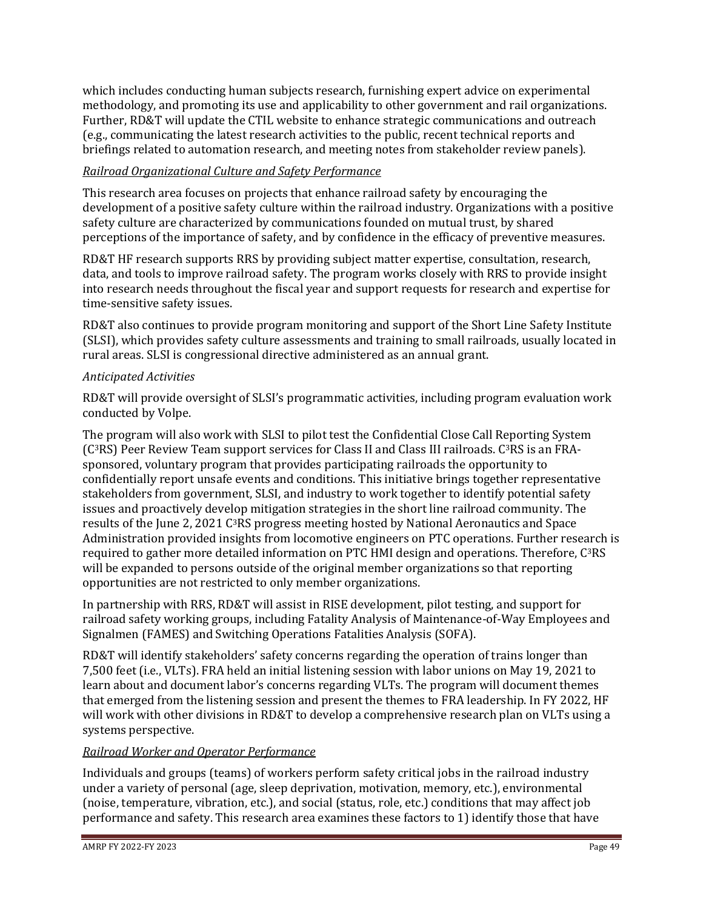which includes conducting human subjects research, furnishing expert advice on experimental methodology, and promoting its use and applicability to other government and rail organizations. Further, RD&T will update the CTIL website to enhance strategic communications and outreach (e.g., communicating the latest research activities to the public, recent technical reports and briefings related to automation research, and meeting notes from stakeholder review panels).

## *Railroad Organizational Culture and Safety Performance*

This research area focuses on projects that enhance railroad safety by encouraging the development of a positive safety culture within the railroad industry. Organizations with a positive safety culture are characterized by communications founded on mutual trust, by shared perceptions of the importance of safety, and by confidence in the efficacy of preventive measures.

RD&T HF research supports RRS by providing subject matter expertise, consultation, research, data, and tools to improve railroad safety. The program works closely with RRS to provide insight into research needs throughout the fiscal year and support requests for research and expertise for time-sensitive safety issues.

RD&T also continues to provide program monitoring and support of the Short Line Safety Institute (SLSI), which provides safety culture assessments and training to small railroads, usually located in rural areas. SLSI is congressional directive administered as an annual grant.

## *Anticipated Activities*

RD&T will provide oversight of SLSI's programmatic activities, including program evaluation work conducted by Volpe.

The program will also work with SLSI to pilot test the Confidential Close Call Reporting System (C3RS) Peer Review Team support services for Class II and Class III railroads. C3RS is an FRAsponsored, voluntary program that provides participating railroads the opportunity to confidentially report unsafe events and conditions. This initiative brings together representative stakeholders from government, SLSI, and industry to work together to identify potential safety issues and proactively develop mitigation strategies in the short line railroad community. The results of the June 2, 2021 C3RS progress meeting hosted by National Aeronautics and Space Administration provided insights from locomotive engineers on PTC operations. Further research is required to gather more detailed information on PTC HMI design and operations. Therefore, C<sup>3</sup>RS will be expanded to persons outside of the original member organizations so that reporting opportunities are not restricted to only member organizations.

In partnership with RRS, RD&T will assist in RISE development, pilot testing, and support for railroad safety working groups, including Fatality Analysis of Maintenance-of-Way Employees and Signalmen (FAMES) and Switching Operations Fatalities Analysis (SOFA).

RD&T will identify stakeholders' safety concerns regarding the operation of trains longer than 7,500 feet (i.e., VLTs). FRA held an initial listening session with labor unions on May 19, 2021 to learn about and document labor's concerns regarding VLTs. The program will document themes that emerged from the listening session and present the themes to FRA leadership. In FY 2022, HF will work with other divisions in RD&T to develop a comprehensive research plan on VLTs using a systems perspective.

## *Railroad Worker and Operator Performance*

Individuals and groups (teams) of workers perform safety critical jobs in the railroad industry under a variety of personal (age, sleep deprivation, motivation, memory, etc.), environmental (noise, temperature, vibration, etc.), and social (status, role, etc.) conditions that may affect job performance and safety. This research area examines these factors to 1) identify those that have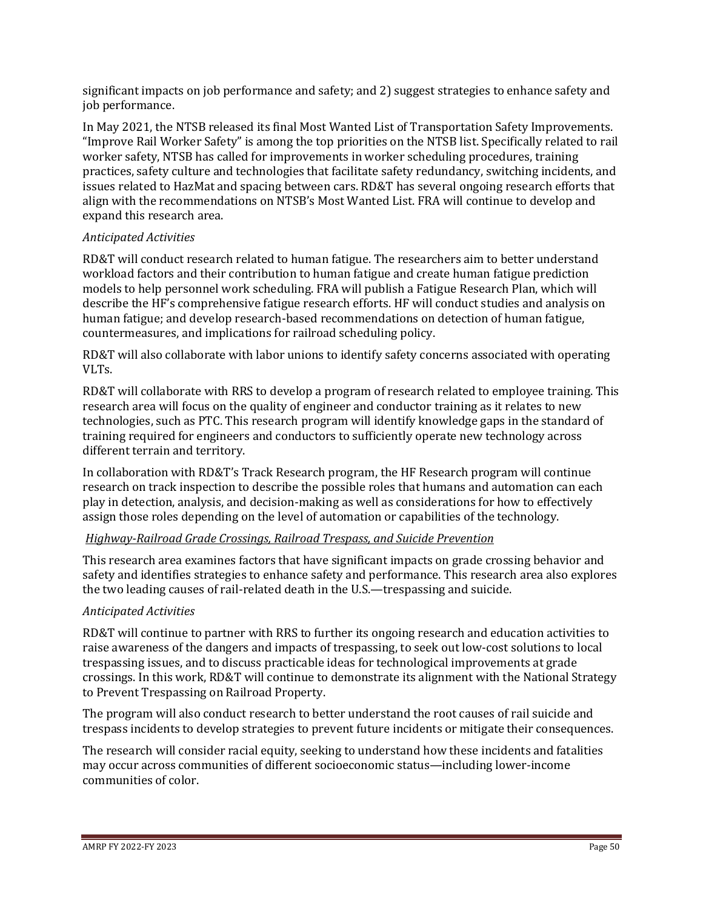significant impacts on job performance and safety; and 2) suggest strategies to enhance safety and job performance.

In May 2021, the NTSB released its final Most Wanted List of Transportation Safety Improvements. "Improve Rail Worker Safety" is among the top priorities on the NTSB list. Specifically related to rail worker safety, NTSB has called for improvements in worker scheduling procedures, training practices, safety culture and technologies that facilitate safety redundancy, switching incidents, and issues related to HazMat and spacing between cars. RD&T has several ongoing research efforts that align with the recommendations on NTSB's Most Wanted List. FRA will continue to develop and expand this research area.

## *Anticipated Activities*

RD&T will conduct research related to human fatigue. The researchers aim to better understand workload factors and their contribution to human fatigue and create human fatigue prediction models to help personnel work scheduling. FRA will publish a Fatigue Research Plan, which will describe the HF's comprehensive fatigue research efforts. HF will conduct studies and analysis on human fatigue; and develop research-based recommendations on detection of human fatigue, countermeasures, and implications for railroad scheduling policy.

RD&T will also collaborate with labor unions to identify safety concerns associated with operating VLTs.

RD&T will collaborate with RRS to develop a program of research related to employee training. This research area will focus on the quality of engineer and conductor training as it relates to new technologies, such as PTC. This research program will identify knowledge gaps in the standard of training required for engineers and conductors to sufficiently operate new technology across different terrain and territory.

In collaboration with RD&T's Track Research program, the HF Research program will continue research on track inspection to describe the possible roles that humans and automation can each play in detection, analysis, and decision-making as well as considerations for how to effectively assign those roles depending on the level of automation or capabilities of the technology.

## *Highway-Railroad Grade Crossings, Railroad Trespass, and Suicide Prevention*

This research area examines factors that have significant impacts on grade crossing behavior and safety and identifies strategies to enhance safety and performance. This research area also explores the two leading causes of rail-related death in the U.S.—trespassing and suicide.

## *Anticipated Activities*

RD&T will continue to partner with RRS to further its ongoing research and education activities to raise awareness of the dangers and impacts of trespassing, to seek out low-cost solutions to local trespassing issues, and to discuss practicable ideas for technological improvements at grade crossings. In this work, RD&T will continue to demonstrate its alignment with the National Strategy to Prevent Trespassing on Railroad Property.

The program will also conduct research to better understand the root causes of rail suicide and trespass incidents to develop strategies to prevent future incidents or mitigate their consequences.

The research will consider racial equity, seeking to understand how these incidents and fatalities may occur across communities of different socioeconomic status—including lower-income communities of color.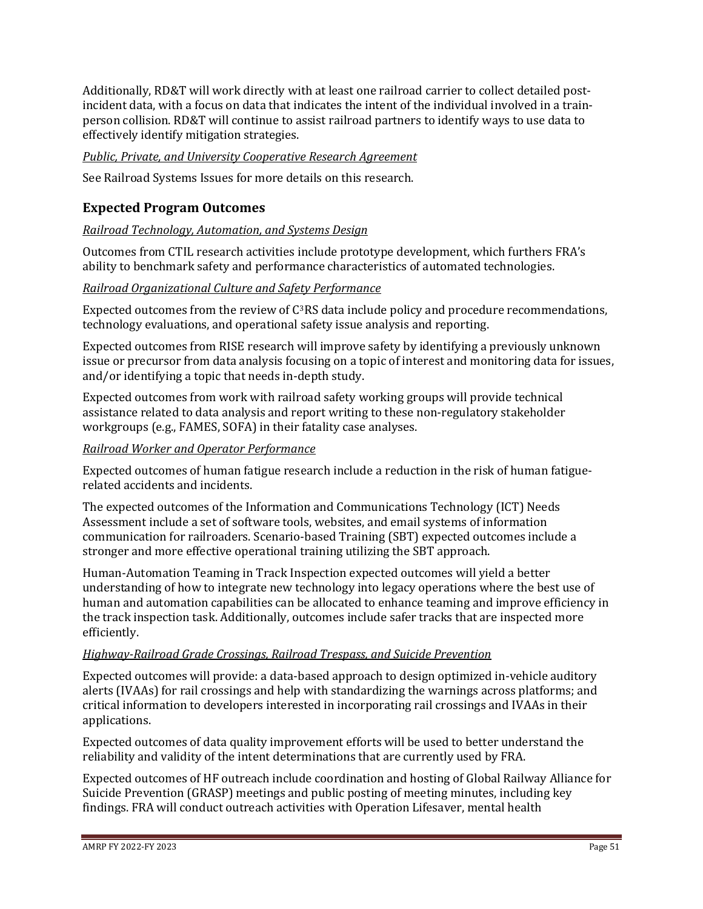Additionally, RD&T will work directly with at least one railroad carrier to collect detailed postincident data, with a focus on data that indicates the intent of the individual involved in a trainperson collision. RD&T will continue to assist railroad partners to identify ways to use data to effectively identify mitigation strategies.

## *Public, Private, and University Cooperative Research Agreement*

See Railroad Systems Issues for more details on this research.

## **Expected Program Outcomes**

## *Railroad Technology, Automation, and Systems Design*

Outcomes from CTIL research activities include prototype development, which furthers FRA's ability to benchmark safety and performance characteristics of automated technologies.

## *Railroad Organizational Culture and Safety Performance*

Expected outcomes from the review of C3RS data include policy and procedure recommendations, technology evaluations, and operational safety issue analysis and reporting.

Expected outcomes from RISE research will improve safety by identifying a previously unknown issue or precursor from data analysis focusing on a topic of interest and monitoring data for issues, and/or identifying a topic that needs in-depth study.

Expected outcomes from work with railroad safety working groups will provide technical assistance related to data analysis and report writing to these non-regulatory stakeholder workgroups (e.g., FAMES, SOFA) in their fatality case analyses.

#### *Railroad Worker and Operator Performance*

Expected outcomes of human fatigue research include a reduction in the risk of human fatiguerelated accidents and incidents.

The expected outcomes of the Information and Communications Technology (ICT) Needs Assessment include a set of software tools, websites, and email systems of information communication for railroaders. Scenario-based Training (SBT) expected outcomes include a stronger and more effective operational training utilizing the SBT approach.

Human-Automation Teaming in Track Inspection expected outcomes will yield a better understanding of how to integrate new technology into legacy operations where the best use of human and automation capabilities can be allocated to enhance teaming and improve efficiency in the track inspection task. Additionally, outcomes include safer tracks that are inspected more efficiently.

#### *Highway-Railroad Grade Crossings, Railroad Trespass, and Suicide Prevention*

Expected outcomes will provide: a data-based approach to design optimized in-vehicle auditory alerts (IVAAs) for rail crossings and help with standardizing the warnings across platforms; and critical information to developers interested in incorporating rail crossings and IVAAs in their applications.

Expected outcomes of data quality improvement efforts will be used to better understand the reliability and validity of the intent determinations that are currently used by FRA.

Expected outcomes of HF outreach include coordination and hosting of Global Railway Alliance for Suicide Prevention (GRASP) meetings and public posting of meeting minutes, including key findings. FRA will conduct outreach activities with Operation Lifesaver, mental health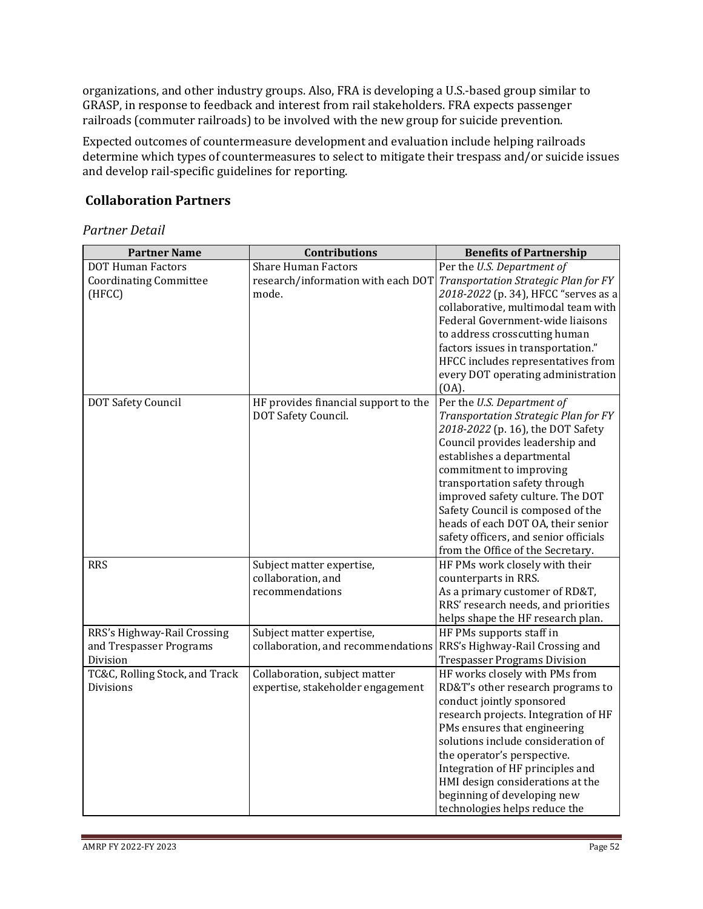organizations, and other industry groups. Also, FRA is developing a U.S.-based group similar to GRASP, in response to feedback and interest from rail stakeholders. FRA expects passenger railroads (commuter railroads) to be involved with the new group for suicide prevention.

Expected outcomes of countermeasure development and evaluation include helping railroads determine which types of countermeasures to select to mitigate their trespass and/or suicide issues and develop rail-specific guidelines for reporting.

## **Collaboration Partners**

| <b>Partner Name</b>            | Contributions                        | <b>Benefits of Partnership</b>        |
|--------------------------------|--------------------------------------|---------------------------------------|
| <b>DOT Human Factors</b>       | <b>Share Human Factors</b>           | Per the U.S. Department of            |
| <b>Coordinating Committee</b>  | research/information with each DOT   | Transportation Strategic Plan for FY  |
| (HFCC)                         | mode.                                | 2018-2022 (p. 34), HFCC "serves as a  |
|                                |                                      | collaborative, multimodal team with   |
|                                |                                      | Federal Government-wide liaisons      |
|                                |                                      | to address crosscutting human         |
|                                |                                      | factors issues in transportation."    |
|                                |                                      | HFCC includes representatives from    |
|                                |                                      | every DOT operating administration    |
|                                |                                      | $(OA)$ .                              |
| DOT Safety Council             | HF provides financial support to the | Per the U.S. Department of            |
|                                | DOT Safety Council.                  | Transportation Strategic Plan for FY  |
|                                |                                      | 2018-2022 (p. 16), the DOT Safety     |
|                                |                                      | Council provides leadership and       |
|                                |                                      | establishes a departmental            |
|                                |                                      | commitment to improving               |
|                                |                                      | transportation safety through         |
|                                |                                      | improved safety culture. The DOT      |
|                                |                                      | Safety Council is composed of the     |
|                                |                                      | heads of each DOT OA, their senior    |
|                                |                                      | safety officers, and senior officials |
|                                |                                      | from the Office of the Secretary.     |
| <b>RRS</b>                     | Subject matter expertise,            | HF PMs work closely with their        |
|                                | collaboration, and                   | counterparts in RRS.                  |
|                                | recommendations                      | As a primary customer of RD&T,        |
|                                |                                      | RRS' research needs, and priorities   |
|                                |                                      | helps shape the HF research plan.     |
| RRS's Highway-Rail Crossing    | Subject matter expertise,            | HF PMs supports staff in              |
| and Trespasser Programs        | collaboration, and recommendations   | RRS's Highway-Rail Crossing and       |
| Division                       |                                      | <b>Trespasser Programs Division</b>   |
| TC&C, Rolling Stock, and Track | Collaboration, subject matter        | HF works closely with PMs from        |
| <b>Divisions</b>               | expertise, stakeholder engagement    | RD&T's other research programs to     |
|                                |                                      | conduct jointly sponsored             |
|                                |                                      | research projects. Integration of HF  |
|                                |                                      | PMs ensures that engineering          |
|                                |                                      | solutions include consideration of    |
|                                |                                      | the operator's perspective.           |
|                                |                                      | Integration of HF principles and      |
|                                |                                      | HMI design considerations at the      |
|                                |                                      | beginning of developing new           |
|                                |                                      | technologies helps reduce the         |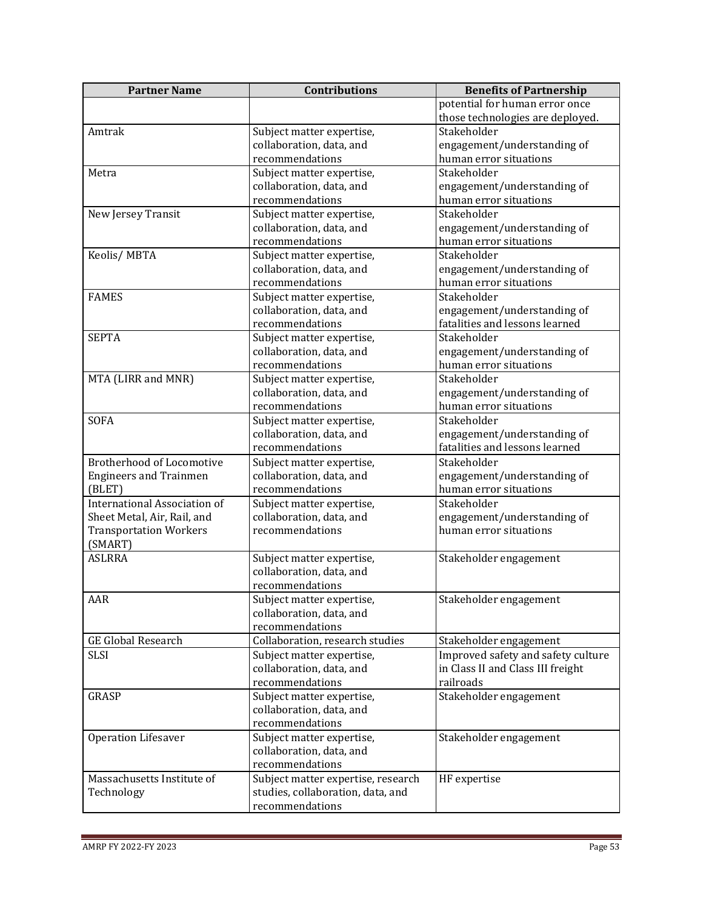| <b>Partner Name</b>                 | <b>Contributions</b>               | <b>Benefits of Partnership</b>     |
|-------------------------------------|------------------------------------|------------------------------------|
|                                     |                                    | potential for human error once     |
|                                     |                                    | those technologies are deployed.   |
| Amtrak                              | Subject matter expertise,          | Stakeholder                        |
|                                     | collaboration, data, and           | engagement/understanding of        |
|                                     | recommendations                    | human error situations             |
| Metra                               | Subject matter expertise,          | Stakeholder                        |
|                                     | collaboration, data, and           | engagement/understanding of        |
|                                     | recommendations                    | human error situations             |
| New Jersey Transit                  | Subject matter expertise,          | Stakeholder                        |
|                                     | collaboration, data, and           | engagement/understanding of        |
|                                     | recommendations                    | human error situations             |
| Keolis/MBTA                         | Subject matter expertise,          | Stakeholder                        |
|                                     | collaboration, data, and           | engagement/understanding of        |
|                                     | recommendations                    | human error situations             |
| <b>FAMES</b>                        | Subject matter expertise,          | Stakeholder                        |
|                                     | collaboration, data, and           | engagement/understanding of        |
|                                     | recommendations                    | fatalities and lessons learned     |
| <b>SEPTA</b>                        | Subject matter expertise,          | Stakeholder                        |
|                                     | collaboration, data, and           | engagement/understanding of        |
|                                     | recommendations                    | human error situations             |
| MTA (LIRR and MNR)                  | Subject matter expertise,          | Stakeholder                        |
|                                     | collaboration, data, and           | engagement/understanding of        |
|                                     | recommendations                    | human error situations             |
| <b>SOFA</b>                         | Subject matter expertise,          | Stakeholder                        |
|                                     | collaboration, data, and           | engagement/understanding of        |
|                                     | recommendations                    | fatalities and lessons learned     |
| <b>Brotherhood of Locomotive</b>    | Subject matter expertise,          | Stakeholder                        |
| <b>Engineers and Trainmen</b>       | collaboration, data, and           | engagement/understanding of        |
| (BLET)                              | recommendations                    | human error situations             |
| <b>International Association of</b> | Subject matter expertise,          | Stakeholder                        |
| Sheet Metal, Air, Rail, and         | collaboration, data, and           | engagement/understanding of        |
| <b>Transportation Workers</b>       | recommendations                    | human error situations             |
| (SMART)                             |                                    |                                    |
| <b>ASLRRA</b>                       | Subject matter expertise,          | Stakeholder engagement             |
|                                     | collaboration, data, and           |                                    |
|                                     | recommendations                    |                                    |
| AAR                                 | Subject matter expertise,          | Stakeholder engagement             |
|                                     | collaboration, data, and           |                                    |
|                                     | recommendations                    |                                    |
| <b>GE Global Research</b>           | Collaboration, research studies    | Stakeholder engagement             |
| <b>SLSI</b>                         | Subject matter expertise,          | Improved safety and safety culture |
|                                     | collaboration, data, and           | in Class II and Class III freight  |
|                                     | recommendations                    | railroads                          |
| <b>GRASP</b>                        | Subject matter expertise,          | Stakeholder engagement             |
|                                     | collaboration, data, and           |                                    |
|                                     | recommendations                    |                                    |
| Operation Lifesaver                 | Subject matter expertise,          | Stakeholder engagement             |
|                                     | collaboration, data, and           |                                    |
|                                     | recommendations                    |                                    |
| Massachusetts Institute of          | Subject matter expertise, research | HF expertise                       |
| Technology                          | studies, collaboration, data, and  |                                    |
|                                     | recommendations                    |                                    |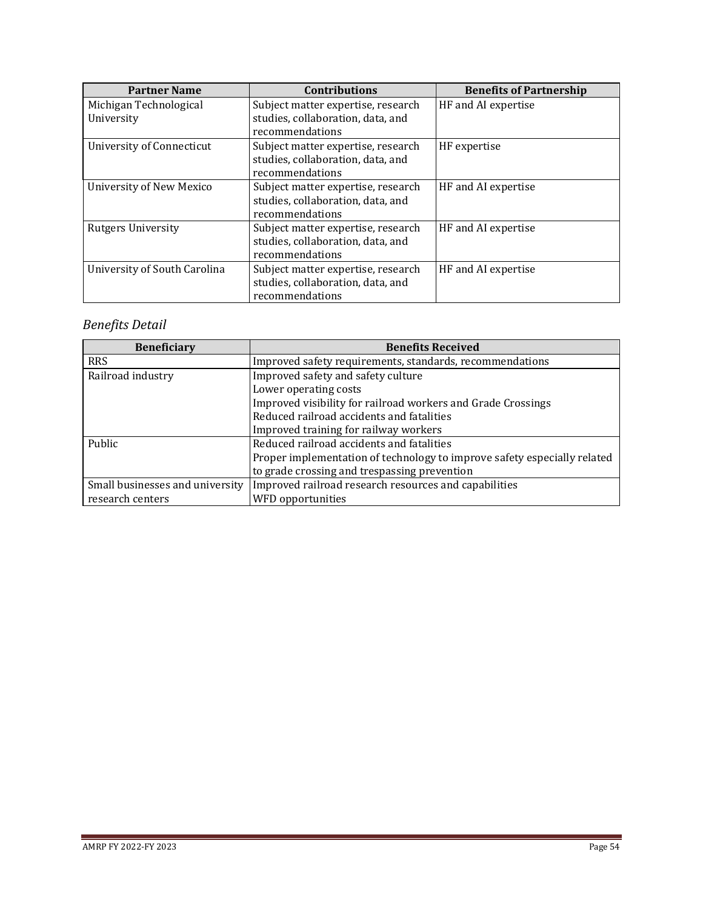| <b>Partner Name</b>             | <b>Contributions</b>               | <b>Benefits of Partnership</b> |
|---------------------------------|------------------------------------|--------------------------------|
| Michigan Technological          | Subject matter expertise, research | HF and AI expertise            |
| University                      | studies, collaboration, data, and  |                                |
|                                 | recommendations                    |                                |
| University of Connecticut       | Subject matter expertise, research | HF expertise                   |
|                                 | studies, collaboration, data, and  |                                |
|                                 | recommendations                    |                                |
| <b>University of New Mexico</b> | Subject matter expertise, research | HF and AI expertise            |
|                                 | studies, collaboration, data, and  |                                |
|                                 | recommendations                    |                                |
| <b>Rutgers University</b>       | Subject matter expertise, research | HF and AI expertise            |
|                                 | studies, collaboration, data, and  |                                |
|                                 | recommendations                    |                                |
| University of South Carolina    | Subject matter expertise, research | HF and AI expertise            |
|                                 | studies, collaboration, data, and  |                                |
|                                 | recommendations                    |                                |

# *Benefits Detail*

| <b>Beneficiary</b>              | <b>Benefits Received</b>                                                 |
|---------------------------------|--------------------------------------------------------------------------|
| <b>RRS</b>                      | Improved safety requirements, standards, recommendations                 |
| Railroad industry               | Improved safety and safety culture                                       |
|                                 | Lower operating costs                                                    |
|                                 | Improved visibility for railroad workers and Grade Crossings             |
|                                 | Reduced railroad accidents and fatalities                                |
|                                 | Improved training for railway workers                                    |
| Public                          | Reduced railroad accidents and fatalities                                |
|                                 | Proper implementation of technology to improve safety especially related |
|                                 | to grade crossing and trespassing prevention                             |
| Small businesses and university | Improved railroad research resources and capabilities                    |
| research centers                | WFD opportunities                                                        |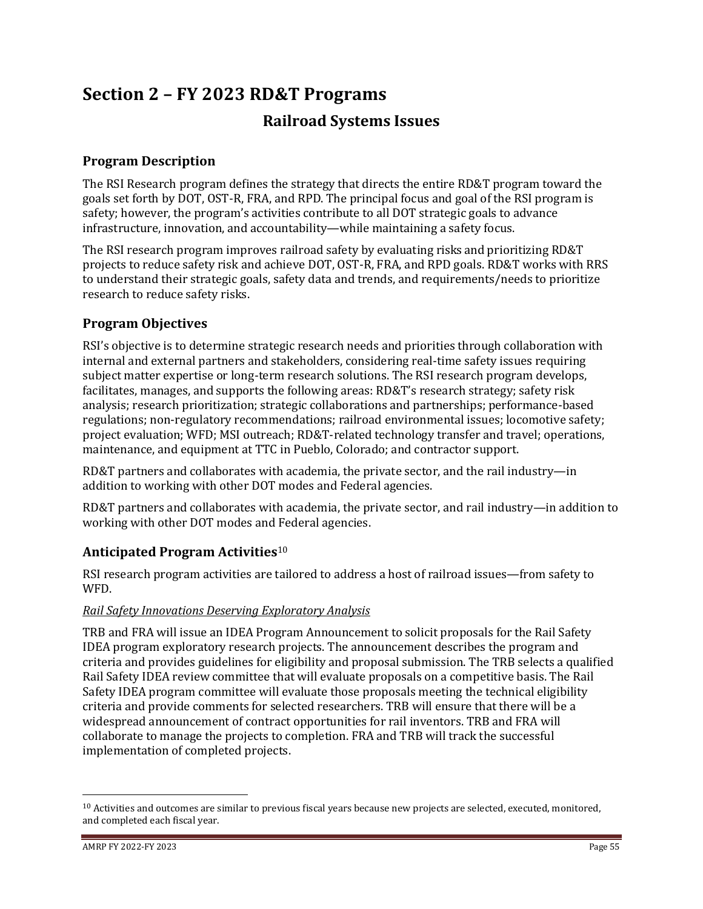# **Section 2 – FY 2023 RD&T Programs Railroad Systems Issues**

## **Program Description**

The RSI Research program defines the strategy that directs the entire RD&T program toward the goals set forth by DOT, OST-R, FRA, and RPD. The principal focus and goal of the RSI program is safety; however, the program's activities contribute to all DOT strategic goals to advance infrastructure, innovation, and accountability—while maintaining a safety focus.

The RSI research program improves railroad safety by evaluating risks and prioritizing RD&T projects to reduce safety risk and achieve DOT, OST-R, FRA, and RPD goals. RD&T works with RRS to understand their strategic goals, safety data and trends, and requirements/needs to prioritize research to reduce safety risks.

## **Program Objectives**

RSI's objective is to determine strategic research needs and priorities through collaboration with internal and external partners and stakeholders, considering real-time safety issues requiring subject matter expertise or long-term research solutions. The RSI research program develops, facilitates, manages, and supports the following areas: RD&T's research strategy; safety risk analysis; research prioritization; strategic collaborations and partnerships; performance-based regulations; non-regulatory recommendations; railroad environmental issues; locomotive safety; project evaluation; WFD; MSI outreach; RD&T-related technology transfer and travel; operations, maintenance, and equipment at TTC in Pueblo, Colorado; and contractor support.

RD&T partners and collaborates with academia, the private sector, and the rail industry—in addition to working with other DOT modes and Federal agencies.

RD&T partners and collaborates with academia, the private sector, and rail industry—in addition to working with other DOT modes and Federal agencies.

## **Anticipated Program Activities**<sup>10</sup>

RSI research program activities are tailored to address a host of railroad issues—from safety to WFD.

## *Rail Safety Innovations Deserving Exploratory Analysis*

TRB and FRA will issue an IDEA Program Announcement to solicit proposals for the Rail Safety IDEA program exploratory research projects. The announcement describes the program and criteria and provides guidelines for eligibility and proposal submission. The TRB selects a qualified Rail Safety IDEA review committee that will evaluate proposals on a competitive basis. The Rail Safety IDEA program committee will evaluate those proposals meeting the technical eligibility criteria and provide comments for selected researchers. TRB will ensure that there will be a widespread announcement of contract opportunities for rail inventors. TRB and FRA will collaborate to manage the projects to completion. FRA and TRB will track the successful implementation of completed projects.

 $10$  Activities and outcomes are similar to previous fiscal years because new projects are selected, executed, monitored, and completed each fiscal year.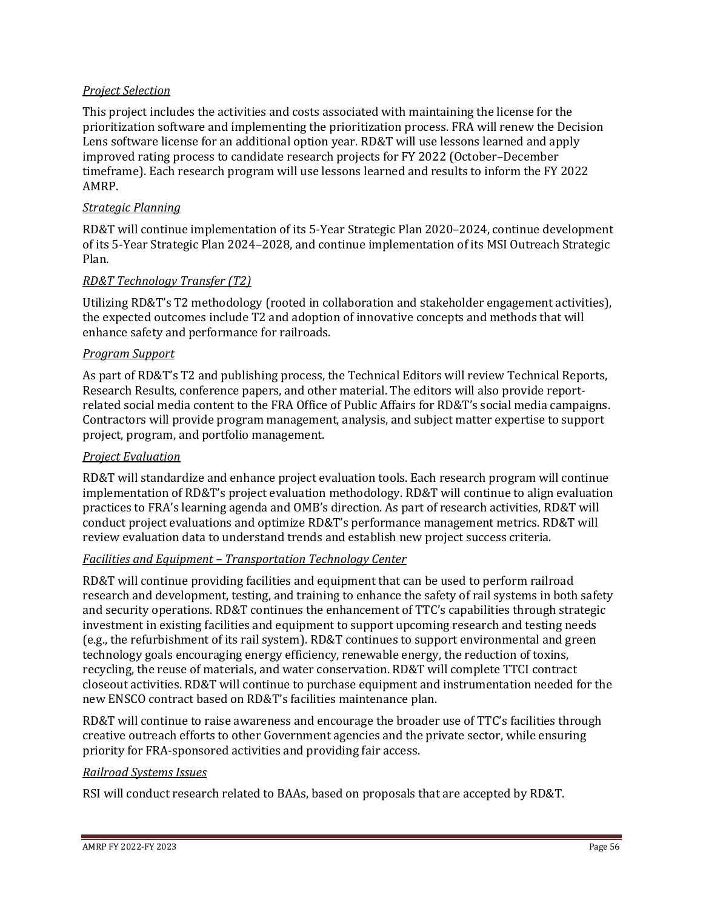## *Project Selection*

This project includes the activities and costs associated with maintaining the license for the prioritization software and implementing the prioritization process. FRA will renew the Decision Lens software license for an additional option year. RD&T will use lessons learned and apply improved rating process to candidate research projects for FY 2022 (October–December timeframe). Each research program will use lessons learned and results to inform the FY 2022 AMRP.

#### *Strategic Planning*

RD&T will continue implementation of its 5-Year Strategic Plan 2020–2024, continue development of its 5-Year Strategic Plan 2024–2028, and continue implementation of its MSI Outreach Strategic Plan.

#### *RD&T Technology Transfer (T2)*

Utilizing RD&T's T2 methodology (rooted in collaboration and stakeholder engagement activities), the expected outcomes include T2 and adoption of innovative concepts and methods that will enhance safety and performance for railroads.

#### *Program Support*

As part of RD&T's T2 and publishing process, the Technical Editors will review Technical Reports, Research Results, conference papers, and other material. The editors will also provide reportrelated social media content to the FRA Office of Public Affairs for RD&T's social media campaigns. Contractors will provide program management, analysis, and subject matter expertise to support project, program, and portfolio management.

#### *Project Evaluation*

RD&T will standardize and enhance project evaluation tools. Each research program will continue implementation of RD&T's project evaluation methodology. RD&T will continue to align evaluation practices to FRA's learning agenda and OMB's direction. As part of research activities, RD&T will conduct project evaluations and optimize RD&T's performance management metrics. RD&T will review evaluation data to understand trends and establish new project success criteria.

#### *Facilities and Equipment – Transportation Technology Center*

RD&T will continue providing facilities and equipment that can be used to perform railroad research and development, testing, and training to enhance the safety of rail systems in both safety and security operations. RD&T continues the enhancement of TTC's capabilities through strategic investment in existing facilities and equipment to support upcoming research and testing needs (e.g., the refurbishment of its rail system). RD&T continues to support environmental and green technology goals encouraging energy efficiency, renewable energy, the reduction of toxins, recycling, the reuse of materials, and water conservation. RD&T will complete TTCI contract closeout activities. RD&T will continue to purchase equipment and instrumentation needed for the new ENSCO contract based on RD&T's facilities maintenance plan.

RD&T will continue to raise awareness and encourage the broader use of TTC's facilities through creative outreach efforts to other Government agencies and the private sector, while ensuring priority for FRA-sponsored activities and providing fair access.

#### *Railroad Systems Issues*

RSI will conduct research related to BAAs, based on proposals that are accepted by RD&T.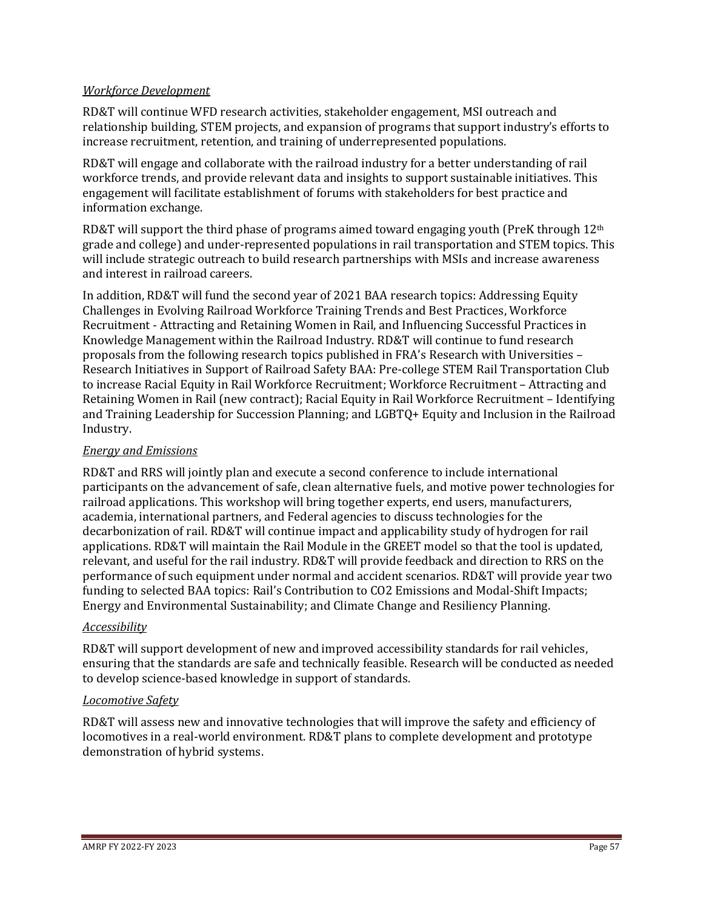#### *Workforce Development*

RD&T will continue WFD research activities, stakeholder engagement, MSI outreach and relationship building, STEM projects, and expansion of programs that support industry's efforts to increase recruitment, retention, and training of underrepresented populations.

RD&T will engage and collaborate with the railroad industry for a better understanding of rail workforce trends, and provide relevant data and insights to support sustainable initiatives. This engagement will facilitate establishment of forums with stakeholders for best practice and information exchange.

RD&T will support the third phase of programs aimed toward engaging youth (PreK through  $12<sup>th</sup>$ grade and college) and under-represented populations in rail transportation and STEM topics. This will include strategic outreach to build research partnerships with MSIs and increase awareness and interest in railroad careers.

In addition, RD&T will fund the second year of 2021 BAA research topics: Addressing Equity Challenges in Evolving Railroad Workforce Training Trends and Best Practices, Workforce Recruitment - Attracting and Retaining Women in Rail, and Influencing Successful Practices in Knowledge Management within the Railroad Industry. RD&T will continue to fund research proposals from the following research topics published in FRA's Research with Universities – Research Initiatives in Support of Railroad Safety BAA: Pre-college STEM Rail Transportation Club to increase Racial Equity in Rail Workforce Recruitment; Workforce Recruitment – Attracting and Retaining Women in Rail (new contract); Racial Equity in Rail Workforce Recruitment – Identifying and Training Leadership for Succession Planning; and LGBTQ+ Equity and Inclusion in the Railroad Industry.

## *Energy and Emissions*

RD&T and RRS will jointly plan and execute a second conference to include international participants on the advancement of safe, clean alternative fuels, and motive power technologies for railroad applications. This workshop will bring together experts, end users, manufacturers, academia, international partners, and Federal agencies to discuss technologies for the decarbonization of rail. RD&T will continue impact and applicability study of hydrogen for rail applications. RD&T will maintain the Rail Module in the GREET model so that the tool is updated, relevant, and useful for the rail industry. RD&T will provide feedback and direction to RRS on the performance of such equipment under normal and accident scenarios. RD&T will provide year two funding to selected BAA topics: Rail's Contribution to CO2 Emissions and Modal-Shift Impacts; Energy and Environmental Sustainability; and Climate Change and Resiliency Planning.

#### *Accessibility*

RD&T will support development of new and improved accessibility standards for rail vehicles, ensuring that the standards are safe and technically feasible. Research will be conducted as needed to develop science-based knowledge in support of standards.

#### *Locomotive Safety*

RD&T will assess new and innovative technologies that will improve the safety and efficiency of locomotives in a real-world environment. RD&T plans to complete development and prototype demonstration of hybrid systems.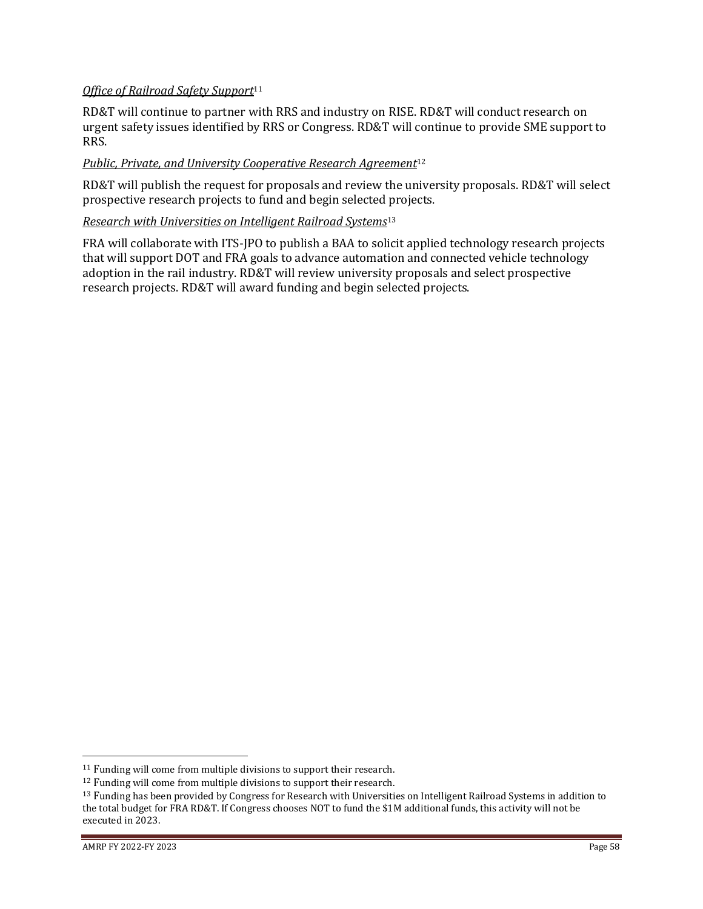### *Office of Railroad Safety Support*<sup>11</sup>

RD&T will continue to partner with RRS and industry on RISE. RD&T will conduct research on urgent safety issues identified by RRS or Congress. RD&T will continue to provide SME support to RRS.

## *Public, Private, and University Cooperative Research Agreement*<sup>12</sup>

RD&T will publish the request for proposals and review the university proposals. RD&T will select prospective research projects to fund and begin selected projects.

#### *Research with Universities on Intelligent Railroad Systems*<sup>13</sup>

FRA will collaborate with ITS-JPO to publish a BAA to solicit applied technology research projects that will support DOT and FRA goals to advance automation and connected vehicle technology adoption in the rail industry. RD&T will review university proposals and select prospective research projects. RD&T will award funding and begin selected projects.

<sup>11</sup> Funding will come from multiple divisions to support their research.

<sup>12</sup> Funding will come from multiple divisions to support their research.

<sup>&</sup>lt;sup>13</sup> Funding has been provided by Congress for Research with Universities on Intelligent Railroad Systems in addition to the total budget for FRA RD&T. If Congress chooses NOT to fund the \$1M additional funds, this activity will not be executed in 2023.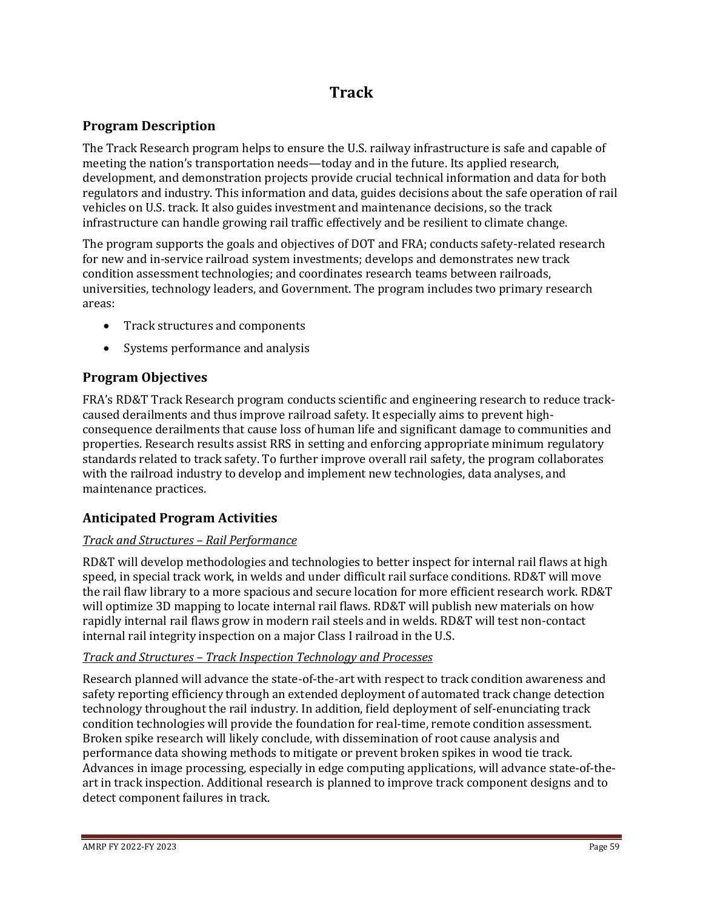# **Track**

## **Program Description**

The Track Research program helps to ensure the U.S. railway infrastructure is safe and capable of meeting the nation's transportation needs—today and in the future. Its applied research, development, and demonstration projects provide crucial technical information and data for both regulators and industry. This information and data, guides decisions about the safe operation of rail vehicles on U.S. track. It also guides investment and maintenance decisions, so the track infrastructure can handle growing rail traffic effectively and be resilient to climate change.

The program supports the goals and objectives of DOT and FRA; conducts safety-related research for new and in-service railroad system investments; develops and demonstrates new track condition assessment technologies; and coordinates research teams between railroads, universities, technology leaders, and Government. The program includes two primary research areas:

- Track structures and components
- Systems performance and analysis

## **Program Objectives**

FRA's RD&T Track Research program conducts scientific and engineering research to reduce trackcaused derailments and thus improve railroad safety. It especially aims to prevent highconsequence derailments that cause loss of human life and significant damage to communities and properties. Research results assist RRS in setting and enforcing appropriate minimum regulatory standards related to track safety. To further improve overall rail safety, the program collaborates with the railroad industry to develop and implement new technologies, data analyses, and maintenance practices.

## **Anticipated Program Activities**

## *Track and Structures – Rail Performance*

RD&T will develop methodologies and technologies to better inspect for internal rail flaws at high speed, in special track work, in welds and under difficult rail surface conditions. RD&T will move the rail flaw library to a more spacious and secure location for more efficient research work. RD&T will optimize 3D mapping to locate internal rail flaws. RD&T will publish new materials on how rapidly internal rail flaws grow in modern rail steels and in welds. RD&T will test non-contact internal rail integrity inspection on a major Class I railroad in the U.S.

## *Track and Structures – Track Inspection Technology and Processes*

Research planned will advance the state-of-the-art with respect to track condition awareness and safety reporting efficiency through an extended deployment of automated track change detection technology throughout the rail industry. In addition, field deployment of self-enunciating track condition technologies will provide the foundation for real-time, remote condition assessment. Broken spike research will likely conclude, with dissemination of root cause analysis and performance data showing methods to mitigate or prevent broken spikes in wood tie track. Advances in image processing, especially in edge computing applications, will advance state-of-theart in track inspection. Additional research is planned to improve track component designs and to detect component failures in track.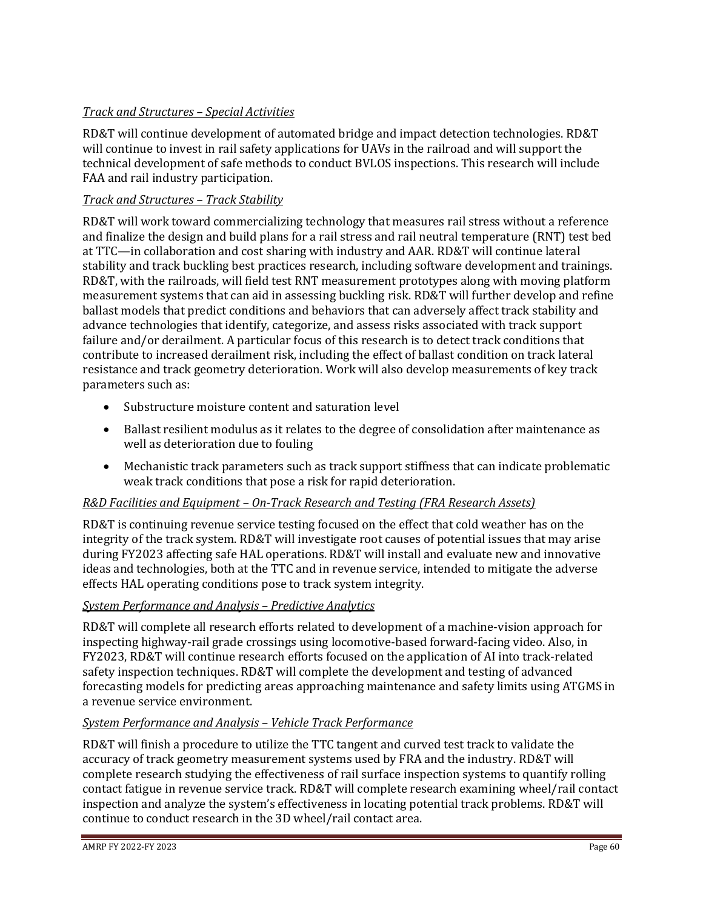## *Track and Structures – Special Activities*

RD&T will continue development of automated bridge and impact detection technologies. RD&T will continue to invest in rail safety applications for UAVs in the railroad and will support the technical development of safe methods to conduct BVLOS inspections. This research will include FAA and rail industry participation.

## *Track and Structures – Track Stability*

RD&T will work toward commercializing technology that measures rail stress without a reference and finalize the design and build plans for a rail stress and rail neutral temperature (RNT) test bed at TTC—in collaboration and cost sharing with industry and AAR. RD&T will continue lateral stability and track buckling best practices research, including software development and trainings. RD&T, with the railroads, will field test RNT measurement prototypes along with moving platform measurement systems that can aid in assessing buckling risk. RD&T will further develop and refine ballast models that predict conditions and behaviors that can adversely affect track stability and advance technologies that identify, categorize, and assess risks associated with track support failure and/or derailment. A particular focus of this research is to detect track conditions that contribute to increased derailment risk, including the effect of ballast condition on track lateral resistance and track geometry deterioration. Work will also develop measurements of key track parameters such as:

- Substructure moisture content and saturation level
- Ballast resilient modulus as it relates to the degree of consolidation after maintenance as well as deterioration due to fouling
- Mechanistic track parameters such as track support stiffness that can indicate problematic weak track conditions that pose a risk for rapid deterioration.

## *R&D Facilities and Equipment – On-Track Research and Testing (FRA Research Assets)*

RD&T is continuing revenue service testing focused on the effect that cold weather has on the integrity of the track system. RD&T will investigate root causes of potential issues that may arise during FY2023 affecting safe HAL operations. RD&T will install and evaluate new and innovative ideas and technologies, both at the TTC and in revenue service, intended to mitigate the adverse effects HAL operating conditions pose to track system integrity.

## *System Performance and Analysis – Predictive Analytics*

RD&T will complete all research efforts related to development of a machine-vision approach for inspecting highway-rail grade crossings using locomotive-based forward-facing video. Also, in FY2023, RD&T will continue research efforts focused on the application of AI into track-related safety inspection techniques. RD&T will complete the development and testing of advanced forecasting models for predicting areas approaching maintenance and safety limits using ATGMS in a revenue service environment.

## *System Performance and Analysis – Vehicle Track Performance*

RD&T will finish a procedure to utilize the TTC tangent and curved test track to validate the accuracy of track geometry measurement systems used by FRA and the industry. RD&T will complete research studying the effectiveness of rail surface inspection systems to quantify rolling contact fatigue in revenue service track. RD&T will complete research examining wheel/rail contact inspection and analyze the system's effectiveness in locating potential track problems. RD&T will continue to conduct research in the 3D wheel/rail contact area.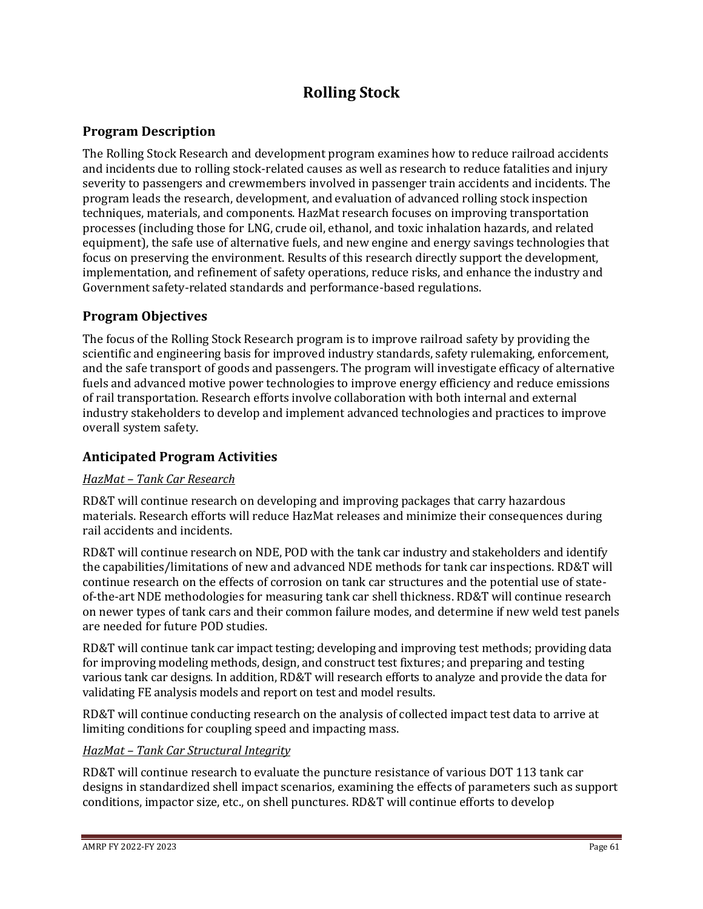# **Rolling Stock**

## **Program Description**

The Rolling Stock Research and development program examines how to reduce railroad accidents and incidents due to rolling stock-related causes as well as research to reduce fatalities and injury severity to passengers and crewmembers involved in passenger train accidents and incidents. The program leads the research, development, and evaluation of advanced rolling stock inspection techniques, materials, and components. HazMat research focuses on improving transportation processes (including those for LNG, crude oil, ethanol, and toxic inhalation hazards, and related equipment), the safe use of alternative fuels, and new engine and energy savings technologies that focus on preserving the environment. Results of this research directly support the development, implementation, and refinement of safety operations, reduce risks, and enhance the industry and Government safety-related standards and performance-based regulations.

## **Program Objectives**

The focus of the Rolling Stock Research program is to improve railroad safety by providing the scientific and engineering basis for improved industry standards, safety rulemaking, enforcement, and the safe transport of goods and passengers. The program will investigate efficacy of alternative fuels and advanced motive power technologies to improve energy efficiency and reduce emissions of rail transportation. Research efforts involve collaboration with both internal and external industry stakeholders to develop and implement advanced technologies and practices to improve overall system safety.

## **Anticipated Program Activities**

## *HazMat – Tank Car Research*

RD&T will continue research on developing and improving packages that carry hazardous materials. Research efforts will reduce HazMat releases and minimize their consequences during rail accidents and incidents.

RD&T will continue research on NDE, POD with the tank car industry and stakeholders and identify the capabilities/limitations of new and advanced NDE methods for tank car inspections. RD&T will continue research on the effects of corrosion on tank car structures and the potential use of stateof-the-art NDE methodologies for measuring tank car shell thickness. RD&T will continue research on newer types of tank cars and their common failure modes, and determine if new weld test panels are needed for future POD studies.

RD&T will continue tank car impact testing; developing and improving test methods; providing data for improving modeling methods, design, and construct test fixtures; and preparing and testing various tank car designs. In addition, RD&T will research efforts to analyze and provide the data for validating FE analysis models and report on test and model results.

RD&T will continue conducting research on the analysis of collected impact test data to arrive at limiting conditions for coupling speed and impacting mass.

## *HazMat – Tank Car Structural Integrity*

RD&T will continue research to evaluate the puncture resistance of various DOT 113 tank car designs in standardized shell impact scenarios, examining the effects of parameters such as support conditions, impactor size, etc., on shell punctures. RD&T will continue efforts to develop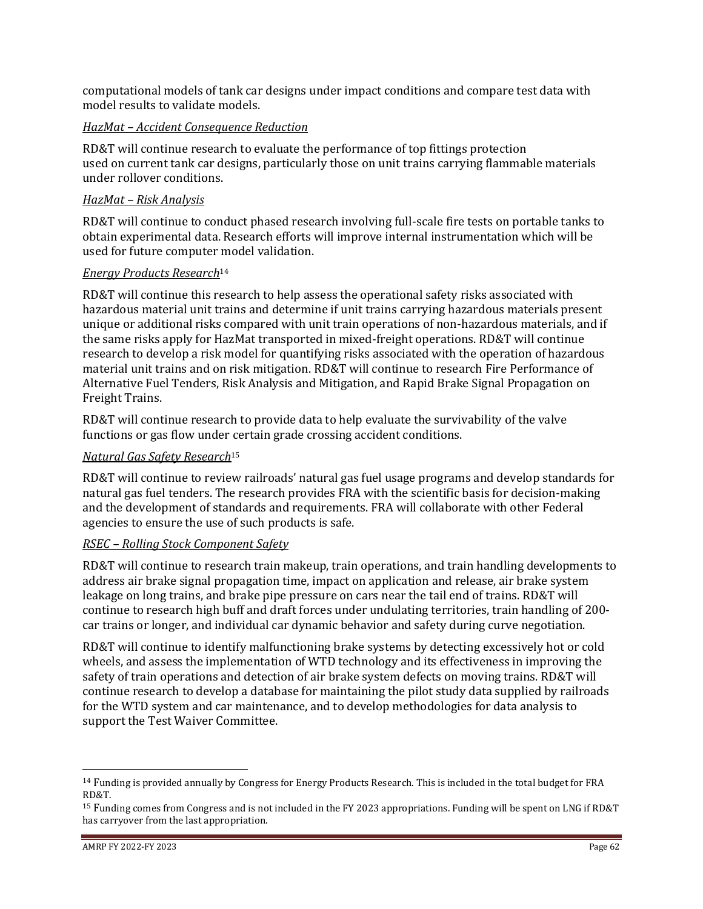computational models of tank car designs under impact conditions and compare test data with model results to validate models.

## *HazMat – Accident Consequence Reduction*

RD&T will continue research to evaluate the performance of top fittings protection used on current tank car designs, particularly those on unit trains carrying flammable materials under rollover conditions.

## *HazMat – Risk Analysis*

RD&T will continue to conduct phased research involving full-scale fire tests on portable tanks to obtain experimental data. Research efforts will improve internal instrumentation which will be used for future computer model validation.

#### *Energy Products Research*<sup>14</sup>

RD&T will continue this research to help assess the operational safety risks associated with hazardous material unit trains and determine if unit trains carrying hazardous materials present unique or additional risks compared with unit train operations of non-hazardous materials, and if the same risks apply for HazMat transported in mixed-freight operations. RD&T will continue research to develop a risk model for quantifying risks associated with the operation of hazardous material unit trains and on risk mitigation. RD&T will continue to research Fire Performance of Alternative Fuel Tenders, Risk Analysis and Mitigation, and Rapid Brake Signal Propagation on Freight Trains.

RD&T will continue research to provide data to help evaluate the survivability of the valve functions or gas flow under certain grade crossing accident conditions.

## *Natural Gas Safety Research*<sup>15</sup>

RD&T will continue to review railroads' natural gas fuel usage programs and develop standards for natural gas fuel tenders. The research provides FRA with the scientific basis for decision-making and the development of standards and requirements. FRA will collaborate with other Federal agencies to ensure the use of such products is safe.

#### *RSEC – Rolling Stock Component Safety*

RD&T will continue to research train makeup, train operations, and train handling developments to address air brake signal propagation time, impact on application and release, air brake system leakage on long trains, and brake pipe pressure on cars near the tail end of trains. RD&T will continue to research high buff and draft forces under undulating territories, train handling of 200 car trains or longer, and individual car dynamic behavior and safety during curve negotiation.

RD&T will continue to identify malfunctioning brake systems by detecting excessively hot or cold wheels, and assess the implementation of WTD technology and its effectiveness in improving the safety of train operations and detection of air brake system defects on moving trains. RD&T will continue research to develop a database for maintaining the pilot study data supplied by railroads for the WTD system and car maintenance, and to develop methodologies for data analysis to support the Test Waiver Committee.

<sup>&</sup>lt;sup>14</sup> Funding is provided annually by Congress for Energy Products Research. This is included in the total budget for FRA RD&T.

<sup>&</sup>lt;sup>15</sup> Funding comes from Congress and is not included in the FY 2023 appropriations. Funding will be spent on LNG if RD&T has carryover from the last appropriation.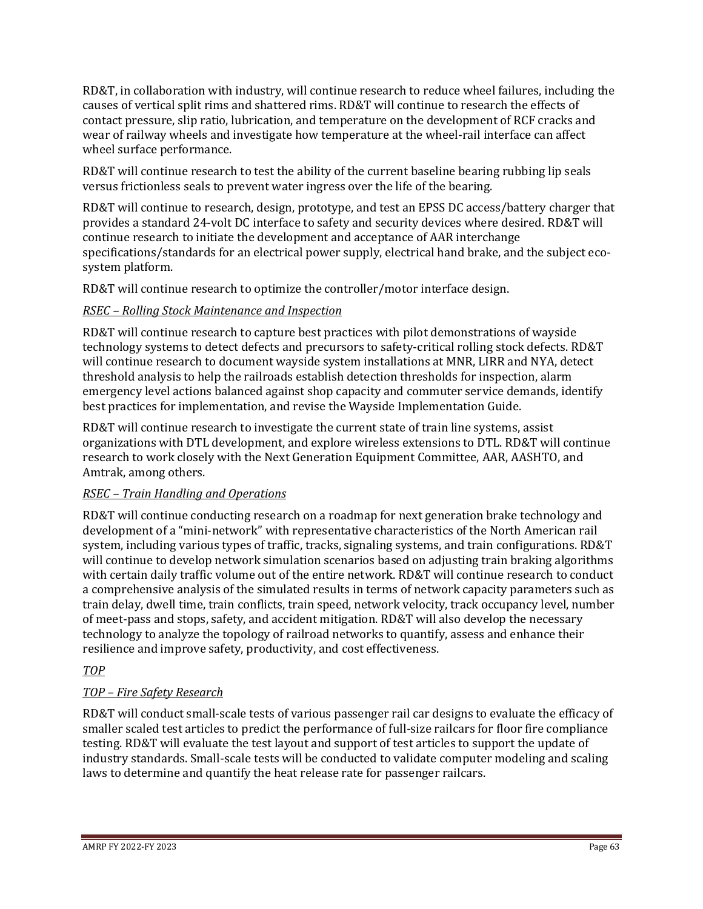RD&T, in collaboration with industry, will continue research to reduce wheel failures, including the causes of vertical split rims and shattered rims. RD&T will continue to research the effects of contact pressure, slip ratio, lubrication, and temperature on the development of RCF cracks and wear of railway wheels and investigate how temperature at the wheel-rail interface can affect wheel surface performance.

RD&T will continue research to test the ability of the current baseline bearing rubbing lip seals versus frictionless seals to prevent water ingress over the life of the bearing.

RD&T will continue to research, design, prototype, and test an EPSS DC access/battery charger that provides a standard 24-volt DC interface to safety and security devices where desired. RD&T will continue research to initiate the development and acceptance of AAR interchange specifications/standards for an electrical power supply, electrical hand brake, and the subject ecosystem platform.

RD&T will continue research to optimize the controller/motor interface design.

## *RSEC – Rolling Stock Maintenance and Inspection*

RD&T will continue research to capture best practices with pilot demonstrations of wayside technology systems to detect defects and precursors to safety-critical rolling stock defects. RD&T will continue research to document wayside system installations at MNR, LIRR and NYA, detect threshold analysis to help the railroads establish detection thresholds for inspection, alarm emergency level actions balanced against shop capacity and commuter service demands, identify best practices for implementation, and revise the Wayside Implementation Guide.

RD&T will continue research to investigate the current state of train line systems, assist organizations with DTL development, and explore wireless extensions to DTL. RD&T will continue research to work closely with the Next Generation Equipment Committee, AAR, AASHTO, and Amtrak, among others.

## *RSEC – Train Handling and Operations*

RD&T will continue conducting research on a roadmap for next generation brake technology and development of a "mini-network" with representative characteristics of the North American rail system, including various types of traffic, tracks, signaling systems, and train configurations. RD&T will continue to develop network simulation scenarios based on adjusting train braking algorithms with certain daily traffic volume out of the entire network. RD&T will continue research to conduct a comprehensive analysis of the simulated results in terms of network capacity parameters such as train delay, dwell time, train conflicts, train speed, network velocity, track occupancy level, number of meet-pass and stops, safety, and accident mitigation. RD&T will also develop the necessary technology to analyze the topology of railroad networks to quantify, assess and enhance their resilience and improve safety, productivity, and cost effectiveness.

## *TOP*

## *TOP – Fire Safety Research*

RD&T will conduct small-scale tests of various passenger rail car designs to evaluate the efficacy of smaller scaled test articles to predict the performance of full-size railcars for floor fire compliance testing. RD&T will evaluate the test layout and support of test articles to support the update of industry standards. Small-scale tests will be conducted to validate computer modeling and scaling laws to determine and quantify the heat release rate for passenger railcars.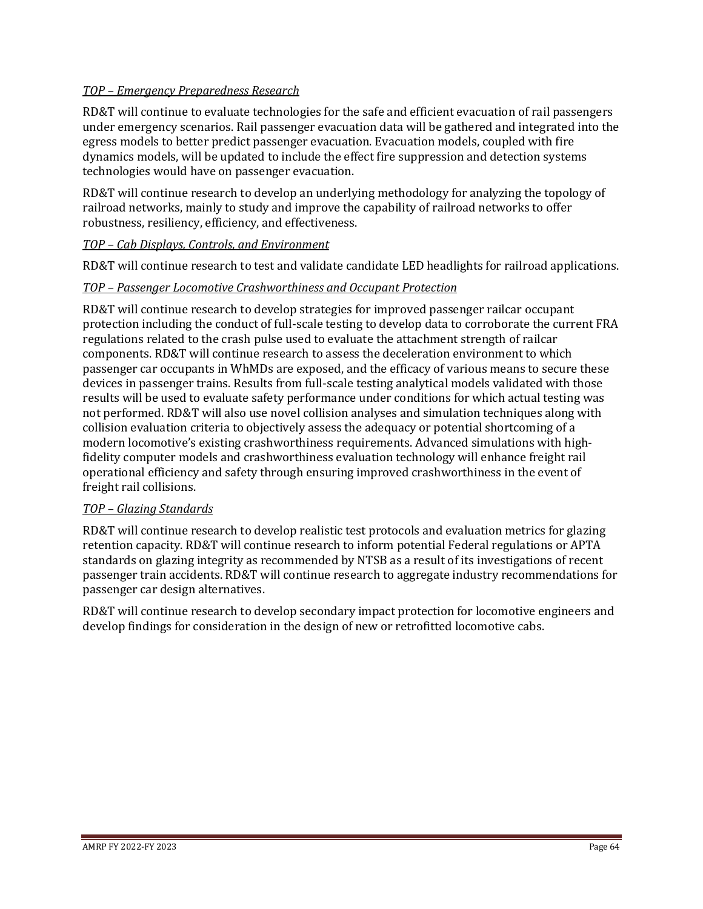## *TOP – Emergency Preparedness Research*

RD&T will continue to evaluate technologies for the safe and efficient evacuation of rail passengers under emergency scenarios. Rail passenger evacuation data will be gathered and integrated into the egress models to better predict passenger evacuation. Evacuation models, coupled with fire dynamics models, will be updated to include the effect fire suppression and detection systems technologies would have on passenger evacuation.

RD&T will continue research to develop an underlying methodology for analyzing the topology of railroad networks, mainly to study and improve the capability of railroad networks to offer robustness, resiliency, efficiency, and effectiveness.

#### *TOP – Cab Displays, Controls, and Environment*

RD&T will continue research to test and validate candidate LED headlights for railroad applications.

#### *TOP – Passenger Locomotive Crashworthiness and Occupant Protection*

RD&T will continue research to develop strategies for improved passenger railcar occupant protection including the conduct of full-scale testing to develop data to corroborate the current FRA regulations related to the crash pulse used to evaluate the attachment strength of railcar components. RD&T will continue research to assess the deceleration environment to which passenger car occupants in WhMDs are exposed, and the efficacy of various means to secure these devices in passenger trains. Results from full-scale testing analytical models validated with those results will be used to evaluate safety performance under conditions for which actual testing was not performed. RD&T will also use novel collision analyses and simulation techniques along with collision evaluation criteria to objectively assess the adequacy or potential shortcoming of a modern locomotive's existing crashworthiness requirements. Advanced simulations with highfidelity computer models and crashworthiness evaluation technology will enhance freight rail operational efficiency and safety through ensuring improved crashworthiness in the event of freight rail collisions.

#### *TOP – Glazing Standards*

RD&T will continue research to develop realistic test protocols and evaluation metrics for glazing retention capacity. RD&T will continue research to inform potential Federal regulations or APTA standards on glazing integrity as recommended by NTSB as a result of its investigations of recent passenger train accidents. RD&T will continue research to aggregate industry recommendations for passenger car design alternatives.

RD&T will continue research to develop secondary impact protection for locomotive engineers and develop findings for consideration in the design of new or retrofitted locomotive cabs.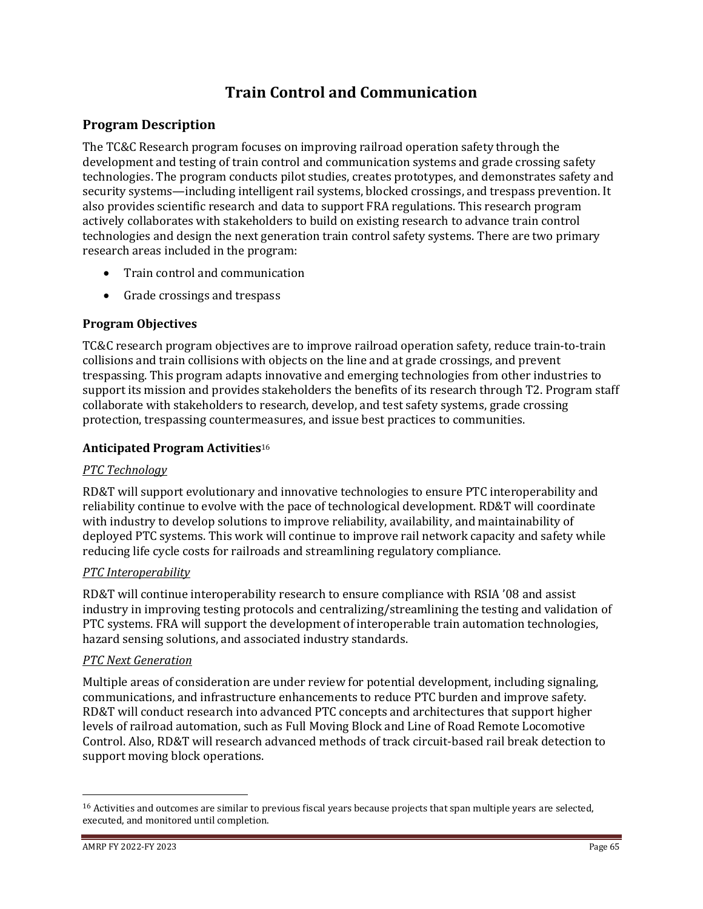# **Train Control and Communication**

## **Program Description**

The TC&C Research program focuses on improving railroad operation safety through the development and testing of train control and communication systems and grade crossing safety technologies. The program conducts pilot studies, creates prototypes, and demonstrates safety and security systems—including intelligent rail systems, blocked crossings, and trespass prevention. It also provides scientific research and data to support FRA regulations. This research program actively collaborates with stakeholders to build on existing research to advance train control technologies and design the next generation train control safety systems. There are two primary research areas included in the program:

- Train control and communication
- Grade crossings and trespass

## **Program Objectives**

TC&C research program objectives are to improve railroad operation safety, reduce train-to-train collisions and train collisions with objects on the line and at grade crossings, and prevent trespassing. This program adapts innovative and emerging technologies from other industries to support its mission and provides stakeholders the benefits of its research through T2. Program staff collaborate with stakeholders to research, develop, and test safety systems, grade crossing protection, trespassing countermeasures, and issue best practices to communities.

## **Anticipated Program Activities**<sup>16</sup>

## *PTC Technology*

RD&T will support evolutionary and innovative technologies to ensure PTC interoperability and reliability continue to evolve with the pace of technological development. RD&T will coordinate with industry to develop solutions to improve reliability, availability, and maintainability of deployed PTC systems. This work will continue to improve rail network capacity and safety while reducing life cycle costs for railroads and streamlining regulatory compliance.

## *PTC Interoperability*

RD&T will continue interoperability research to ensure compliance with RSIA '08 and assist industry in improving testing protocols and centralizing/streamlining the testing and validation of PTC systems. FRA will support the development of interoperable train automation technologies, hazard sensing solutions, and associated industry standards.

#### *PTC Next Generation*

Multiple areas of consideration are under review for potential development, including signaling, communications, and infrastructure enhancements to reduce PTC burden and improve safety. RD&T will conduct research into advanced PTC concepts and architectures that support higher levels of railroad automation, such as Full Moving Block and Line of Road Remote Locomotive Control. Also, RD&T will research advanced methods of track circuit-based rail break detection to support moving block operations.

<sup>&</sup>lt;sup>16</sup> Activities and outcomes are similar to previous fiscal years because projects that span multiple years are selected, executed, and monitored until completion.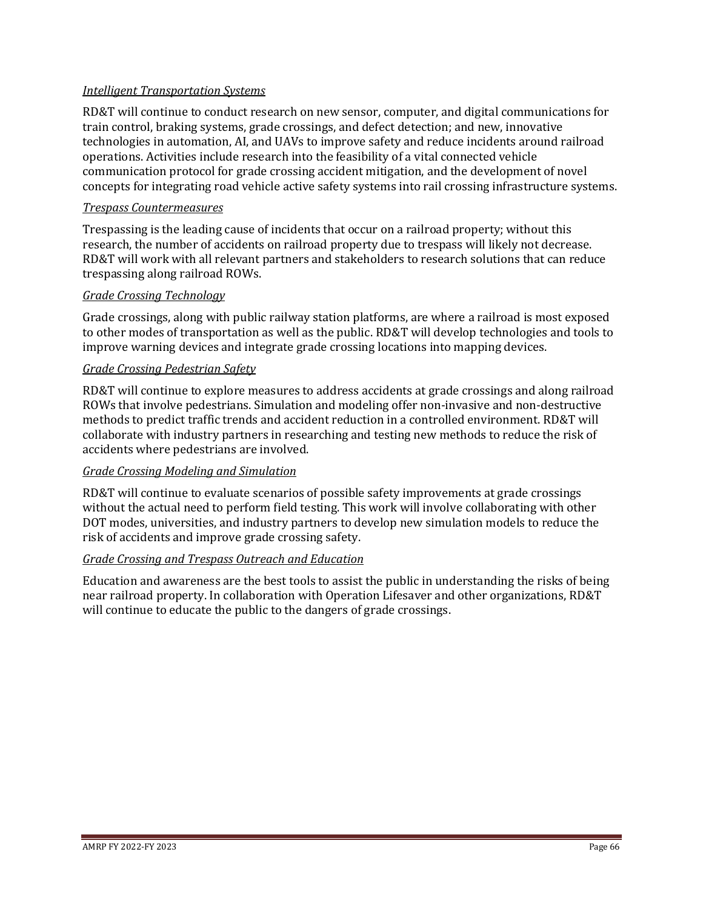### *Intelligent Transportation Systems*

RD&T will continue to conduct research on new sensor, computer, and digital communications for train control, braking systems, grade crossings, and defect detection; and new, innovative technologies in automation, AI, and UAVs to improve safety and reduce incidents around railroad operations. Activities include research into the feasibility of a vital connected vehicle communication protocol for grade crossing accident mitigation, and the development of novel concepts for integrating road vehicle active safety systems into rail crossing infrastructure systems.

#### *Trespass Countermeasures*

Trespassing is the leading cause of incidents that occur on a railroad property; without this research, the number of accidents on railroad property due to trespass will likely not decrease. RD&T will work with all relevant partners and stakeholders to research solutions that can reduce trespassing along railroad ROWs.

#### *Grade Crossing Technology*

Grade crossings, along with public railway station platforms, are where a railroad is most exposed to other modes of transportation as well as the public. RD&T will develop technologies and tools to improve warning devices and integrate grade crossing locations into mapping devices.

#### *Grade Crossing Pedestrian Safety*

RD&T will continue to explore measures to address accidents at grade crossings and along railroad ROWs that involve pedestrians. Simulation and modeling offer non-invasive and non-destructive methods to predict traffic trends and accident reduction in a controlled environment. RD&T will collaborate with industry partners in researching and testing new methods to reduce the risk of accidents where pedestrians are involved.

## *Grade Crossing Modeling and Simulation*

RD&T will continue to evaluate scenarios of possible safety improvements at grade crossings without the actual need to perform field testing. This work will involve collaborating with other DOT modes, universities, and industry partners to develop new simulation models to reduce the risk of accidents and improve grade crossing safety.

#### *Grade Crossing and Trespass Outreach and Education*

Education and awareness are the best tools to assist the public in understanding the risks of being near railroad property. In collaboration with Operation Lifesaver and other organizations, RD&T will continue to educate the public to the dangers of grade crossings.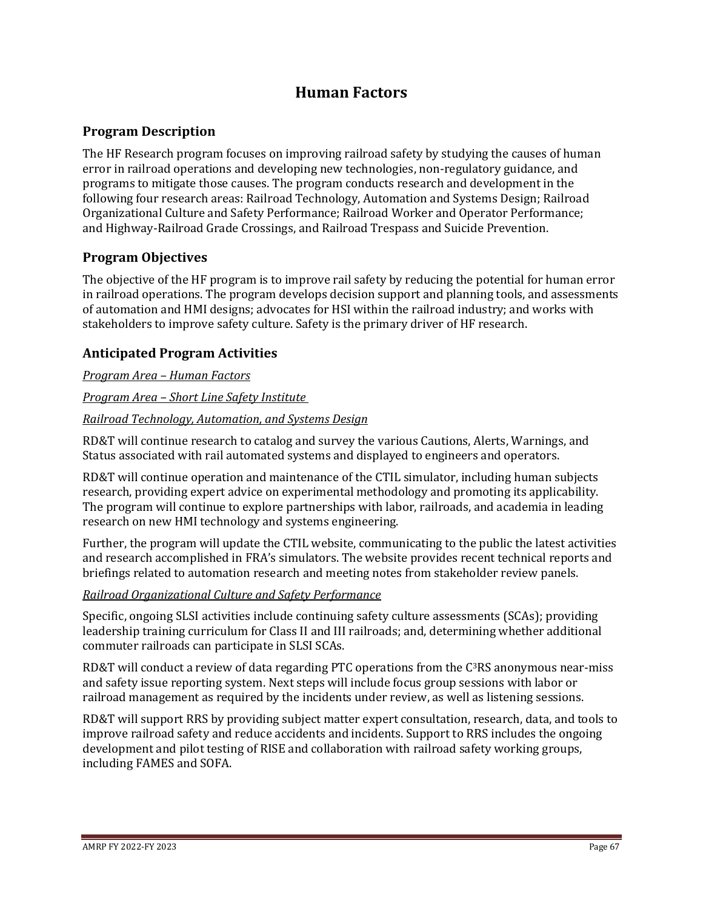## **Human Factors**

## **Program Description**

The HF Research program focuses on improving railroad safety by studying the causes of human error in railroad operations and developing new technologies, non-regulatory guidance, and programs to mitigate those causes. The program conducts research and development in the following four research areas: Railroad Technology, Automation and Systems Design; Railroad Organizational Culture and Safety Performance; Railroad Worker and Operator Performance; and Highway-Railroad Grade Crossings, and Railroad Trespass and Suicide Prevention.

## **Program Objectives**

The objective of the HF program is to improve rail safety by reducing the potential for human error in railroad operations. The program develops decision support and planning tools, and assessments of automation and HMI designs; advocates for HSI within the railroad industry; and works with stakeholders to improve safety culture. Safety is the primary driver of HF research.

## **Anticipated Program Activities**

*Program Area – Human Factors*

## *Program Area – Short Line Safety Institute*

## *Railroad Technology, Automation, and Systems Design*

RD&T will continue research to catalog and survey the various Cautions, Alerts, Warnings, and Status associated with rail automated systems and displayed to engineers and operators.

RD&T will continue operation and maintenance of the CTIL simulator, including human subjects research, providing expert advice on experimental methodology and promoting its applicability. The program will continue to explore partnerships with labor, railroads, and academia in leading research on new HMI technology and systems engineering.

Further, the program will update the CTIL website, communicating to the public the latest activities and research accomplished in FRA's simulators. The website provides recent technical reports and briefings related to automation research and meeting notes from stakeholder review panels.

## *Railroad Organizational Culture and Safety Performance*

Specific, ongoing SLSI activities include continuing safety culture assessments (SCAs); providing leadership training curriculum for Class II and III railroads; and, determining whether additional commuter railroads can participate in SLSI SCAs.

RD&T will conduct a review of data regarding PTC operations from the  $C<sup>3</sup>RS$  anonymous near-miss and safety issue reporting system. Next steps will include focus group sessions with labor or railroad management as required by the incidents under review, as well as listening sessions.

RD&T will support RRS by providing subject matter expert consultation, research, data, and tools to improve railroad safety and reduce accidents and incidents. Support to RRS includes the ongoing development and pilot testing of RISE and collaboration with railroad safety working groups, including FAMES and SOFA.